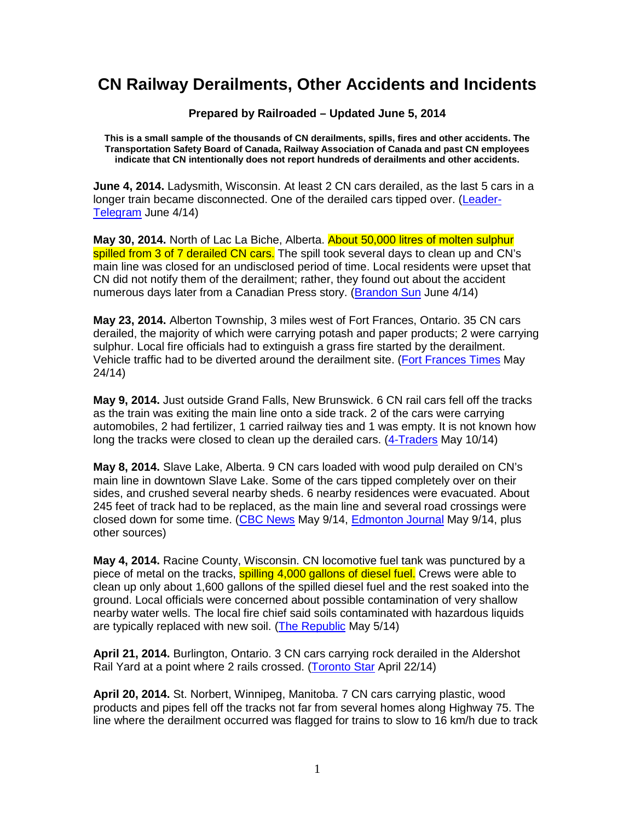## **CN Railway Derailments, Other Accidents and Incidents**

**Prepared by Railroaded – Updated June 5, 2014** 

**This is a small sample of the thousands of CN derailments, spills, fires and other accidents. The Transportation Safety Board of Canada, Railway Association of Canada and past CN employees indicate that CN intentionally does not report hundreds of derailments and other accidents.** 

**June 4, 2014.** Ladysmith, Wisconsin. At least 2 CN cars derailed, as the last 5 cars in a longer train became disconnected. One of the derailed cars tipped over. (Leader-Telegram June 4/14)

**May 30, 2014.** North of Lac La Biche, Alberta. About 50,000 litres of molten sulphur spilled from 3 of 7 derailed CN cars. The spill took several days to clean up and CN's main line was closed for an undisclosed period of time. Local residents were upset that CN did not notify them of the derailment; rather, they found out about the accident numerous days later from a Canadian Press story. (Brandon Sun June 4/14)

**May 23, 2014.** Alberton Township, 3 miles west of Fort Frances, Ontario. 35 CN cars derailed, the majority of which were carrying potash and paper products; 2 were carrying sulphur. Local fire officials had to extinguish a grass fire started by the derailment. Vehicle traffic had to be diverted around the derailment site. (Fort Frances Times May 24/14)

**May 9, 2014.** Just outside Grand Falls, New Brunswick. 6 CN rail cars fell off the tracks as the train was exiting the main line onto a side track. 2 of the cars were carrying automobiles, 2 had fertilizer, 1 carried railway ties and 1 was empty. It is not known how long the tracks were closed to clean up the derailed cars. (4-Traders May 10/14)

**May 8, 2014.** Slave Lake, Alberta. 9 CN cars loaded with wood pulp derailed on CN's main line in downtown Slave Lake. Some of the cars tipped completely over on their sides, and crushed several nearby sheds. 6 nearby residences were evacuated. About 245 feet of track had to be replaced, as the main line and several road crossings were closed down for some time. (CBC News May 9/14, Edmonton Journal May 9/14, plus other sources)

**May 4, 2014.** Racine County, Wisconsin. CN locomotive fuel tank was punctured by a piece of metal on the tracks, spilling 4,000 gallons of diesel fuel. Crews were able to clean up only about 1,600 gallons of the spilled diesel fuel and the rest soaked into the ground. Local officials were concerned about possible contamination of very shallow nearby water wells. The local fire chief said soils contaminated with hazardous liquids are typically replaced with new soil. (The Republic May 5/14)

**April 21, 2014.** Burlington, Ontario. 3 CN cars carrying rock derailed in the Aldershot Rail Yard at a point where 2 rails crossed. (Toronto Star April 22/14)

**April 20, 2014.** St. Norbert, Winnipeg, Manitoba. 7 CN cars carrying plastic, wood products and pipes fell off the tracks not far from several homes along Highway 75. The line where the derailment occurred was flagged for trains to slow to 16 km/h due to track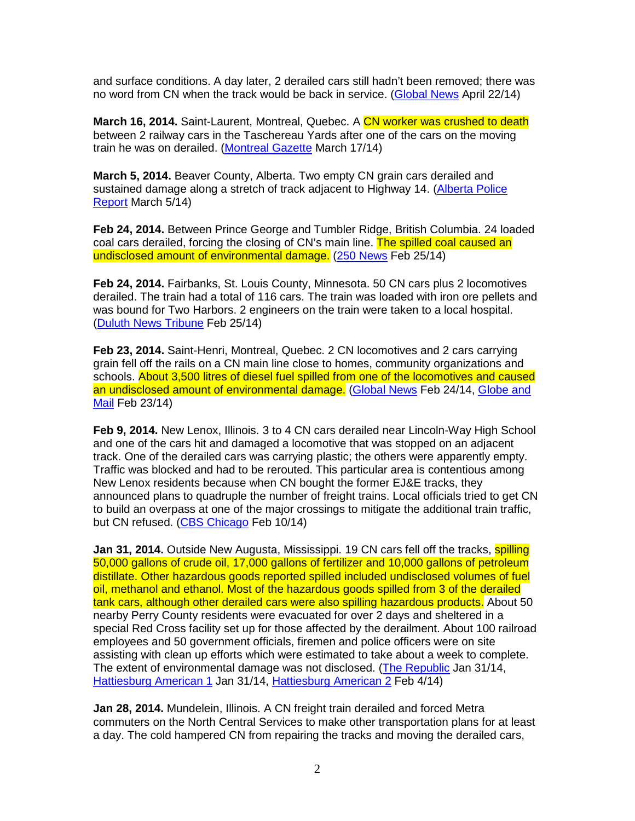and surface conditions. A day later, 2 derailed cars still hadn't been removed; there was no word from CN when the track would be back in service. (Global News April 22/14)

**March 16, 2014.** Saint-Laurent, Montreal, Quebec. A CN worker was crushed to death between 2 railway cars in the Taschereau Yards after one of the cars on the moving train he was on derailed. (Montreal Gazette March 17/14)

**March 5, 2014.** Beaver County, Alberta. Two empty CN grain cars derailed and sustained damage along a stretch of track adjacent to Highway 14. (Alberta Police Report March 5/14)

**Feb 24, 2014.** Between Prince George and Tumbler Ridge, British Columbia. 24 loaded coal cars derailed, forcing the closing of CN's main line. The spilled coal caused an undisclosed amount of environmental damage. (250 News Feb 25/14)

**Feb 24, 2014.** Fairbanks, St. Louis County, Minnesota. 50 CN cars plus 2 locomotives derailed. The train had a total of 116 cars. The train was loaded with iron ore pellets and was bound for Two Harbors. 2 engineers on the train were taken to a local hospital. (Duluth News Tribune Feb 25/14)

**Feb 23, 2014.** Saint-Henri, Montreal, Quebec. 2 CN locomotives and 2 cars carrying grain fell off the rails on a CN main line close to homes, community organizations and schools. About 3,500 litres of diesel fuel spilled from one of the locomotives and caused an undisclosed amount of environmental damage. (Global News Feb 24/14, Globe and Mail Feb 23/14)

**Feb 9, 2014.** New Lenox, Illinois. 3 to 4 CN cars derailed near Lincoln-Way High School and one of the cars hit and damaged a locomotive that was stopped on an adjacent track. One of the derailed cars was carrying plastic; the others were apparently empty. Traffic was blocked and had to be rerouted. This particular area is contentious among New Lenox residents because when CN bought the former EJ&E tracks, they announced plans to quadruple the number of freight trains. Local officials tried to get CN to build an overpass at one of the major crossings to mitigate the additional train traffic, but CN refused. (CBS Chicago Feb 10/14)

**Jan 31, 2014.** Outside New Augusta, Mississippi, 19 CN cars fell off the tracks, **spilling** 50,000 gallons of crude oil, 17,000 gallons of fertilizer and 10,000 gallons of petroleum distillate. Other hazardous goods reported spilled included undisclosed volumes of fuel oil, methanol and ethanol. Most of the hazardous goods spilled from 3 of the derailed tank cars, although other derailed cars were also spilling hazardous products. About 50 nearby Perry County residents were evacuated for over 2 days and sheltered in a special Red Cross facility set up for those affected by the derailment. About 100 railroad employees and 50 government officials, firemen and police officers were on site assisting with clean up efforts which were estimated to take about a week to complete. The extent of environmental damage was not disclosed. (The Republic Jan 31/14, Hattiesburg American 1 Jan 31/14, Hattiesburg American 2 Feb 4/14)

**Jan 28, 2014.** Mundelein, Illinois. A CN freight train derailed and forced Metra commuters on the North Central Services to make other transportation plans for at least a day. The cold hampered CN from repairing the tracks and moving the derailed cars,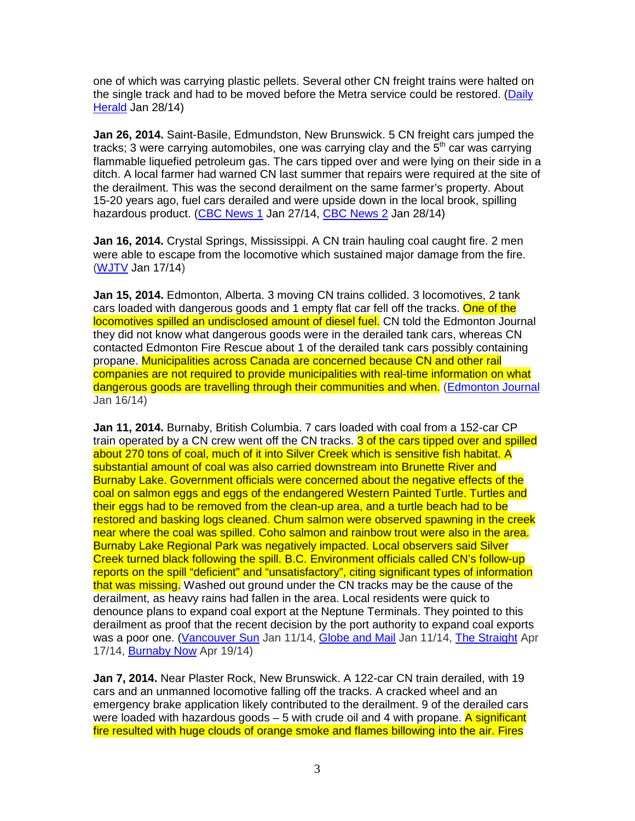one of which was carrying plastic pellets. Several other CN freight trains were halted on the single track and had to be moved before the Metra service could be restored. (Daily Herald Jan 28/14)

**Jan 26, 2014.** Saint-Basile, Edmundston, New Brunswick. 5 CN freight cars jumped the tracks; 3 were carrying automobiles, one was carrying clay and the  $5<sup>th</sup>$  car was carrying flammable liquefied petroleum gas. The cars tipped over and were lying on their side in a ditch. A local farmer had warned CN last summer that repairs were required at the site of the derailment. This was the second derailment on the same farmer's property. About 15-20 years ago, fuel cars derailed and were upside down in the local brook, spilling hazardous product. (CBC News 1 Jan 27/14, CBC News 2 Jan 28/14)

**Jan 16, 2014.** Crystal Springs, Mississippi. A CN train hauling coal caught fire. 2 men were able to escape from the locomotive which sustained major damage from the fire. (WJTV Jan 17/14)

**Jan 15, 2014.** Edmonton, Alberta. 3 moving CN trains collided. 3 locomotives, 2 tank cars loaded with dangerous goods and 1 empty flat car fell off the tracks. One of the locomotives spilled an undisclosed amount of diesel fuel. CN told the Edmonton Journal they did not know what dangerous goods were in the derailed tank cars, whereas CN contacted Edmonton Fire Rescue about 1 of the derailed tank cars possibly containing propane. Municipalities across Canada are concerned because CN and other rail companies are not required to provide municipalities with real-time information on what dangerous goods are travelling through their communities and when. (Edmonton Journal Jan 16/14)

**Jan 11, 2014.** Burnaby, British Columbia. 7 cars loaded with coal from a 152-car CP train operated by a CN crew went off the CN tracks. 3 of the cars tipped over and spilled about 270 tons of coal, much of it into Silver Creek which is sensitive fish habitat. A substantial amount of coal was also carried downstream into Brunette River and Burnaby Lake. Government officials were concerned about the negative effects of the coal on salmon eggs and eggs of the endangered Western Painted Turtle. Turtles and their eggs had to be removed from the clean-up area, and a turtle beach had to be restored and basking logs cleaned. Chum salmon were observed spawning in the creek near where the coal was spilled. Coho salmon and rainbow trout were also in the area. Burnaby Lake Regional Park was negatively impacted. Local observers said Silver Creek turned black following the spill. B.C. Environment officials called CN's follow-up reports on the spill "deficient" and "unsatisfactory", citing significant types of information that was missing. Washed out ground under the CN tracks may be the cause of the derailment, as heavy rains had fallen in the area. Local residents were quick to denounce plans to expand coal export at the Neptune Terminals. They pointed to this derailment as proof that the recent decision by the port authority to expand coal exports was a poor one. (Vancouver Sun Jan 11/14, Globe and Mail Jan 11/14, The Straight Apr 17/14, Burnaby Now Apr 19/14)

**Jan 7, 2014.** Near Plaster Rock, New Brunswick. A 122-car CN train derailed, with 19 cars and an unmanned locomotive falling off the tracks. A cracked wheel and an emergency brake application likely contributed to the derailment. 9 of the derailed cars were loaded with hazardous goods  $-5$  with crude oil and 4 with propane. A significant fire resulted with huge clouds of orange smoke and flames billowing into the air. Fires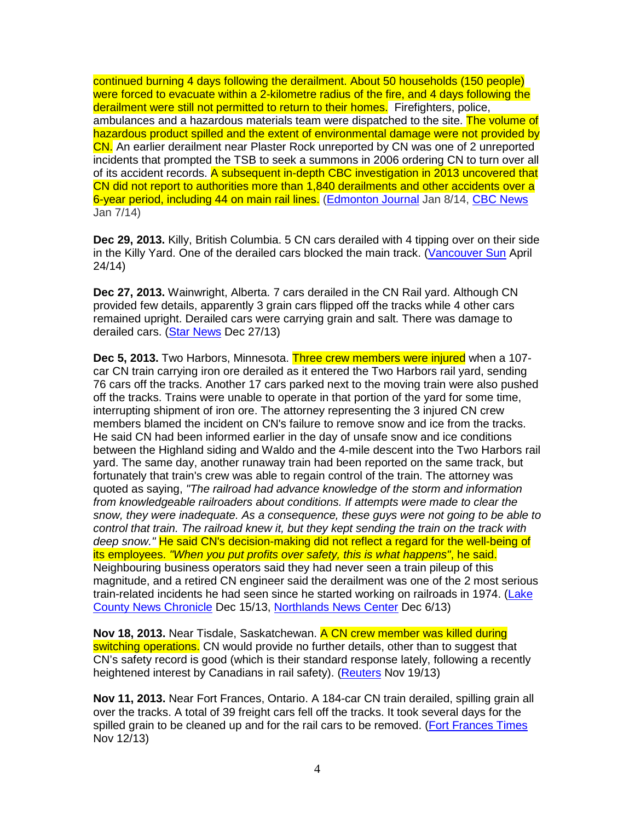continued burning 4 days following the derailment. About 50 households (150 people) were forced to evacuate within a 2-kilometre radius of the fire, and 4 days following the derailment were still not permitted to return to their homes. Firefighters, police, ambulances and a hazardous materials team were dispatched to the site. The volume of hazardous product spilled and the extent of environmental damage were not provided by CN. An earlier derailment near Plaster Rock unreported by CN was one of 2 unreported incidents that prompted the TSB to seek a summons in 2006 ordering CN to turn over all of its accident records. A subsequent in-depth CBC investigation in 2013 uncovered that CN did not report to authorities more than 1,840 derailments and other accidents over a 6-year period, including 44 on main rail lines. (Edmonton Journal Jan 8/14, CBC News Jan 7/14)

**Dec 29, 2013.** Killy, British Columbia. 5 CN cars derailed with 4 tipping over on their side in the Killy Yard. One of the derailed cars blocked the main track. (Vancouver Sun April 24/14)

**Dec 27, 2013.** Wainwright, Alberta. 7 cars derailed in the CN Rail yard. Although CN provided few details, apparently 3 grain cars flipped off the tracks while 4 other cars remained upright. Derailed cars were carrying grain and salt. There was damage to derailed cars. (Star News Dec 27/13)

**Dec 5, 2013.** Two Harbors, Minnesota. Three crew members were injured when a 107 car CN train carrying iron ore derailed as it entered the Two Harbors rail yard, sending 76 cars off the tracks. Another 17 cars parked next to the moving train were also pushed off the tracks. Trains were unable to operate in that portion of the yard for some time, interrupting shipment of iron ore. The attorney representing the 3 injured CN crew members blamed the incident on CN's failure to remove snow and ice from the tracks. He said CN had been informed earlier in the day of unsafe snow and ice conditions between the Highland siding and Waldo and the 4-mile descent into the Two Harbors rail yard. The same day, another runaway train had been reported on the same track, but fortunately that train's crew was able to regain control of the train. The attorney was quoted as saying, "The railroad had advance knowledge of the storm and information from knowledgeable railroaders about conditions. If attempts were made to clear the snow, they were inadequate. As a consequence, these guys were not going to be able to control that train. The railroad knew it, but they kept sending the train on the track with deep snow." He said CN's decision-making did not reflect a regard for the well-being of its employees. "When you put profits over safety, this is what happens", he said. Neighbouring business operators said they had never seen a train pileup of this magnitude, and a retired CN engineer said the derailment was one of the 2 most serious train-related incidents he had seen since he started working on railroads in 1974. (Lake County News Chronicle Dec 15/13, Northlands News Center Dec 6/13)

**Nov 18, 2013.** Near Tisdale, Saskatchewan. A CN crew member was killed during switching operations. CN would provide no further details, other than to suggest that CN's safety record is good (which is their standard response lately, following a recently heightened interest by Canadians in rail safety). (Reuters Nov 19/13)

**Nov 11, 2013.** Near Fort Frances, Ontario. A 184-car CN train derailed, spilling grain all over the tracks. A total of 39 freight cars fell off the tracks. It took several days for the spilled grain to be cleaned up and for the rail cars to be removed. (Fort Frances Times Nov 12/13)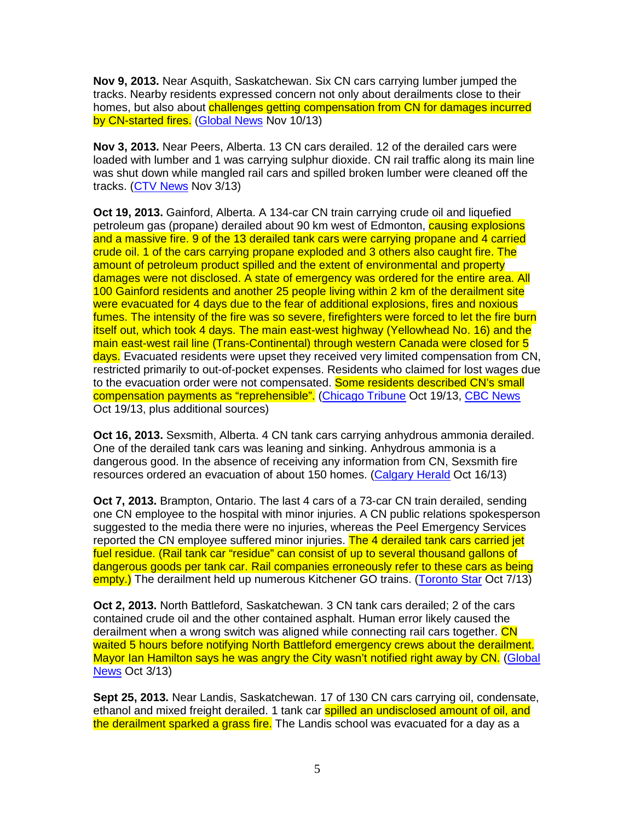**Nov 9, 2013.** Near Asquith, Saskatchewan. Six CN cars carrying lumber jumped the tracks. Nearby residents expressed concern not only about derailments close to their homes, but also about challenges getting compensation from CN for damages incurred by CN-started fires. (Global News Nov 10/13)

**Nov 3, 2013.** Near Peers, Alberta. 13 CN cars derailed. 12 of the derailed cars were loaded with lumber and 1 was carrying sulphur dioxide. CN rail traffic along its main line was shut down while mangled rail cars and spilled broken lumber were cleaned off the tracks. (CTV News Nov 3/13)

**Oct 19, 2013.** Gainford, Alberta. A 134-car CN train carrying crude oil and liquefied petroleum gas (propane) derailed about 90 km west of Edmonton, causing explosions and a massive fire. 9 of the 13 derailed tank cars were carrying propane and 4 carried crude oil. 1 of the cars carrying propane exploded and 3 others also caught fire. The amount of petroleum product spilled and the extent of environmental and property damages were not disclosed. A state of emergency was ordered for the entire area. All 100 Gainford residents and another 25 people living within 2 km of the derailment site were evacuated for 4 days due to the fear of additional explosions, fires and noxious fumes. The intensity of the fire was so severe, firefighters were forced to let the fire burn itself out, which took 4 days. The main east-west highway (Yellowhead No. 16) and the main east-west rail line (Trans-Continental) through western Canada were closed for 5 days. Evacuated residents were upset they received very limited compensation from CN. restricted primarily to out-of-pocket expenses. Residents who claimed for lost wages due to the evacuation order were not compensated. Some residents described CN's small compensation payments as "reprehensible". (Chicago Tribune Oct 19/13, CBC News Oct 19/13, plus additional sources)

**Oct 16, 2013.** Sexsmith, Alberta. 4 CN tank cars carrying anhydrous ammonia derailed. One of the derailed tank cars was leaning and sinking. Anhydrous ammonia is a dangerous good. In the absence of receiving any information from CN, Sexsmith fire resources ordered an evacuation of about 150 homes. (Calgary Herald Oct 16/13)

**Oct 7, 2013.** Brampton, Ontario. The last 4 cars of a 73-car CN train derailed, sending one CN employee to the hospital with minor injuries. A CN public relations spokesperson suggested to the media there were no injuries, whereas the Peel Emergency Services reported the CN employee suffered minor injuries. The 4 derailed tank cars carried jet fuel residue. (Rail tank car "residue" can consist of up to several thousand gallons of dangerous goods per tank car. Rail companies erroneously refer to these cars as being empty.) The derailment held up numerous Kitchener GO trains. (Toronto Star Oct 7/13)

**Oct 2, 2013.** North Battleford, Saskatchewan. 3 CN tank cars derailed; 2 of the cars contained crude oil and the other contained asphalt. Human error likely caused the derailment when a wrong switch was aligned while connecting rail cars together. CN waited 5 hours before notifying North Battleford emergency crews about the derailment. Mayor Ian Hamilton says he was angry the City wasn't notified right away by CN. (Global News Oct 3/13)

**Sept 25, 2013.** Near Landis, Saskatchewan. 17 of 130 CN cars carrying oil, condensate, ethanol and mixed freight derailed. 1 tank car spilled an undisclosed amount of oil, and the derailment sparked a grass fire. The Landis school was evacuated for a dav as a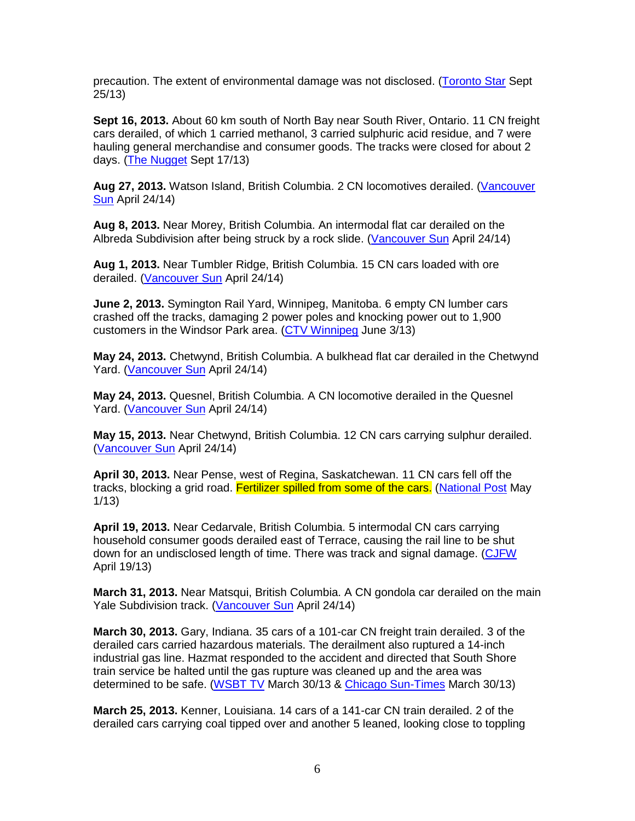precaution. The extent of environmental damage was not disclosed. (Toronto Star Sept 25/13)

**Sept 16, 2013.** About 60 km south of North Bay near South River, Ontario. 11 CN freight cars derailed, of which 1 carried methanol, 3 carried sulphuric acid residue, and 7 were hauling general merchandise and consumer goods. The tracks were closed for about 2 days. (The Nugget Sept 17/13)

**Aug 27, 2013.** Watson Island, British Columbia. 2 CN locomotives derailed. (Vancouver Sun April 24/14)

**Aug 8, 2013.** Near Morey, British Columbia. An intermodal flat car derailed on the Albreda Subdivision after being struck by a rock slide. (Vancouver Sun April 24/14)

**Aug 1, 2013.** Near Tumbler Ridge, British Columbia. 15 CN cars loaded with ore derailed. (Vancouver Sun April 24/14)

**June 2, 2013.** Symington Rail Yard, Winnipeg, Manitoba. 6 empty CN lumber cars crashed off the tracks, damaging 2 power poles and knocking power out to 1,900 customers in the Windsor Park area. (CTV Winnipeg June 3/13)

**May 24, 2013.** Chetwynd, British Columbia. A bulkhead flat car derailed in the Chetwynd Yard. (Vancouver Sun April 24/14)

**May 24, 2013.** Quesnel, British Columbia. A CN locomotive derailed in the Quesnel Yard. (Vancouver Sun April 24/14)

**May 15, 2013.** Near Chetwynd, British Columbia. 12 CN cars carrying sulphur derailed. (Vancouver Sun April 24/14)

**April 30, 2013.** Near Pense, west of Regina, Saskatchewan. 11 CN cars fell off the tracks, blocking a grid road. Fertilizer spilled from some of the cars. (National Post May 1/13)

**April 19, 2013.** Near Cedarvale, British Columbia. 5 intermodal CN cars carrying household consumer goods derailed east of Terrace, causing the rail line to be shut down for an undisclosed length of time. There was track and signal damage. (CJFW April 19/13)

**March 31, 2013.** Near Matsqui, British Columbia. A CN gondola car derailed on the main Yale Subdivision track. (Vancouver Sun April 24/14)

**March 30, 2013.** Gary, Indiana. 35 cars of a 101-car CN freight train derailed. 3 of the derailed cars carried hazardous materials. The derailment also ruptured a 14-inch industrial gas line. Hazmat responded to the accident and directed that South Shore train service be halted until the gas rupture was cleaned up and the area was determined to be safe. (WSBT TV March 30/13 & Chicago Sun-Times March 30/13)

**March 25, 2013.** Kenner, Louisiana. 14 cars of a 141-car CN train derailed. 2 of the derailed cars carrying coal tipped over and another 5 leaned, looking close to toppling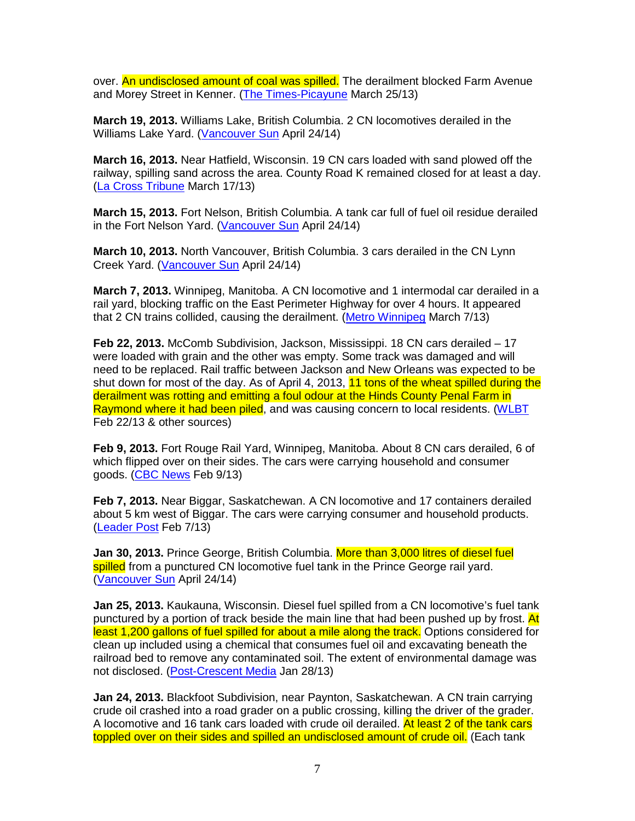over. An undisclosed amount of coal was spilled. The derailment blocked Farm Avenue and Morey Street in Kenner. (The Times-Picayune March 25/13)

**March 19, 2013.** Williams Lake, British Columbia. 2 CN locomotives derailed in the Williams Lake Yard. (Vancouver Sun April 24/14)

**March 16, 2013.** Near Hatfield, Wisconsin. 19 CN cars loaded with sand plowed off the railway, spilling sand across the area. County Road K remained closed for at least a day. (La Cross Tribune March 17/13)

**March 15, 2013.** Fort Nelson, British Columbia. A tank car full of fuel oil residue derailed in the Fort Nelson Yard. (Vancouver Sun April 24/14)

**March 10, 2013.** North Vancouver, British Columbia. 3 cars derailed in the CN Lynn Creek Yard. (Vancouver Sun April 24/14)

**March 7, 2013.** Winnipeg, Manitoba. A CN locomotive and 1 intermodal car derailed in a rail yard, blocking traffic on the East Perimeter Highway for over 4 hours. It appeared that 2 CN trains collided, causing the derailment. (Metro Winnipeg March 7/13)

**Feb 22, 2013.** McComb Subdivision, Jackson, Mississippi. 18 CN cars derailed – 17 were loaded with grain and the other was empty. Some track was damaged and will need to be replaced. Rail traffic between Jackson and New Orleans was expected to be shut down for most of the day. As of April 4, 2013, 11 tons of the wheat spilled during the derailment was rotting and emitting a foul odour at the Hinds County Penal Farm in Raymond where it had been piled, and was causing concern to local residents. (WLBT Feb 22/13 & other sources)

**Feb 9, 2013.** Fort Rouge Rail Yard, Winnipeg, Manitoba. About 8 CN cars derailed, 6 of which flipped over on their sides. The cars were carrying household and consumer goods. (CBC News Feb 9/13)

**Feb 7, 2013.** Near Biggar, Saskatchewan. A CN locomotive and 17 containers derailed about 5 km west of Biggar. The cars were carrying consumer and household products. (Leader Post Feb 7/13)

**Jan 30, 2013.** Prince George, British Columbia. More than 3,000 litres of diesel fuel spilled from a punctured CN locomotive fuel tank in the Prince George rail yard. (Vancouver Sun April 24/14)

**Jan 25, 2013.** Kaukauna, Wisconsin. Diesel fuel spilled from a CN locomotive's fuel tank punctured by a portion of track beside the main line that had been pushed up by frost. At least 1,200 gallons of fuel spilled for about a mile along the track. Options considered for clean up included using a chemical that consumes fuel oil and excavating beneath the railroad bed to remove any contaminated soil. The extent of environmental damage was not disclosed. (Post-Crescent Media Jan 28/13)

**Jan 24, 2013.** Blackfoot Subdivision, near Paynton, Saskatchewan. A CN train carrying crude oil crashed into a road grader on a public crossing, killing the driver of the grader. A locomotive and 16 tank cars loaded with crude oil derailed. At least 2 of the tank cars toppled over on their sides and spilled an undisclosed amount of crude oil. (Each tank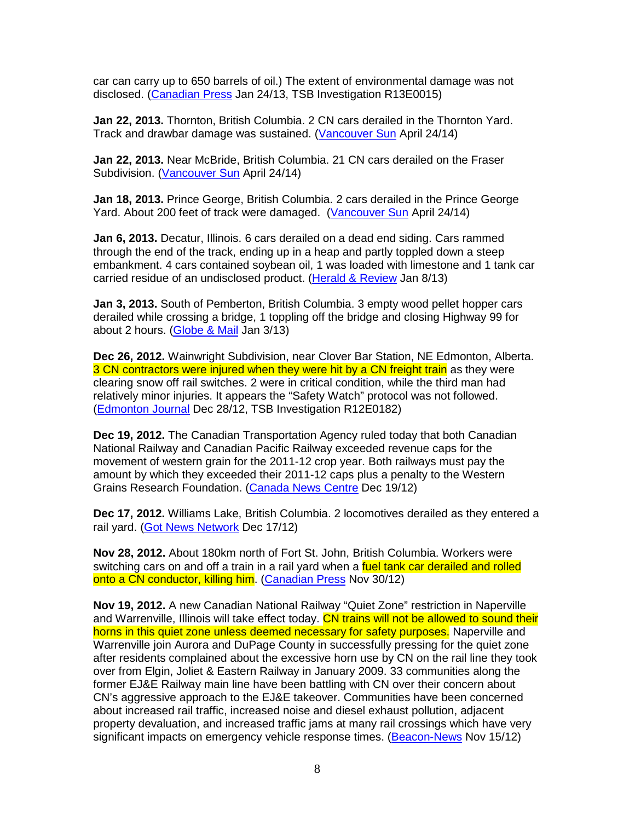car can carry up to 650 barrels of oil.) The extent of environmental damage was not disclosed. (Canadian Press Jan 24/13, TSB Investigation R13E0015)

**Jan 22, 2013.** Thornton, British Columbia. 2 CN cars derailed in the Thornton Yard. Track and drawbar damage was sustained. (Vancouver Sun April 24/14)

**Jan 22, 2013.** Near McBride, British Columbia. 21 CN cars derailed on the Fraser Subdivision. (Vancouver Sun April 24/14)

**Jan 18, 2013.** Prince George, British Columbia. 2 cars derailed in the Prince George Yard. About 200 feet of track were damaged. (Vancouver Sun April 24/14)

**Jan 6, 2013.** Decatur, Illinois. 6 cars derailed on a dead end siding. Cars rammed through the end of the track, ending up in a heap and partly toppled down a steep embankment. 4 cars contained soybean oil, 1 was loaded with limestone and 1 tank car carried residue of an undisclosed product. (Herald & Review Jan 8/13)

**Jan 3, 2013.** South of Pemberton, British Columbia. 3 empty wood pellet hopper cars derailed while crossing a bridge, 1 toppling off the bridge and closing Highway 99 for about 2 hours. (Globe & Mail Jan 3/13)

**Dec 26, 2012.** Wainwright Subdivision, near Clover Bar Station, NE Edmonton, Alberta. 3 CN contractors were injured when they were hit by a CN freight train as they were clearing snow off rail switches. 2 were in critical condition, while the third man had relatively minor injuries. It appears the "Safety Watch" protocol was not followed. (Edmonton Journal Dec 28/12, TSB Investigation R12E0182)

**Dec 19, 2012.** The Canadian Transportation Agency ruled today that both Canadian National Railway and Canadian Pacific Railway exceeded revenue caps for the movement of western grain for the 2011-12 crop year. Both railways must pay the amount by which they exceeded their 2011-12 caps plus a penalty to the Western Grains Research Foundation. (Canada News Centre Dec 19/12)

**Dec 17, 2012.** Williams Lake, British Columbia. 2 locomotives derailed as they entered a rail yard. (Got News Network Dec 17/12)

**Nov 28, 2012.** About 180km north of Fort St. John, British Columbia. Workers were switching cars on and off a train in a rail yard when a fuel tank car derailed and rolled onto a CN conductor, killing him. (Canadian Press Nov 30/12)

**Nov 19, 2012.** A new Canadian National Railway "Quiet Zone" restriction in Naperville and Warrenville, Illinois will take effect today. CN trains will not be allowed to sound their horns in this quiet zone unless deemed necessary for safety purposes. Naperville and Warrenville join Aurora and DuPage County in successfully pressing for the quiet zone after residents complained about the excessive horn use by CN on the rail line they took over from Elgin, Joliet & Eastern Railway in January 2009. 33 communities along the former EJ&E Railway main line have been battling with CN over their concern about CN's aggressive approach to the EJ&E takeover. Communities have been concerned about increased rail traffic, increased noise and diesel exhaust pollution, adjacent property devaluation, and increased traffic jams at many rail crossings which have very significant impacts on emergency vehicle response times. (Beacon-News Nov 15/12)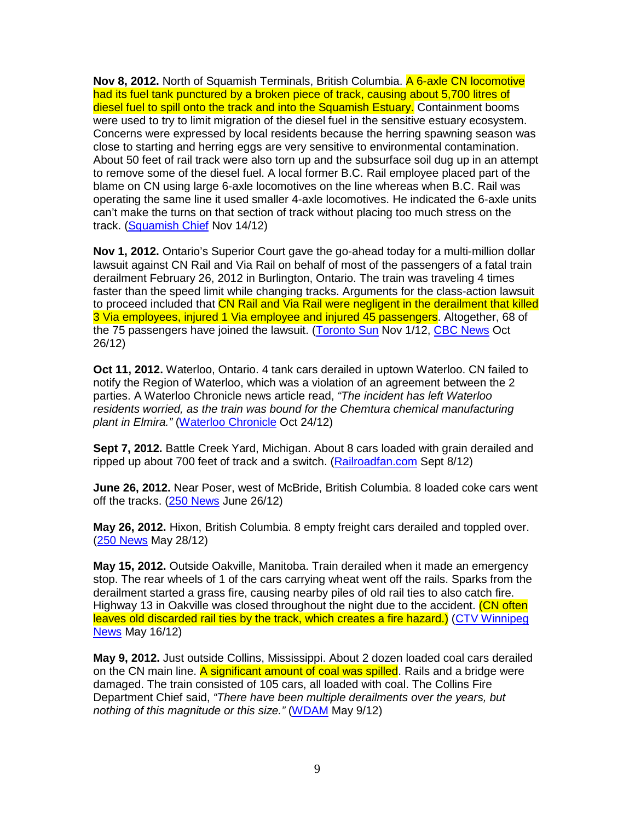**Nov 8, 2012.** North of Squamish Terminals, British Columbia. A 6-axle CN locomotive had its fuel tank punctured by a broken piece of track, causing about 5,700 litres of diesel fuel to spill onto the track and into the Squamish Estuary. Containment booms were used to try to limit migration of the diesel fuel in the sensitive estuary ecosystem. Concerns were expressed by local residents because the herring spawning season was close to starting and herring eggs are very sensitive to environmental contamination. About 50 feet of rail track were also torn up and the subsurface soil dug up in an attempt to remove some of the diesel fuel. A local former B.C. Rail employee placed part of the blame on CN using large 6-axle locomotives on the line whereas when B.C. Rail was operating the same line it used smaller 4-axle locomotives. He indicated the 6-axle units can't make the turns on that section of track without placing too much stress on the track. (Squamish Chief Nov 14/12)

**Nov 1, 2012.** Ontario's Superior Court gave the go-ahead today for a multi-million dollar lawsuit against CN Rail and Via Rail on behalf of most of the passengers of a fatal train derailment February 26, 2012 in Burlington, Ontario. The train was traveling 4 times faster than the speed limit while changing tracks. Arguments for the class-action lawsuit to proceed included that CN Rail and Via Rail were negligent in the derailment that killed 3 Via employees, injured 1 Via employee and injured 45 passengers. Altogether, 68 of the 75 passengers have joined the lawsuit. (Toronto Sun Nov 1/12, CBC News Oct 26/12)

**Oct 11, 2012.** Waterloo, Ontario. 4 tank cars derailed in uptown Waterloo. CN failed to notify the Region of Waterloo, which was a violation of an agreement between the 2 parties. A Waterloo Chronicle news article read, "The incident has left Waterloo residents worried, as the train was bound for the Chemtura chemical manufacturing plant in Elmira." (Waterloo Chronicle Oct 24/12)

**Sept 7, 2012.** Battle Creek Yard, Michigan. About 8 cars loaded with grain derailed and ripped up about 700 feet of track and a switch. (Railroadfan.com Sept 8/12)

**June 26, 2012.** Near Poser, west of McBride, British Columbia. 8 loaded coke cars went off the tracks. (250 News June 26/12)

**May 26, 2012.** Hixon, British Columbia. 8 empty freight cars derailed and toppled over. (250 News May 28/12)

**May 15, 2012.** Outside Oakville, Manitoba. Train derailed when it made an emergency stop. The rear wheels of 1 of the cars carrying wheat went off the rails. Sparks from the derailment started a grass fire, causing nearby piles of old rail ties to also catch fire. Highway 13 in Oakville was closed throughout the night due to the accident. (CN often leaves old discarded rail ties by the track, which creates a fire hazard.) (CTV Winnipeg News May 16/12)

**May 9, 2012.** Just outside Collins, Mississippi. About 2 dozen loaded coal cars derailed on the CN main line. A significant amount of coal was spilled. Rails and a bridge were damaged. The train consisted of 105 cars, all loaded with coal. The Collins Fire Department Chief said, "There have been multiple derailments over the years, but nothing of this magnitude or this size." (WDAM May 9/12)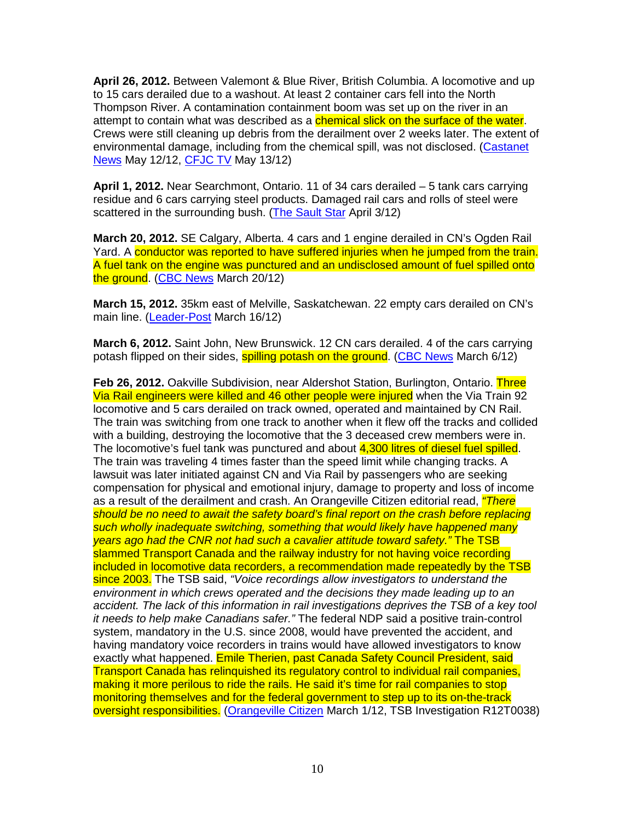**April 26, 2012.** Between Valemont & Blue River, British Columbia. A locomotive and up to 15 cars derailed due to a washout. At least 2 container cars fell into the North Thompson River. A contamination containment boom was set up on the river in an attempt to contain what was described as a *chemical slick on the surface of the water*. Crews were still cleaning up debris from the derailment over 2 weeks later. The extent of environmental damage, including from the chemical spill, was not disclosed. (Castanet News May 12/12, CFJC TV May 13/12)

**April 1, 2012.** Near Searchmont, Ontario. 11 of 34 cars derailed – 5 tank cars carrying residue and 6 cars carrying steel products. Damaged rail cars and rolls of steel were scattered in the surrounding bush. (The Sault Star April 3/12)

**March 20, 2012.** SE Calgary, Alberta. 4 cars and 1 engine derailed in CN's Ogden Rail Yard. A conductor was reported to have suffered injuries when he jumped from the train. A fuel tank on the engine was punctured and an undisclosed amount of fuel spilled onto the ground. (CBC News March 20/12)

**March 15, 2012.** 35km east of Melville, Saskatchewan. 22 empty cars derailed on CN's main line. (Leader-Post March 16/12)

**March 6, 2012.** Saint John, New Brunswick. 12 CN cars derailed. 4 of the cars carrying potash flipped on their sides, **spilling potash on the ground.** (CBC News March 6/12)

**Feb 26, 2012.** Oakville Subdivision, near Aldershot Station, Burlington, Ontario. Three Via Rail engineers were killed and 46 other people were injured when the Via Train 92 locomotive and 5 cars derailed on track owned, operated and maintained by CN Rail. The train was switching from one track to another when it flew off the tracks and collided with a building, destroying the locomotive that the 3 deceased crew members were in. The locomotive's fuel tank was punctured and about 4,300 litres of diesel fuel spilled. The train was traveling 4 times faster than the speed limit while changing tracks. A lawsuit was later initiated against CN and Via Rail by passengers who are seeking compensation for physical and emotional injury, damage to property and loss of income as a result of the derailment and crash. An Orangeville Citizen editorial read, *"There* should be no need to await the safety board's final report on the crash before replacing such wholly inadequate switching, something that would likely have happened many years ago had the CNR not had such a cavalier attitude toward safety." The TSB slammed Transport Canada and the railway industry for not having voice recording included in locomotive data recorders, a recommendation made repeatedly by the TSB since 2003. The TSB said, "Voice recordings allow investigators to understand the environment in which crews operated and the decisions they made leading up to an accident. The lack of this information in rail investigations deprives the TSB of a key tool it needs to help make Canadians safer." The federal NDP said a positive train-control system, mandatory in the U.S. since 2008, would have prevented the accident, and having mandatory voice recorders in trains would have allowed investigators to know exactly what happened. Emile Therien, past Canada Safety Council President, said Transport Canada has relinquished its regulatory control to individual rail companies, making it more perilous to ride the rails. He said it's time for rail companies to stop monitoring themselves and for the federal government to step up to its on-the-track oversight responsibilities. (Orangeville Citizen March 1/12, TSB Investigation R12T0038)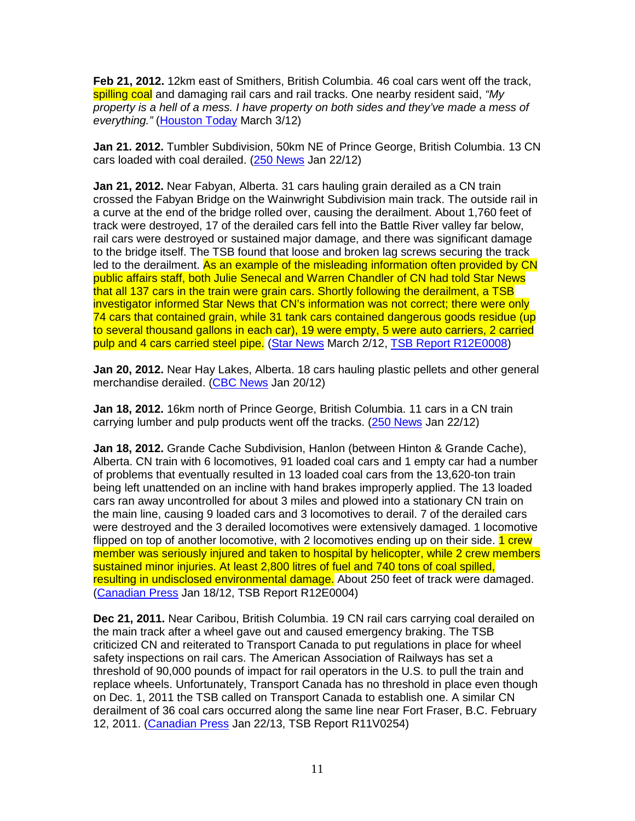**Feb 21, 2012.** 12km east of Smithers, British Columbia. 46 coal cars went off the track, spilling coal and damaging rail cars and rail tracks. One nearby resident said, "My property is a hell of a mess. I have property on both sides and they've made a mess of everything." (Houston Today March 3/12)

**Jan 21. 2012.** Tumbler Subdivision, 50km NE of Prince George, British Columbia. 13 CN cars loaded with coal derailed. (250 News Jan 22/12)

**Jan 21, 2012.** Near Fabyan, Alberta. 31 cars hauling grain derailed as a CN train crossed the Fabyan Bridge on the Wainwright Subdivision main track. The outside rail in a curve at the end of the bridge rolled over, causing the derailment. About 1,760 feet of track were destroyed, 17 of the derailed cars fell into the Battle River valley far below, rail cars were destroyed or sustained major damage, and there was significant damage to the bridge itself. The TSB found that loose and broken lag screws securing the track led to the derailment. As an example of the misleading information often provided by CN public affairs staff, both Julie Senecal and Warren Chandler of CN had told Star News that all 137 cars in the train were grain cars. Shortly following the derailment, a TSB investigator informed Star News that CN's information was not correct; there were only 74 cars that contained grain, while 31 tank cars contained dangerous goods residue (up to several thousand gallons in each car), 19 were empty, 5 were auto carriers, 2 carried pulp and 4 cars carried steel pipe. (Star News March 2/12, TSB Report R12E0008)

**Jan 20, 2012.** Near Hay Lakes, Alberta. 18 cars hauling plastic pellets and other general merchandise derailed. (CBC News Jan 20/12)

**Jan 18, 2012.** 16km north of Prince George, British Columbia. 11 cars in a CN train carrying lumber and pulp products went off the tracks. (250 News Jan 22/12)

**Jan 18, 2012.** Grande Cache Subdivision, Hanlon (between Hinton & Grande Cache), Alberta. CN train with 6 locomotives, 91 loaded coal cars and 1 empty car had a number of problems that eventually resulted in 13 loaded coal cars from the 13,620-ton train being left unattended on an incline with hand brakes improperly applied. The 13 loaded cars ran away uncontrolled for about 3 miles and plowed into a stationary CN train on the main line, causing 9 loaded cars and 3 locomotives to derail. 7 of the derailed cars were destroyed and the 3 derailed locomotives were extensively damaged. 1 locomotive flipped on top of another locomotive, with 2 locomotives ending up on their side. **1 crew** member was seriously injured and taken to hospital by helicopter, while 2 crew members sustained minor injuries. At least 2,800 litres of fuel and 740 tons of coal spilled, resulting in undisclosed environmental damage. About 250 feet of track were damaged. (Canadian Press Jan 18/12, TSB Report R12E0004)

**Dec 21, 2011.** Near Caribou, British Columbia. 19 CN rail cars carrying coal derailed on the main track after a wheel gave out and caused emergency braking. The TSB criticized CN and reiterated to Transport Canada to put regulations in place for wheel safety inspections on rail cars. The American Association of Railways has set a threshold of 90,000 pounds of impact for rail operators in the U.S. to pull the train and replace wheels. Unfortunately, Transport Canada has no threshold in place even though on Dec. 1, 2011 the TSB called on Transport Canada to establish one. A similar CN derailment of 36 coal cars occurred along the same line near Fort Fraser, B.C. February 12, 2011. (Canadian Press Jan 22/13, TSB Report R11V0254)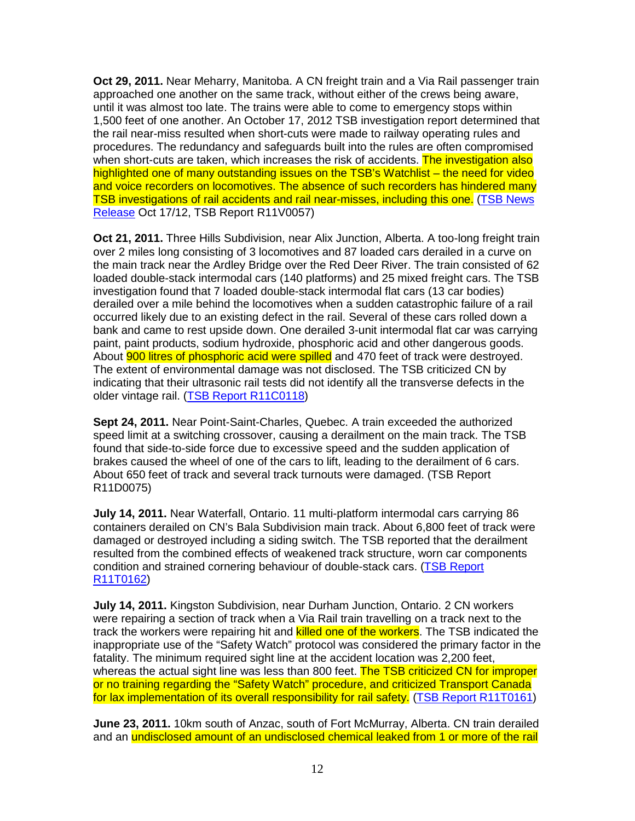**Oct 29, 2011.** Near Meharry, Manitoba. A CN freight train and a Via Rail passenger train approached one another on the same track, without either of the crews being aware, until it was almost too late. The trains were able to come to emergency stops within 1,500 feet of one another. An October 17, 2012 TSB investigation report determined that the rail near-miss resulted when short-cuts were made to railway operating rules and procedures. The redundancy and safeguards built into the rules are often compromised when short-cuts are taken, which increases the risk of accidents. The investigation also highlighted one of many outstanding issues on the TSB's Watchlist – the need for video and voice recorders on locomotives. The absence of such recorders has hindered many TSB investigations of rail accidents and rail near-misses, including this one. (TSB News Release Oct 17/12, TSB Report R11V0057)

**Oct 21, 2011.** Three Hills Subdivision, near Alix Junction, Alberta. A too-long freight train over 2 miles long consisting of 3 locomotives and 87 loaded cars derailed in a curve on the main track near the Ardley Bridge over the Red Deer River. The train consisted of 62 loaded double-stack intermodal cars (140 platforms) and 25 mixed freight cars. The TSB investigation found that 7 loaded double-stack intermodal flat cars (13 car bodies) derailed over a mile behind the locomotives when a sudden catastrophic failure of a rail occurred likely due to an existing defect in the rail. Several of these cars rolled down a bank and came to rest upside down. One derailed 3-unit intermodal flat car was carrying paint, paint products, sodium hydroxide, phosphoric acid and other dangerous goods. About **900 litres of phosphoric acid were spilled** and 470 feet of track were destroyed. The extent of environmental damage was not disclosed. The TSB criticized CN by indicating that their ultrasonic rail tests did not identify all the transverse defects in the older vintage rail. (TSB Report R11C0118)

**Sept 24, 2011.** Near Point-Saint-Charles, Quebec. A train exceeded the authorized speed limit at a switching crossover, causing a derailment on the main track. The TSB found that side-to-side force due to excessive speed and the sudden application of brakes caused the wheel of one of the cars to lift, leading to the derailment of 6 cars. About 650 feet of track and several track turnouts were damaged. (TSB Report R11D0075)

**July 14, 2011.** Near Waterfall, Ontario. 11 multi-platform intermodal cars carrying 86 containers derailed on CN's Bala Subdivision main track. About 6,800 feet of track were damaged or destroyed including a siding switch. The TSB reported that the derailment resulted from the combined effects of weakened track structure, worn car components condition and strained cornering behaviour of double-stack cars. (TSB Report R11T0162)

**July 14, 2011.** Kingston Subdivision, near Durham Junction, Ontario. 2 CN workers were repairing a section of track when a Via Rail train travelling on a track next to the track the workers were repairing hit and **killed one of the workers**. The TSB indicated the inappropriate use of the "Safety Watch" protocol was considered the primary factor in the fatality. The minimum required sight line at the accident location was 2,200 feet, whereas the actual sight line was less than 800 feet. The TSB criticized CN for improper or no training regarding the "Safety Watch" procedure, and criticized Transport Canada for lax implementation of its overall responsibility for rail safety. (TSB Report R11T0161)

**June 23, 2011.** 10km south of Anzac, south of Fort McMurray, Alberta. CN train derailed and an undisclosed amount of an undisclosed chemical leaked from 1 or more of the rail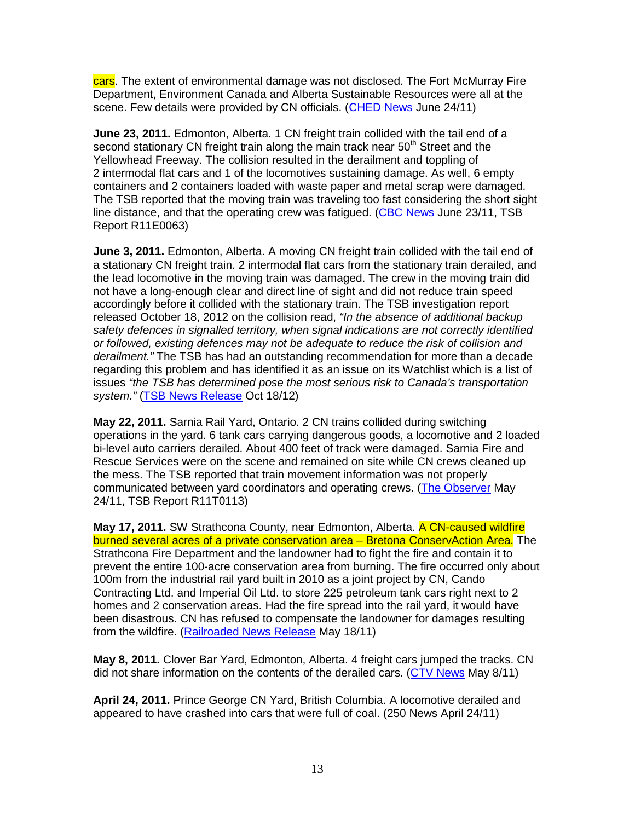cars. The extent of environmental damage was not disclosed. The Fort McMurray Fire Department, Environment Canada and Alberta Sustainable Resources were all at the scene. Few details were provided by CN officials. (CHED News June 24/11)

**June 23, 2011.** Edmonton, Alberta. 1 CN freight train collided with the tail end of a second stationary CN freight train along the main track near 50<sup>th</sup> Street and the Yellowhead Freeway. The collision resulted in the derailment and toppling of 2 intermodal flat cars and 1 of the locomotives sustaining damage. As well, 6 empty containers and 2 containers loaded with waste paper and metal scrap were damaged. The TSB reported that the moving train was traveling too fast considering the short sight line distance, and that the operating crew was fatigued. (CBC News June 23/11, TSB Report R11E0063)

**June 3, 2011.** Edmonton, Alberta. A moving CN freight train collided with the tail end of a stationary CN freight train. 2 intermodal flat cars from the stationary train derailed, and the lead locomotive in the moving train was damaged. The crew in the moving train did not have a long-enough clear and direct line of sight and did not reduce train speed accordingly before it collided with the stationary train. The TSB investigation report released October 18, 2012 on the collision read, "In the absence of additional backup safety defences in signalled territory, when signal indications are not correctly identified or followed, existing defences may not be adequate to reduce the risk of collision and derailment." The TSB has had an outstanding recommendation for more than a decade regarding this problem and has identified it as an issue on its Watchlist which is a list of issues "the TSB has determined pose the most serious risk to Canada's transportation system." (TSB News Release Oct 18/12)

**May 22, 2011.** Sarnia Rail Yard, Ontario. 2 CN trains collided during switching operations in the yard. 6 tank cars carrying dangerous goods, a locomotive and 2 loaded bi-level auto carriers derailed. About 400 feet of track were damaged. Sarnia Fire and Rescue Services were on the scene and remained on site while CN crews cleaned up the mess. The TSB reported that train movement information was not properly communicated between yard coordinators and operating crews. (The Observer May 24/11, TSB Report R11T0113)

**May 17, 2011.** SW Strathcona County, near Edmonton, Alberta. A CN-caused wildfire burned several acres of a private conservation area – Bretona ConservAction Area. The Strathcona Fire Department and the landowner had to fight the fire and contain it to prevent the entire 100-acre conservation area from burning. The fire occurred only about 100m from the industrial rail yard built in 2010 as a joint project by CN, Cando Contracting Ltd. and Imperial Oil Ltd. to store 225 petroleum tank cars right next to 2 homes and 2 conservation areas. Had the fire spread into the rail yard, it would have been disastrous. CN has refused to compensate the landowner for damages resulting from the wildfire. (Railroaded News Release May 18/11)

**May 8, 2011.** Clover Bar Yard, Edmonton, Alberta. 4 freight cars jumped the tracks. CN did not share information on the contents of the derailed cars. (CTV News May 8/11)

**April 24, 2011.** Prince George CN Yard, British Columbia. A locomotive derailed and appeared to have crashed into cars that were full of coal. (250 News April 24/11)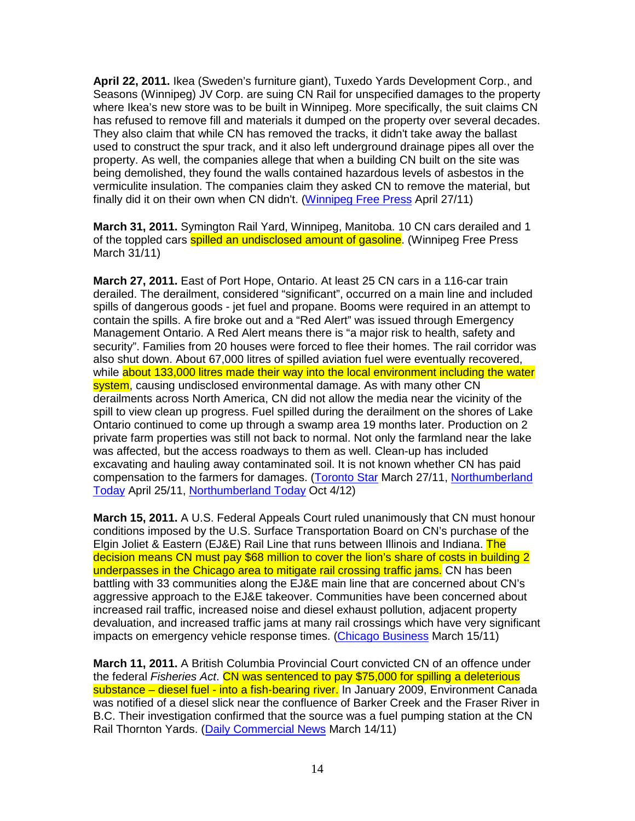**April 22, 2011.** Ikea (Sweden's furniture giant), Tuxedo Yards Development Corp., and Seasons (Winnipeg) JV Corp. are suing CN Rail for unspecified damages to the property where Ikea's new store was to be built in Winnipeg. More specifically, the suit claims CN has refused to remove fill and materials it dumped on the property over several decades. They also claim that while CN has removed the tracks, it didn't take away the ballast used to construct the spur track, and it also left underground drainage pipes all over the property. As well, the companies allege that when a building CN built on the site was being demolished, they found the walls contained hazardous levels of asbestos in the vermiculite insulation. The companies claim they asked CN to remove the material, but finally did it on their own when CN didn't. (Winnipeg Free Press April 27/11)

**March 31, 2011.** Symington Rail Yard, Winnipeg, Manitoba. 10 CN cars derailed and 1 of the toppled cars **spilled an undisclosed amount of gasoline**. (Winnipeg Free Press March 31/11)

**March 27, 2011.** East of Port Hope, Ontario. At least 25 CN cars in a 116-car train derailed. The derailment, considered "significant", occurred on a main line and included spills of dangerous goods - jet fuel and propane. Booms were required in an attempt to contain the spills. A fire broke out and a "Red Alert" was issued through Emergency Management Ontario. A Red Alert means there is "a major risk to health, safety and security". Families from 20 houses were forced to flee their homes. The rail corridor was also shut down. About 67,000 litres of spilled aviation fuel were eventually recovered, while about 133,000 litres made their way into the local environment including the water system, causing undisclosed environmental damage. As with many other CN derailments across North America, CN did not allow the media near the vicinity of the spill to view clean up progress. Fuel spilled during the derailment on the shores of Lake Ontario continued to come up through a swamp area 19 months later. Production on 2 private farm properties was still not back to normal. Not only the farmland near the lake was affected, but the access roadways to them as well. Clean-up has included excavating and hauling away contaminated soil. It is not known whether CN has paid compensation to the farmers for damages. (Toronto Star March 27/11, Northumberland Today April 25/11, Northumberland Today Oct 4/12)

**March 15, 2011.** A U.S. Federal Appeals Court ruled unanimously that CN must honour conditions imposed by the U.S. Surface Transportation Board on CN's purchase of the Elgin Joliet & Eastern (EJ&E) Rail Line that runs between Illinois and Indiana. The decision means CN must pay \$68 million to cover the lion's share of costs in building 2 underpasses in the Chicago area to mitigate rail crossing traffic jams. CN has been battling with 33 communities along the EJ&E main line that are concerned about CN's aggressive approach to the EJ&E takeover. Communities have been concerned about increased rail traffic, increased noise and diesel exhaust pollution, adjacent property devaluation, and increased traffic jams at many rail crossings which have very significant impacts on emergency vehicle response times. (Chicago Business March 15/11)

**March 11, 2011.** A British Columbia Provincial Court convicted CN of an offence under the federal Fisheries Act. CN was sentenced to pay \$75,000 for spilling a deleterious substance – diesel fuel - into a fish-bearing river. In January 2009, Environment Canada was notified of a diesel slick near the confluence of Barker Creek and the Fraser River in B.C. Their investigation confirmed that the source was a fuel pumping station at the CN Rail Thornton Yards. (Daily Commercial News March 14/11)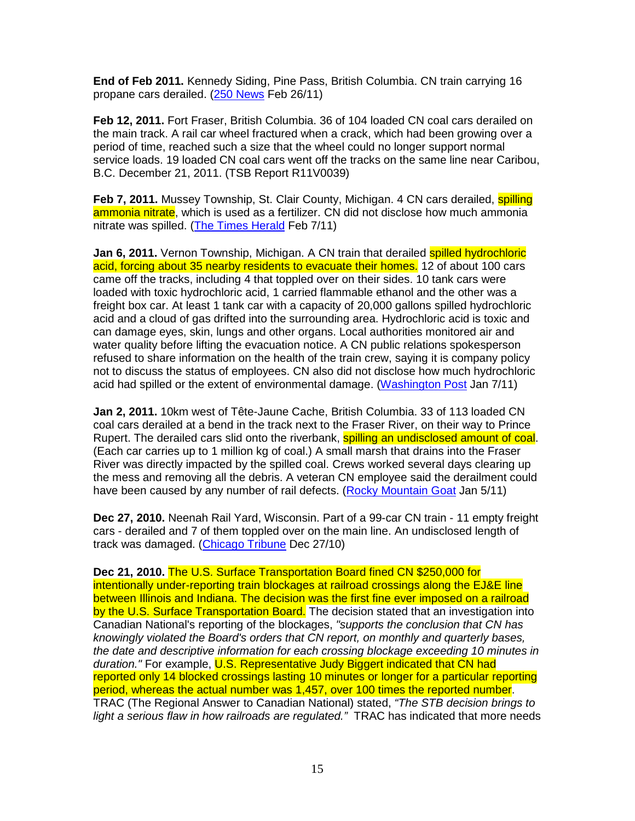**End of Feb 2011.** Kennedy Siding, Pine Pass, British Columbia. CN train carrying 16 propane cars derailed. (250 News Feb 26/11)

**Feb 12, 2011.** Fort Fraser, British Columbia. 36 of 104 loaded CN coal cars derailed on the main track. A rail car wheel fractured when a crack, which had been growing over a period of time, reached such a size that the wheel could no longer support normal service loads. 19 loaded CN coal cars went off the tracks on the same line near Caribou, B.C. December 21, 2011. (TSB Report R11V0039)

**Feb 7, 2011.** Mussey Township, St. Clair County, Michigan. 4 CN cars derailed, **spilling** ammonia nitrate, which is used as a fertilizer. CN did not disclose how much ammonia nitrate was spilled. (The Times Herald Feb 7/11)

**Jan 6, 2011.** Vernon Township, Michigan. A CN train that derailed spilled hydrochloric acid, forcing about 35 nearby residents to evacuate their homes. 12 of about 100 cars came off the tracks, including 4 that toppled over on their sides. 10 tank cars were loaded with toxic hydrochloric acid, 1 carried flammable ethanol and the other was a freight box car. At least 1 tank car with a capacity of 20,000 gallons spilled hydrochloric acid and a cloud of gas drifted into the surrounding area. Hydrochloric acid is toxic and can damage eyes, skin, lungs and other organs. Local authorities monitored air and water quality before lifting the evacuation notice. A CN public relations spokesperson refused to share information on the health of the train crew, saying it is company policy not to discuss the status of employees. CN also did not disclose how much hydrochloric acid had spilled or the extent of environmental damage. (Washington Post Jan 7/11)

**Jan 2, 2011.** 10km west of Tête-Jaune Cache, British Columbia. 33 of 113 loaded CN coal cars derailed at a bend in the track next to the Fraser River, on their way to Prince Rupert. The derailed cars slid onto the riverbank, spilling an undisclosed amount of coal. (Each car carries up to 1 million kg of coal.) A small marsh that drains into the Fraser River was directly impacted by the spilled coal. Crews worked several days clearing up the mess and removing all the debris. A veteran CN employee said the derailment could have been caused by any number of rail defects. (Rocky Mountain Goat Jan 5/11)

**Dec 27, 2010.** Neenah Rail Yard, Wisconsin. Part of a 99-car CN train - 11 empty freight cars - derailed and 7 of them toppled over on the main line. An undisclosed length of track was damaged. (Chicago Tribune Dec 27/10)

**Dec 21, 2010.** The U.S. Surface Transportation Board fined CN \$250,000 for intentionally under-reporting train blockages at railroad crossings along the EJ&E line between Illinois and Indiana. The decision was the first fine ever imposed on a railroad by the U.S. Surface Transportation Board. The decision stated that an investigation into Canadian National's reporting of the blockages, "supports the conclusion that CN has knowingly violated the Board's orders that CN report, on monthly and quarterly bases, the date and descriptive information for each crossing blockage exceeding 10 minutes in duration." For example, U.S. Representative Judy Biggert indicated that CN had reported only 14 blocked crossings lasting 10 minutes or longer for a particular reporting period, whereas the actual number was 1,457, over 100 times the reported number. TRAC (The Regional Answer to Canadian National) stated, "The STB decision brings to light a serious flaw in how railroads are regulated." TRAC has indicated that more needs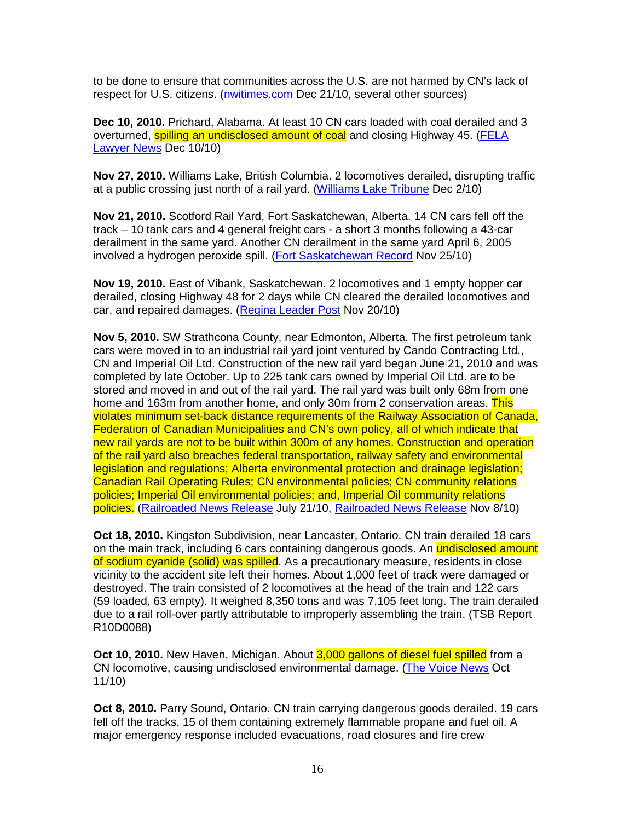to be done to ensure that communities across the U.S. are not harmed by CN's lack of respect for U.S. citizens. (nwitimes.com Dec 21/10, several other sources)

**Dec 10, 2010.** Prichard, Alabama. At least 10 CN cars loaded with coal derailed and 3 overturned, spilling an undisclosed amount of coal and closing Highway 45. (FELA Lawyer News Dec 10/10)

**Nov 27, 2010.** Williams Lake, British Columbia. 2 locomotives derailed, disrupting traffic at a public crossing just north of a rail yard. (Williams Lake Tribune Dec 2/10)

**Nov 21, 2010.** Scotford Rail Yard, Fort Saskatchewan, Alberta. 14 CN cars fell off the track – 10 tank cars and 4 general freight cars - a short 3 months following a 43-car derailment in the same yard. Another CN derailment in the same yard April 6, 2005 involved a hydrogen peroxide spill. (Fort Saskatchewan Record Nov 25/10)

**Nov 19, 2010.** East of Vibank, Saskatchewan. 2 locomotives and 1 empty hopper car derailed, closing Highway 48 for 2 days while CN cleared the derailed locomotives and car, and repaired damages. (Regina Leader Post Nov 20/10)

**Nov 5, 2010.** SW Strathcona County, near Edmonton, Alberta. The first petroleum tank cars were moved in to an industrial rail yard joint ventured by Cando Contracting Ltd., CN and Imperial Oil Ltd. Construction of the new rail yard began June 21, 2010 and was completed by late October. Up to 225 tank cars owned by Imperial Oil Ltd. are to be stored and moved in and out of the rail yard. The rail yard was built only 68m from one home and 163m from another home, and only 30m from 2 conservation areas. This violates minimum set-back distance requirements of the Railway Association of Canada, Federation of Canadian Municipalities and CN's own policy, all of which indicate that new rail yards are not to be built within 300m of any homes. Construction and operation of the rail yard also breaches federal transportation, railway safety and environmental legislation and regulations; Alberta environmental protection and drainage legislation; Canadian Rail Operating Rules; CN environmental policies; CN community relations policies; Imperial Oil environmental policies; and, Imperial Oil community relations policies. (Railroaded News Release July 21/10, Railroaded News Release Nov 8/10)

**Oct 18, 2010.** Kingston Subdivision, near Lancaster, Ontario. CN train derailed 18 cars on the main track, including 6 cars containing dangerous goods. An undisclosed amount of sodium cyanide (solid) was spilled. As a precautionary measure, residents in close vicinity to the accident site left their homes. About 1,000 feet of track were damaged or destroyed. The train consisted of 2 locomotives at the head of the train and 122 cars (59 loaded, 63 empty). It weighed 8,350 tons and was 7,105 feet long. The train derailed due to a rail roll-over partly attributable to improperly assembling the train. (TSB Report R10D0088)

**Oct 10, 2010.** New Haven, Michigan. About 3,000 gallons of diesel fuel spilled from a CN locomotive, causing undisclosed environmental damage. (The Voice News Oct 11/10)

**Oct 8, 2010.** Parry Sound, Ontario. CN train carrying dangerous goods derailed. 19 cars fell off the tracks, 15 of them containing extremely flammable propane and fuel oil. A major emergency response included evacuations, road closures and fire crew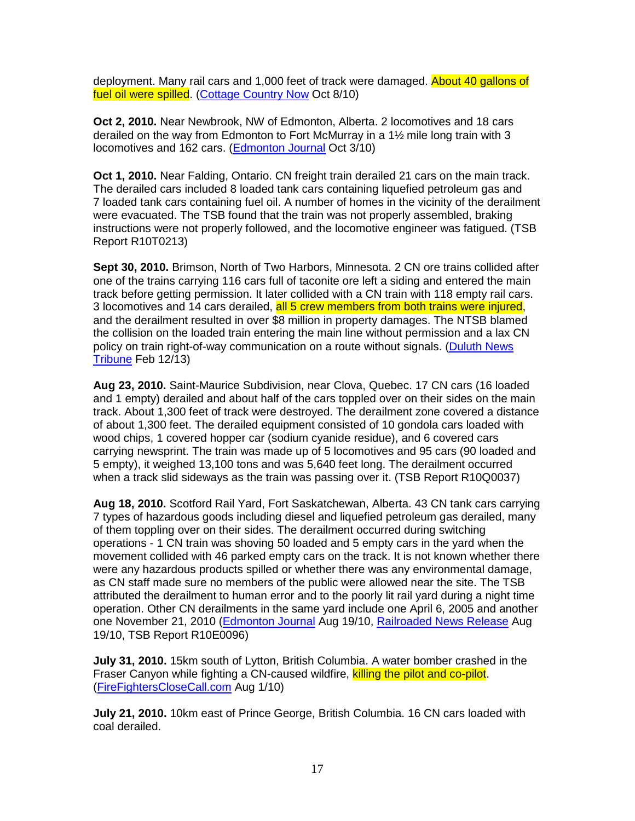deployment. Many rail cars and 1,000 feet of track were damaged. About 40 gallons of fuel oil were spilled. (Cottage Country Now Oct 8/10)

**Oct 2, 2010.** Near Newbrook, NW of Edmonton, Alberta. 2 locomotives and 18 cars derailed on the way from Edmonton to Fort McMurray in a 1½ mile long train with 3 locomotives and 162 cars. (**Edmonton Journal Oct 3/10**)

**Oct 1, 2010.** Near Falding, Ontario. CN freight train derailed 21 cars on the main track. The derailed cars included 8 loaded tank cars containing liquefied petroleum gas and 7 loaded tank cars containing fuel oil. A number of homes in the vicinity of the derailment were evacuated. The TSB found that the train was not properly assembled, braking instructions were not properly followed, and the locomotive engineer was fatigued. (TSB Report R10T0213)

**Sept 30, 2010.** Brimson, North of Two Harbors, Minnesota. 2 CN ore trains collided after one of the trains carrying 116 cars full of taconite ore left a siding and entered the main track before getting permission. It later collided with a CN train with 118 empty rail cars. 3 locomotives and 14 cars derailed, all 5 crew members from both trains were injured, and the derailment resulted in over \$8 million in property damages. The NTSB blamed the collision on the loaded train entering the main line without permission and a lax CN policy on train right-of-way communication on a route without signals. (Duluth News Tribune Feb 12/13)

**Aug 23, 2010.** Saint-Maurice Subdivision, near Clova, Quebec. 17 CN cars (16 loaded and 1 empty) derailed and about half of the cars toppled over on their sides on the main track. About 1,300 feet of track were destroyed. The derailment zone covered a distance of about 1,300 feet. The derailed equipment consisted of 10 gondola cars loaded with wood chips, 1 covered hopper car (sodium cyanide residue), and 6 covered cars carrying newsprint. The train was made up of 5 locomotives and 95 cars (90 loaded and 5 empty), it weighed 13,100 tons and was 5,640 feet long. The derailment occurred when a track slid sideways as the train was passing over it. (TSB Report R10Q0037)

**Aug 18, 2010.** Scotford Rail Yard, Fort Saskatchewan, Alberta. 43 CN tank cars carrying 7 types of hazardous goods including diesel and liquefied petroleum gas derailed, many of them toppling over on their sides. The derailment occurred during switching operations - 1 CN train was shoving 50 loaded and 5 empty cars in the yard when the movement collided with 46 parked empty cars on the track. It is not known whether there were any hazardous products spilled or whether there was any environmental damage, as CN staff made sure no members of the public were allowed near the site. The TSB attributed the derailment to human error and to the poorly lit rail yard during a night time operation. Other CN derailments in the same yard include one April 6, 2005 and another one November 21, 2010 (Edmonton Journal Aug 19/10, Railroaded News Release Aug 19/10, TSB Report R10E0096)

**July 31, 2010.** 15km south of Lytton, British Columbia. A water bomber crashed in the Fraser Canyon while fighting a CN-caused wildfire, killing the pilot and co-pilot. (FireFightersCloseCall.com Aug 1/10)

**July 21, 2010.** 10km east of Prince George, British Columbia. 16 CN cars loaded with coal derailed.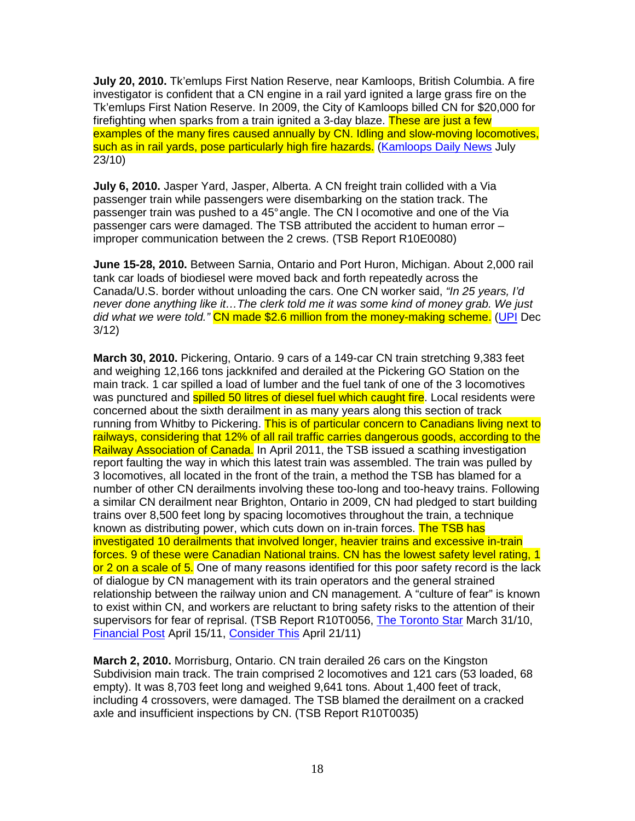**July 20, 2010.** Tk'emlups First Nation Reserve, near Kamloops, British Columbia. A fire investigator is confident that a CN engine in a rail yard ignited a large grass fire on the Tk'emlups First Nation Reserve. In 2009, the City of Kamloops billed CN for \$20,000 for firefighting when sparks from a train ignited a 3-day blaze. These are just a few examples of the many fires caused annually by CN. Idling and slow-moving locomotives, such as in rail yards, pose particularly high fire hazards. (Kamloops Daily News July 23/10)

**July 6, 2010.** Jasper Yard, Jasper, Alberta. A CN freight train collided with a Via passenger train while passengers were disembarking on the station track. The passenger train was pushed to a 45° angle. The CN l ocomotive and one of the Via passenger cars were damaged. The TSB attributed the accident to human error – improper communication between the 2 crews. (TSB Report R10E0080)

**June 15-28, 2010.** Between Sarnia, Ontario and Port Huron, Michigan. About 2,000 rail tank car loads of biodiesel were moved back and forth repeatedly across the Canada/U.S. border without unloading the cars. One CN worker said, "In 25 years, I'd never done anything like it…The clerk told me it was some kind of money grab. We just did what we were told." CN made \$2.6 million from the money-making scheme. (UPI Dec 3/12)

**March 30, 2010.** Pickering, Ontario. 9 cars of a 149-car CN train stretching 9,383 feet and weighing 12,166 tons jackknifed and derailed at the Pickering GO Station on the main track. 1 car spilled a load of lumber and the fuel tank of one of the 3 locomotives was punctured and **spilled 50 litres of diesel fuel which caught fire**. Local residents were concerned about the sixth derailment in as many years along this section of track running from Whitby to Pickering. This is of particular concern to Canadians living next to railways, considering that 12% of all rail traffic carries dangerous goods, according to the Railway Association of Canada. In April 2011, the TSB issued a scathing investigation report faulting the way in which this latest train was assembled. The train was pulled by 3 locomotives, all located in the front of the train, a method the TSB has blamed for a number of other CN derailments involving these too-long and too-heavy trains. Following a similar CN derailment near Brighton, Ontario in 2009, CN had pledged to start building trains over 8,500 feet long by spacing locomotives throughout the train, a technique known as distributing power, which cuts down on in-train forces. The TSB has investigated 10 derailments that involved longer, heavier trains and excessive in-train forces. 9 of these were Canadian National trains. CN has the lowest safety level rating, 1 or 2 on a scale of 5. One of many reasons identified for this poor safety record is the lack of dialogue by CN management with its train operators and the general strained relationship between the railway union and CN management. A "culture of fear" is known to exist within CN, and workers are reluctant to bring safety risks to the attention of their supervisors for fear of reprisal. (TSB Report R10T0056, The Toronto Star March 31/10, Financial Post April 15/11, Consider This April 21/11)

**March 2, 2010.** Morrisburg, Ontario. CN train derailed 26 cars on the Kingston Subdivision main track. The train comprised 2 locomotives and 121 cars (53 loaded, 68 empty). It was 8,703 feet long and weighed 9,641 tons. About 1,400 feet of track, including 4 crossovers, were damaged. The TSB blamed the derailment on a cracked axle and insufficient inspections by CN. (TSB Report R10T0035)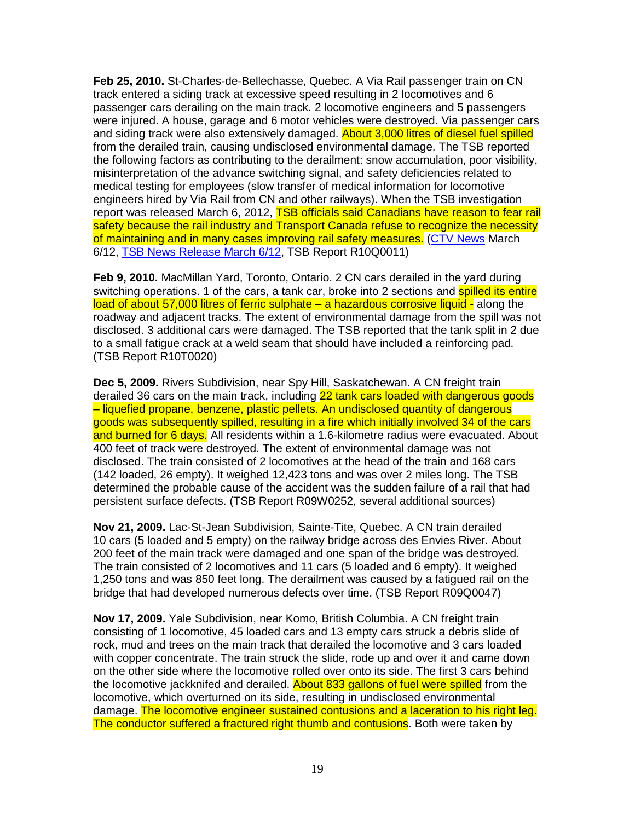**Feb 25, 2010.** St-Charles-de-Bellechasse, Quebec. A Via Rail passenger train on CN track entered a siding track at excessive speed resulting in 2 locomotives and 6 passenger cars derailing on the main track. 2 locomotive engineers and 5 passengers were injured. A house, garage and 6 motor vehicles were destroyed. Via passenger cars and siding track were also extensively damaged. **About 3,000 litres of diesel fuel spilled** from the derailed train, causing undisclosed environmental damage. The TSB reported the following factors as contributing to the derailment: snow accumulation, poor visibility, misinterpretation of the advance switching signal, and safety deficiencies related to medical testing for employees (slow transfer of medical information for locomotive engineers hired by Via Rail from CN and other railways). When the TSB investigation report was released March 6, 2012, TSB officials said Canadians have reason to fear rail safety because the rail industry and Transport Canada refuse to recognize the necessity of maintaining and in many cases improving rail safety measures. (CTV News March 6/12, TSB News Release March 6/12, TSB Report R10Q0011)

**Feb 9, 2010.** MacMillan Yard, Toronto, Ontario. 2 CN cars derailed in the yard during switching operations. 1 of the cars, a tank car, broke into 2 sections and **spilled its entire** load of about 57,000 litres of ferric sulphate – a hazardous corrosive liquid - along the roadway and adjacent tracks. The extent of environmental damage from the spill was not disclosed. 3 additional cars were damaged. The TSB reported that the tank split in 2 due to a small fatigue crack at a weld seam that should have included a reinforcing pad. (TSB Report R10T0020)

**Dec 5, 2009.** Rivers Subdivision, near Spy Hill, Saskatchewan. A CN freight train derailed 36 cars on the main track, including 22 tank cars loaded with dangerous goods – liquefied propane, benzene, plastic pellets. An undisclosed quantity of dangerous goods was subsequently spilled, resulting in a fire which initially involved 34 of the cars and burned for 6 days. All residents within a 1.6-kilometre radius were evacuated. About 400 feet of track were destroyed. The extent of environmental damage was not disclosed. The train consisted of 2 locomotives at the head of the train and 168 cars (142 loaded, 26 empty). It weighed 12,423 tons and was over 2 miles long. The TSB determined the probable cause of the accident was the sudden failure of a rail that had persistent surface defects. (TSB Report R09W0252, several additional sources)

**Nov 21, 2009.** Lac-St-Jean Subdivision, Sainte-Tite, Quebec. A CN train derailed 10 cars (5 loaded and 5 empty) on the railway bridge across des Envies River. About 200 feet of the main track were damaged and one span of the bridge was destroyed. The train consisted of 2 locomotives and 11 cars (5 loaded and 6 empty). It weighed 1,250 tons and was 850 feet long. The derailment was caused by a fatigued rail on the bridge that had developed numerous defects over time. (TSB Report R09Q0047)

**Nov 17, 2009.** Yale Subdivision, near Komo, British Columbia. A CN freight train consisting of 1 locomotive, 45 loaded cars and 13 empty cars struck a debris slide of rock, mud and trees on the main track that derailed the locomotive and 3 cars loaded with copper concentrate. The train struck the slide, rode up and over it and came down on the other side where the locomotive rolled over onto its side. The first 3 cars behind the locomotive jackknifed and derailed. About 833 gallons of fuel were spilled from the locomotive, which overturned on its side, resulting in undisclosed environmental damage. The locomotive engineer sustained contusions and a laceration to his right leg. The conductor suffered a fractured right thumb and contusions. Both were taken by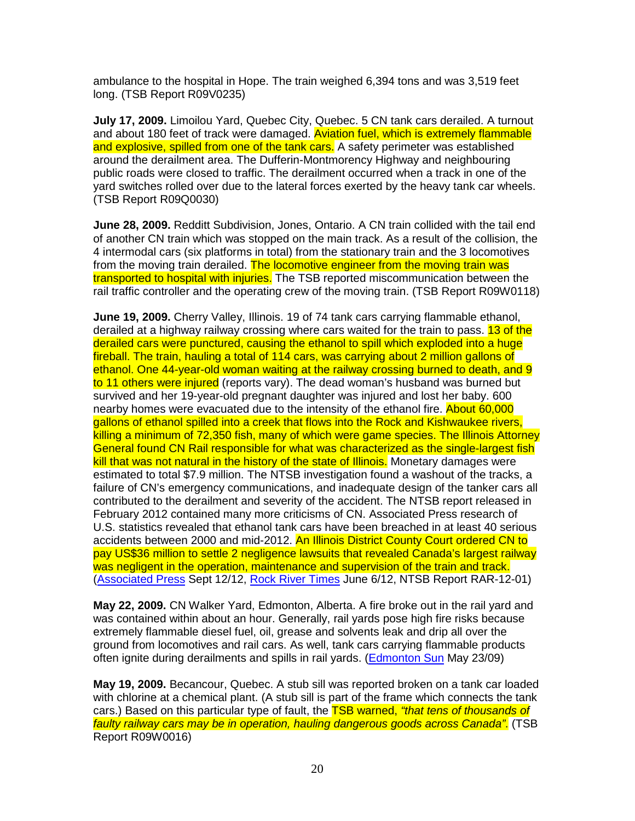ambulance to the hospital in Hope. The train weighed 6,394 tons and was 3,519 feet long. (TSB Report R09V0235)

**July 17, 2009.** Limoilou Yard, Quebec City, Quebec. 5 CN tank cars derailed. A turnout and about 180 feet of track were damaged. Aviation fuel, which is extremely flammable and explosive, spilled from one of the tank cars. A safety perimeter was established around the derailment area. The Dufferin-Montmorency Highway and neighbouring public roads were closed to traffic. The derailment occurred when a track in one of the yard switches rolled over due to the lateral forces exerted by the heavy tank car wheels. (TSB Report R09Q0030)

**June 28, 2009.** Redditt Subdivision, Jones, Ontario. A CN train collided with the tail end of another CN train which was stopped on the main track. As a result of the collision, the 4 intermodal cars (six platforms in total) from the stationary train and the 3 locomotives from the moving train derailed. The locomotive engineer from the moving train was transported to hospital with injuries. The TSB reported miscommunication between the rail traffic controller and the operating crew of the moving train. (TSB Report R09W0118)

**June 19, 2009.** Cherry Valley, Illinois. 19 of 74 tank cars carrying flammable ethanol, derailed at a highway railway crossing where cars waited for the train to pass. 13 of the derailed cars were punctured, causing the ethanol to spill which exploded into a huge fireball. The train, hauling a total of 114 cars, was carrying about 2 million gallons of ethanol. One 44-year-old woman waiting at the railway crossing burned to death, and 9 to 11 others were injured (reports vary). The dead woman's husband was burned but survived and her 19-year-old pregnant daughter was injured and lost her baby. 600 nearby homes were evacuated due to the intensity of the ethanol fire. About 60,000 gallons of ethanol spilled into a creek that flows into the Rock and Kishwaukee rivers, killing a minimum of 72,350 fish, many of which were game species. The Illinois Attorney General found CN Rail responsible for what was characterized as the single-largest fish kill that was not natural in the history of the state of Illinois. Monetary damages were estimated to total \$7.9 million. The NTSB investigation found a washout of the tracks, a failure of CN's emergency communications, and inadequate design of the tanker cars all contributed to the derailment and severity of the accident. The NTSB report released in February 2012 contained many more criticisms of CN. Associated Press research of U.S. statistics revealed that ethanol tank cars have been breached in at least 40 serious accidents between 2000 and mid-2012. An Illinois District County Court ordered CN to pay US\$36 million to settle 2 negligence lawsuits that revealed Canada's largest railway was negligent in the operation, maintenance and supervision of the train and track. (Associated Press Sept 12/12, Rock River Times June 6/12, NTSB Report RAR-12-01)

**May 22, 2009.** CN Walker Yard, Edmonton, Alberta. A fire broke out in the rail yard and was contained within about an hour. Generally, rail yards pose high fire risks because extremely flammable diesel fuel, oil, grease and solvents leak and drip all over the ground from locomotives and rail cars. As well, tank cars carrying flammable products often ignite during derailments and spills in rail yards. (Edmonton Sun May 23/09)

**May 19, 2009.** Becancour, Quebec. A stub sill was reported broken on a tank car loaded with chlorine at a chemical plant. (A stub sill is part of the frame which connects the tank cars.) Based on this particular type of fault, the **TSB warned, "that tens of thousands of** faulty railway cars may be in operation, hauling dangerous goods across Canada". (TSB Report R09W0016)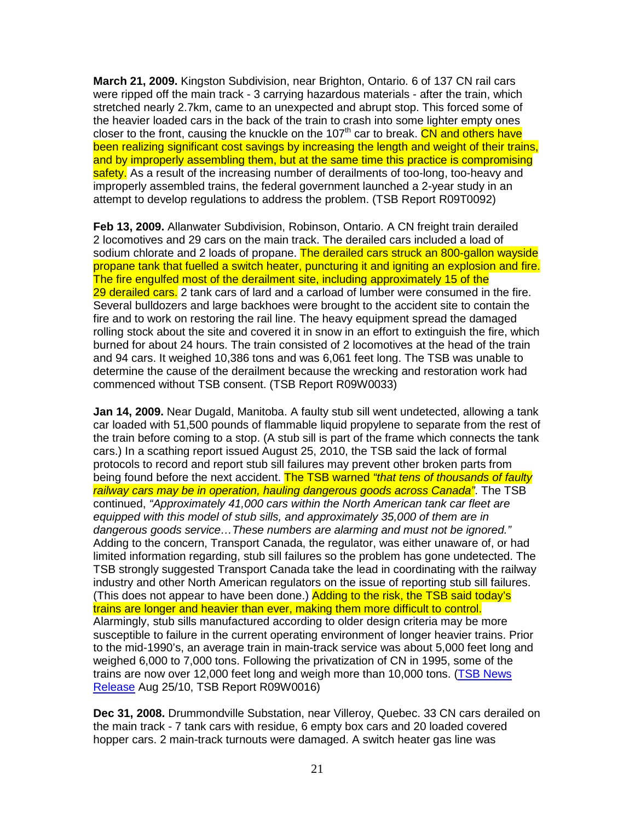**March 21, 2009.** Kingston Subdivision, near Brighton, Ontario. 6 of 137 CN rail cars were ripped off the main track - 3 carrying hazardous materials - after the train, which stretched nearly 2.7km, came to an unexpected and abrupt stop. This forced some of the heavier loaded cars in the back of the train to crash into some lighter empty ones closer to the front, causing the knuckle on the 107<sup>th</sup> car to break. CN and others have been realizing significant cost savings by increasing the length and weight of their trains, and by improperly assembling them, but at the same time this practice is compromising safety. As a result of the increasing number of derailments of too-long, too-heavy and improperly assembled trains, the federal government launched a 2-year study in an attempt to develop regulations to address the problem. (TSB Report R09T0092)

**Feb 13, 2009.** Allanwater Subdivision, Robinson, Ontario. A CN freight train derailed 2 locomotives and 29 cars on the main track. The derailed cars included a load of sodium chlorate and 2 loads of propane. The derailed cars struck an 800-gallon wayside propane tank that fuelled a switch heater, puncturing it and igniting an explosion and fire. The fire engulfed most of the derailment site, including approximately 15 of the 29 derailed cars. 2 tank cars of lard and a carload of lumber were consumed in the fire. Several bulldozers and large backhoes were brought to the accident site to contain the fire and to work on restoring the rail line. The heavy equipment spread the damaged rolling stock about the site and covered it in snow in an effort to extinguish the fire, which burned for about 24 hours. The train consisted of 2 locomotives at the head of the train and 94 cars. It weighed 10,386 tons and was 6,061 feet long. The TSB was unable to determine the cause of the derailment because the wrecking and restoration work had commenced without TSB consent. (TSB Report R09W0033)

**Jan 14, 2009.** Near Dugald, Manitoba. A faulty stub sill went undetected, allowing a tank car loaded with 51,500 pounds of flammable liquid propylene to separate from the rest of the train before coming to a stop. (A stub sill is part of the frame which connects the tank cars.) In a scathing report issued August 25, 2010, the TSB said the lack of formal protocols to record and report stub sill failures may prevent other broken parts from being found before the next accident. The TSB warned "that tens of thousands of faulty railway cars may be in operation, hauling dangerous goods across Canada". The TSB continued, "Approximately 41,000 cars within the North American tank car fleet are equipped with this model of stub sills, and approximately 35,000 of them are in dangerous goods service…These numbers are alarming and must not be ignored." Adding to the concern, Transport Canada, the regulator, was either unaware of, or had limited information regarding, stub sill failures so the problem has gone undetected. The TSB strongly suggested Transport Canada take the lead in coordinating with the railway industry and other North American regulators on the issue of reporting stub sill failures. (This does not appear to have been done.) Adding to the risk, the TSB said today's trains are longer and heavier than ever, making them more difficult to control. Alarmingly, stub sills manufactured according to older design criteria may be more susceptible to failure in the current operating environment of longer heavier trains. Prior to the mid-1990's, an average train in main-track service was about 5,000 feet long and weighed 6,000 to 7,000 tons. Following the privatization of CN in 1995, some of the trains are now over 12,000 feet long and weigh more than 10,000 tons. (TSB News Release Aug 25/10, TSB Report R09W0016)

**Dec 31, 2008.** Drummondville Substation, near Villeroy, Quebec. 33 CN cars derailed on the main track - 7 tank cars with residue, 6 empty box cars and 20 loaded covered hopper cars. 2 main-track turnouts were damaged. A switch heater gas line was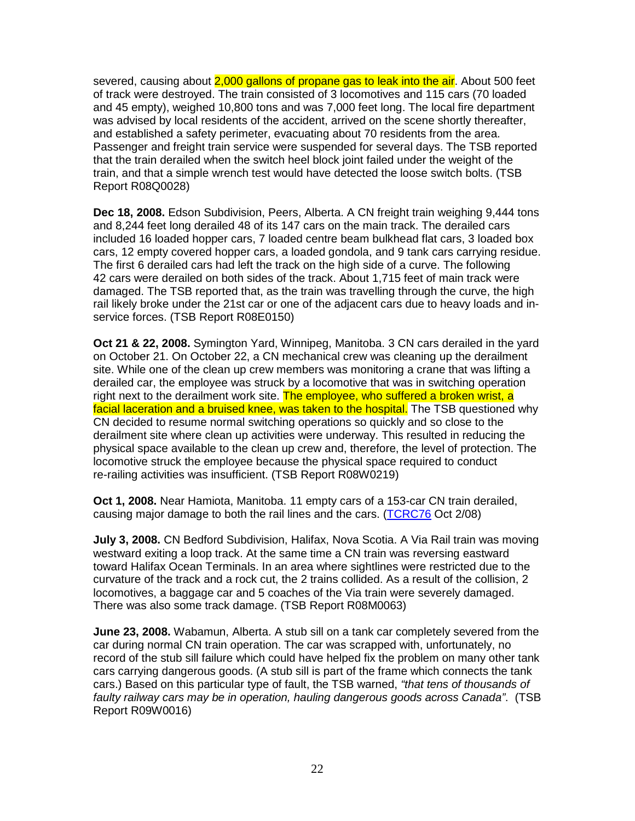severed, causing about 2,000 gallons of propane gas to leak into the air. About 500 feet of track were destroyed. The train consisted of 3 locomotives and 115 cars (70 loaded and 45 empty), weighed 10,800 tons and was 7,000 feet long. The local fire department was advised by local residents of the accident, arrived on the scene shortly thereafter, and established a safety perimeter, evacuating about 70 residents from the area. Passenger and freight train service were suspended for several days. The TSB reported that the train derailed when the switch heel block joint failed under the weight of the train, and that a simple wrench test would have detected the loose switch bolts. (TSB Report R08Q0028)

**Dec 18, 2008.** Edson Subdivision, Peers, Alberta. A CN freight train weighing 9,444 tons and 8,244 feet long derailed 48 of its 147 cars on the main track. The derailed cars included 16 loaded hopper cars, 7 loaded centre beam bulkhead flat cars, 3 loaded box cars, 12 empty covered hopper cars, a loaded gondola, and 9 tank cars carrying residue. The first 6 derailed cars had left the track on the high side of a curve. The following 42 cars were derailed on both sides of the track. About 1,715 feet of main track were damaged. The TSB reported that, as the train was travelling through the curve, the high rail likely broke under the 21st car or one of the adjacent cars due to heavy loads and inservice forces. (TSB Report R08E0150)

**Oct 21 & 22, 2008.** Symington Yard, Winnipeg, Manitoba. 3 CN cars derailed in the yard on October 21. On October 22, a CN mechanical crew was cleaning up the derailment site. While one of the clean up crew members was monitoring a crane that was lifting a derailed car, the employee was struck by a locomotive that was in switching operation right next to the derailment work site. The employee, who suffered a broken wrist, a facial laceration and a bruised knee, was taken to the hospital. The TSB questioned why CN decided to resume normal switching operations so quickly and so close to the derailment site where clean up activities were underway. This resulted in reducing the physical space available to the clean up crew and, therefore, the level of protection. The locomotive struck the employee because the physical space required to conduct re-railing activities was insufficient. (TSB Report R08W0219)

**Oct 1, 2008.** Near Hamiota, Manitoba. 11 empty cars of a 153-car CN train derailed, causing major damage to both the rail lines and the cars. (TCRC76 Oct 2/08)

**July 3, 2008.** CN Bedford Subdivision, Halifax, Nova Scotia. A Via Rail train was moving westward exiting a loop track. At the same time a CN train was reversing eastward toward Halifax Ocean Terminals. In an area where sightlines were restricted due to the curvature of the track and a rock cut, the 2 trains collided. As a result of the collision, 2 locomotives, a baggage car and 5 coaches of the Via train were severely damaged. There was also some track damage. (TSB Report R08M0063)

**June 23, 2008.** Wabamun, Alberta. A stub sill on a tank car completely severed from the car during normal CN train operation. The car was scrapped with, unfortunately, no record of the stub sill failure which could have helped fix the problem on many other tank cars carrying dangerous goods. (A stub sill is part of the frame which connects the tank cars.) Based on this particular type of fault, the TSB warned, "that tens of thousands of faulty railway cars may be in operation, hauling dangerous goods across Canada". (TSB Report R09W0016)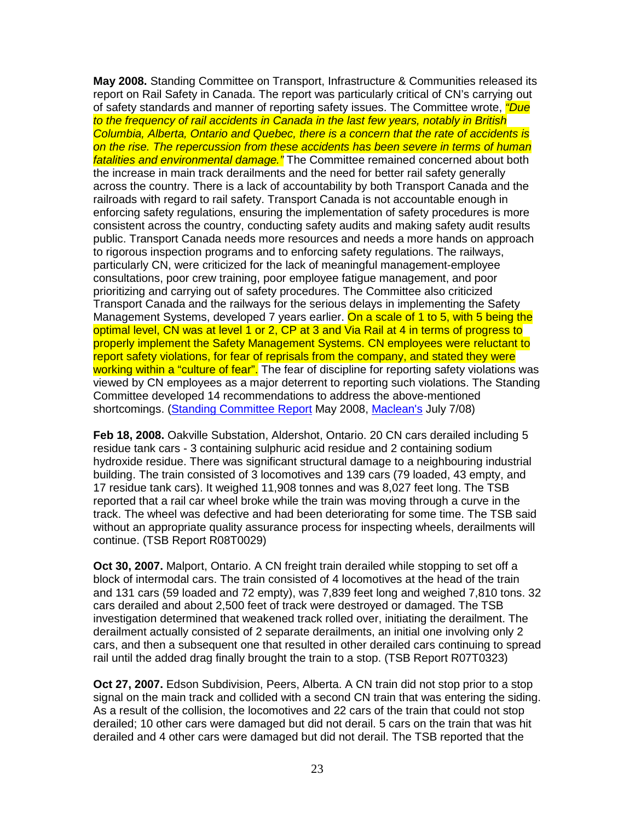**May 2008.** Standing Committee on Transport, Infrastructure & Communities released its report on Rail Safety in Canada. The report was particularly critical of CN's carrying out of safety standards and manner of reporting safety issues. The Committee wrote, *"Due* to the frequency of rail accidents in Canada in the last few years, notably in British Columbia, Alberta, Ontario and Quebec, there is a concern that the rate of accidents is on the rise. The repercussion from these accidents has been severe in terms of human fatalities and environmental damage." The Committee remained concerned about both the increase in main track derailments and the need for better rail safety generally across the country. There is a lack of accountability by both Transport Canada and the railroads with regard to rail safety. Transport Canada is not accountable enough in enforcing safety regulations, ensuring the implementation of safety procedures is more consistent across the country, conducting safety audits and making safety audit results public. Transport Canada needs more resources and needs a more hands on approach to rigorous inspection programs and to enforcing safety regulations. The railways, particularly CN, were criticized for the lack of meaningful management-employee consultations, poor crew training, poor employee fatigue management, and poor prioritizing and carrying out of safety procedures. The Committee also criticized Transport Canada and the railways for the serious delays in implementing the Safety Management Systems, developed 7 years earlier. On a scale of 1 to 5, with 5 being the optimal level, CN was at level 1 or 2, CP at 3 and Via Rail at 4 in terms of progress to properly implement the Safety Management Systems. CN employees were reluctant to report safety violations, for fear of reprisals from the company, and stated they were working within a "culture of fear". The fear of discipline for reporting safety violations was viewed by CN employees as a major deterrent to reporting such violations. The Standing Committee developed 14 recommendations to address the above-mentioned shortcomings. (Standing Committee Report May 2008, Maclean's July 7/08)

**Feb 18, 2008.** Oakville Substation, Aldershot, Ontario. 20 CN cars derailed including 5 residue tank cars - 3 containing sulphuric acid residue and 2 containing sodium hydroxide residue. There was significant structural damage to a neighbouring industrial building. The train consisted of 3 locomotives and 139 cars (79 loaded, 43 empty, and 17 residue tank cars). It weighed 11,908 tonnes and was 8,027 feet long. The TSB reported that a rail car wheel broke while the train was moving through a curve in the track. The wheel was defective and had been deteriorating for some time. The TSB said without an appropriate quality assurance process for inspecting wheels, derailments will continue. (TSB Report R08T0029)

**Oct 30, 2007.** Malport, Ontario. A CN freight train derailed while stopping to set off a block of intermodal cars. The train consisted of 4 locomotives at the head of the train and 131 cars (59 loaded and 72 empty), was 7,839 feet long and weighed 7,810 tons. 32 cars derailed and about 2,500 feet of track were destroyed or damaged. The TSB investigation determined that weakened track rolled over, initiating the derailment. The derailment actually consisted of 2 separate derailments, an initial one involving only 2 cars, and then a subsequent one that resulted in other derailed cars continuing to spread rail until the added drag finally brought the train to a stop. (TSB Report R07T0323)

**Oct 27, 2007.** Edson Subdivision, Peers, Alberta. A CN train did not stop prior to a stop signal on the main track and collided with a second CN train that was entering the siding. As a result of the collision, the locomotives and 22 cars of the train that could not stop derailed; 10 other cars were damaged but did not derail. 5 cars on the train that was hit derailed and 4 other cars were damaged but did not derail. The TSB reported that the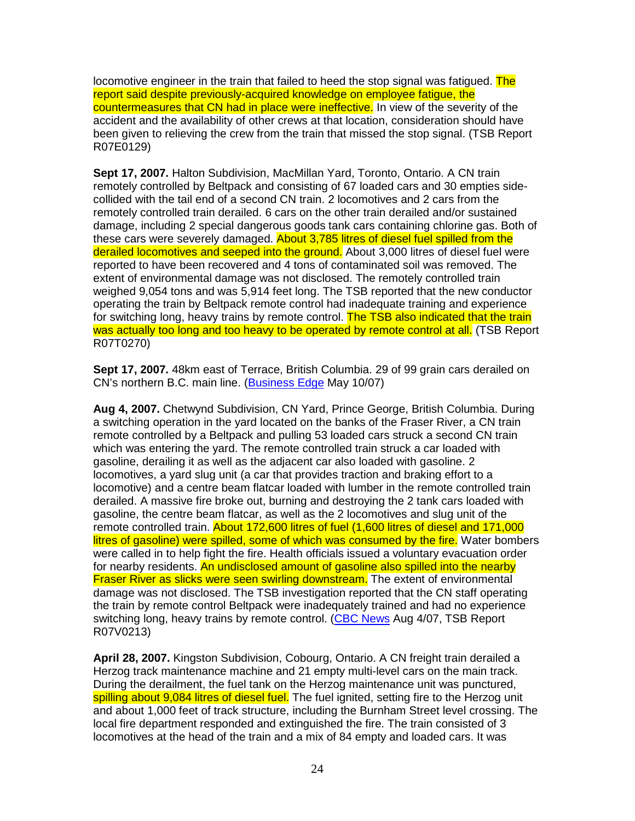locomotive engineer in the train that failed to heed the stop signal was fatigued. The report said despite previously-acquired knowledge on employee fatigue, the countermeasures that CN had in place were ineffective. In view of the severity of the accident and the availability of other crews at that location, consideration should have been given to relieving the crew from the train that missed the stop signal. (TSB Report R07E0129)

**Sept 17, 2007.** Halton Subdivision, MacMillan Yard, Toronto, Ontario. A CN train remotely controlled by Beltpack and consisting of 67 loaded cars and 30 empties sidecollided with the tail end of a second CN train. 2 locomotives and 2 cars from the remotely controlled train derailed. 6 cars on the other train derailed and/or sustained damage, including 2 special dangerous goods tank cars containing chlorine gas. Both of these cars were severely damaged. About 3,785 litres of diesel fuel spilled from the derailed locomotives and seeped into the ground. About 3,000 litres of diesel fuel were reported to have been recovered and 4 tons of contaminated soil was removed. The extent of environmental damage was not disclosed. The remotely controlled train weighed 9,054 tons and was 5,914 feet long. The TSB reported that the new conductor operating the train by Beltpack remote control had inadequate training and experience for switching long, heavy trains by remote control. The TSB also indicated that the train was actually too long and too heavy to be operated by remote control at all. (TSB Report R07T0270)

**Sept 17, 2007.** 48km east of Terrace, British Columbia. 29 of 99 grain cars derailed on CN's northern B.C. main line. (Business Edge May 10/07)

**Aug 4, 2007.** Chetwynd Subdivision, CN Yard, Prince George, British Columbia. During a switching operation in the yard located on the banks of the Fraser River, a CN train remote controlled by a Beltpack and pulling 53 loaded cars struck a second CN train which was entering the yard. The remote controlled train struck a car loaded with gasoline, derailing it as well as the adjacent car also loaded with gasoline. 2 locomotives, a yard slug unit (a car that provides traction and braking effort to a locomotive) and a centre beam flatcar loaded with lumber in the remote controlled train derailed. A massive fire broke out, burning and destroying the 2 tank cars loaded with gasoline, the centre beam flatcar, as well as the 2 locomotives and slug unit of the remote controlled train. About 172,600 litres of fuel (1,600 litres of diesel and 171,000 litres of gasoline) were spilled, some of which was consumed by the fire. Water bombers were called in to help fight the fire. Health officials issued a voluntary evacuation order for nearby residents. An undisclosed amount of gasoline also spilled into the nearby Fraser River as slicks were seen swirling downstream. The extent of environmental damage was not disclosed. The TSB investigation reported that the CN staff operating the train by remote control Beltpack were inadequately trained and had no experience switching long, heavy trains by remote control. (CBC News Aug 4/07, TSB Report R07V0213)

**April 28, 2007.** Kingston Subdivision, Cobourg, Ontario. A CN freight train derailed a Herzog track maintenance machine and 21 empty multi-level cars on the main track. During the derailment, the fuel tank on the Herzog maintenance unit was punctured, spilling about 9,084 litres of diesel fuel. The fuel ignited, setting fire to the Herzog unit and about 1,000 feet of track structure, including the Burnham Street level crossing. The local fire department responded and extinguished the fire. The train consisted of 3 locomotives at the head of the train and a mix of 84 empty and loaded cars. It was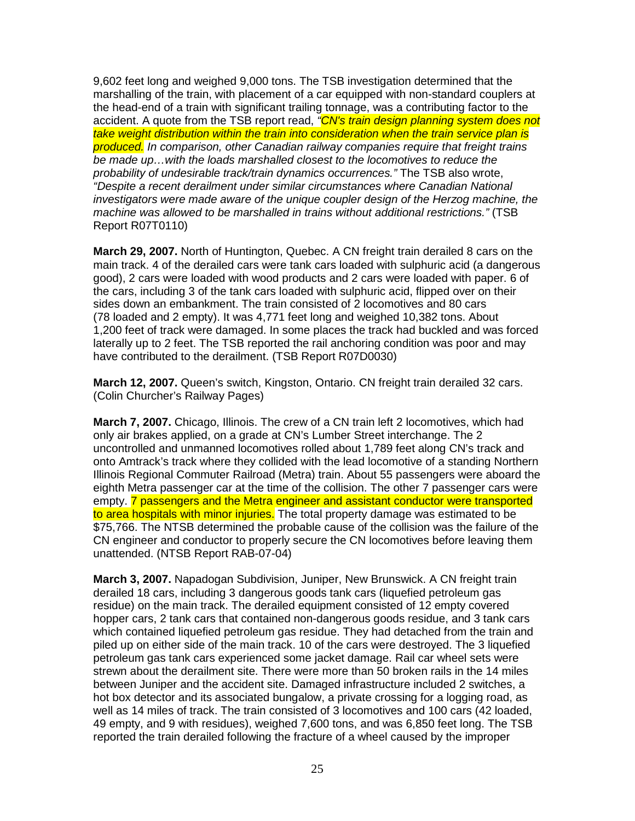9,602 feet long and weighed 9,000 tons. The TSB investigation determined that the marshalling of the train, with placement of a car equipped with non-standard couplers at the head-end of a train with significant trailing tonnage, was a contributing factor to the accident. A quote from the TSB report read, <sup>"</sup>CN's train design planning system does not take weight distribution within the train into consideration when the train service plan is produced. In comparison, other Canadian railway companies require that freight trains be made up…with the loads marshalled closest to the locomotives to reduce the probability of undesirable track/train dynamics occurrences." The TSB also wrote, "Despite a recent derailment under similar circumstances where Canadian National investigators were made aware of the unique coupler design of the Herzog machine, the machine was allowed to be marshalled in trains without additional restrictions." (TSB Report R07T0110)

**March 29, 2007.** North of Huntington, Quebec. A CN freight train derailed 8 cars on the main track. 4 of the derailed cars were tank cars loaded with sulphuric acid (a dangerous good), 2 cars were loaded with wood products and 2 cars were loaded with paper. 6 of the cars, including 3 of the tank cars loaded with sulphuric acid, flipped over on their sides down an embankment. The train consisted of 2 locomotives and 80 cars (78 loaded and 2 empty). It was 4,771 feet long and weighed 10,382 tons. About 1,200 feet of track were damaged. In some places the track had buckled and was forced laterally up to 2 feet. The TSB reported the rail anchoring condition was poor and may have contributed to the derailment. (TSB Report R07D0030)

**March 12, 2007.** Queen's switch, Kingston, Ontario. CN freight train derailed 32 cars. (Colin Churcher's Railway Pages)

**March 7, 2007.** Chicago, Illinois. The crew of a CN train left 2 locomotives, which had only air brakes applied, on a grade at CN's Lumber Street interchange. The 2 uncontrolled and unmanned locomotives rolled about 1,789 feet along CN's track and onto Amtrack's track where they collided with the lead locomotive of a standing Northern Illinois Regional Commuter Railroad (Metra) train. About 55 passengers were aboard the eighth Metra passenger car at the time of the collision. The other 7 passenger cars were empty. 7 passengers and the Metra engineer and assistant conductor were transported to area hospitals with minor injuries. The total property damage was estimated to be \$75,766. The NTSB determined the probable cause of the collision was the failure of the CN engineer and conductor to properly secure the CN locomotives before leaving them unattended. (NTSB Report RAB-07-04)

**March 3, 2007.** Napadogan Subdivision, Juniper, New Brunswick. A CN freight train derailed 18 cars, including 3 dangerous goods tank cars (liquefied petroleum gas residue) on the main track. The derailed equipment consisted of 12 empty covered hopper cars, 2 tank cars that contained non-dangerous goods residue, and 3 tank cars which contained liquefied petroleum gas residue. They had detached from the train and piled up on either side of the main track. 10 of the cars were destroyed. The 3 liquefied petroleum gas tank cars experienced some jacket damage. Rail car wheel sets were strewn about the derailment site. There were more than 50 broken rails in the 14 miles between Juniper and the accident site. Damaged infrastructure included 2 switches, a hot box detector and its associated bungalow, a private crossing for a logging road, as well as 14 miles of track. The train consisted of 3 locomotives and 100 cars (42 loaded, 49 empty, and 9 with residues), weighed 7,600 tons, and was 6,850 feet long. The TSB reported the train derailed following the fracture of a wheel caused by the improper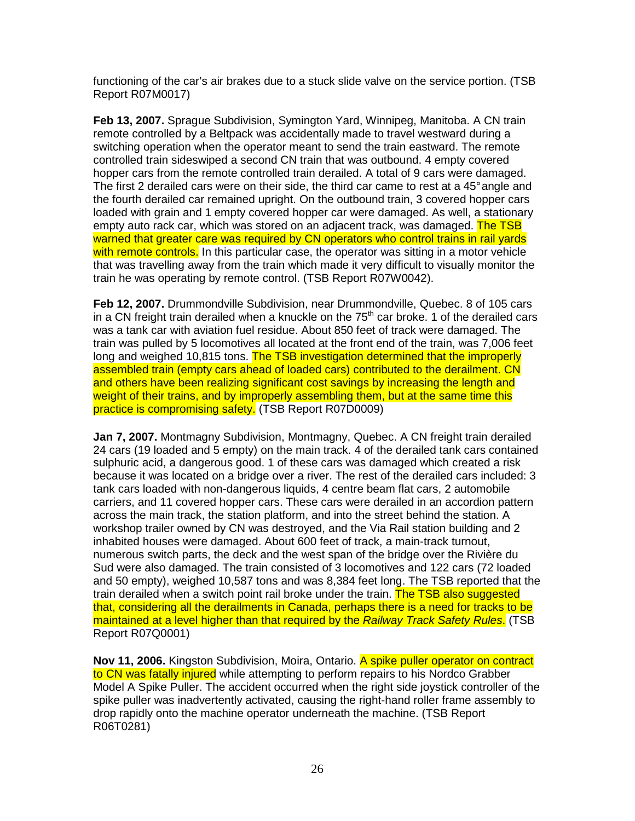functioning of the car's air brakes due to a stuck slide valve on the service portion. (TSB Report R07M0017)

**Feb 13, 2007.** Sprague Subdivision, Symington Yard, Winnipeg, Manitoba. A CN train remote controlled by a Beltpack was accidentally made to travel westward during a switching operation when the operator meant to send the train eastward. The remote controlled train sideswiped a second CN train that was outbound. 4 empty covered hopper cars from the remote controlled train derailed. A total of 9 cars were damaged. The first 2 derailed cars were on their side, the third car came to rest at a 45° angle and the fourth derailed car remained upright. On the outbound train, 3 covered hopper cars loaded with grain and 1 empty covered hopper car were damaged. As well, a stationary empty auto rack car, which was stored on an adjacent track, was damaged. The TSB warned that greater care was required by CN operators who control trains in rail yards with remote controls. In this particular case, the operator was sitting in a motor vehicle that was travelling away from the train which made it very difficult to visually monitor the train he was operating by remote control. (TSB Report R07W0042).

**Feb 12, 2007.** Drummondville Subdivision, near Drummondville, Quebec. 8 of 105 cars in a CN freight train derailed when a knuckle on the  $75<sup>th</sup>$  car broke. 1 of the derailed cars was a tank car with aviation fuel residue. About 850 feet of track were damaged. The train was pulled by 5 locomotives all located at the front end of the train, was 7,006 feet long and weighed 10,815 tons. The TSB investigation determined that the improperly assembled train (empty cars ahead of loaded cars) contributed to the derailment. CN and others have been realizing significant cost savings by increasing the length and weight of their trains, and by improperly assembling them, but at the same time this practice is compromising safety. (TSB Report R07D0009)

**Jan 7, 2007.** Montmagny Subdivision, Montmagny, Quebec. A CN freight train derailed 24 cars (19 loaded and 5 empty) on the main track. 4 of the derailed tank cars contained sulphuric acid, a dangerous good. 1 of these cars was damaged which created a risk because it was located on a bridge over a river. The rest of the derailed cars included: 3 tank cars loaded with non-dangerous liquids, 4 centre beam flat cars, 2 automobile carriers, and 11 covered hopper cars. These cars were derailed in an accordion pattern across the main track, the station platform, and into the street behind the station. A workshop trailer owned by CN was destroyed, and the Via Rail station building and 2 inhabited houses were damaged. About 600 feet of track, a main-track turnout, numerous switch parts, the deck and the west span of the bridge over the Rivière du Sud were also damaged. The train consisted of 3 locomotives and 122 cars (72 loaded and 50 empty), weighed 10,587 tons and was 8,384 feet long. The TSB reported that the train derailed when a switch point rail broke under the train. The TSB also suggested that, considering all the derailments in Canada, perhaps there is a need for tracks to be maintained at a level higher than that required by the Railway Track Safety Rules. (TSB Report R07Q0001)

**Nov 11, 2006.** Kingston Subdivision, Moira, Ontario. A spike puller operator on contract to CN was fatally injured while attempting to perform repairs to his Nordco Grabber Model A Spike Puller. The accident occurred when the right side joystick controller of the spike puller was inadvertently activated, causing the right-hand roller frame assembly to drop rapidly onto the machine operator underneath the machine. (TSB Report R06T0281)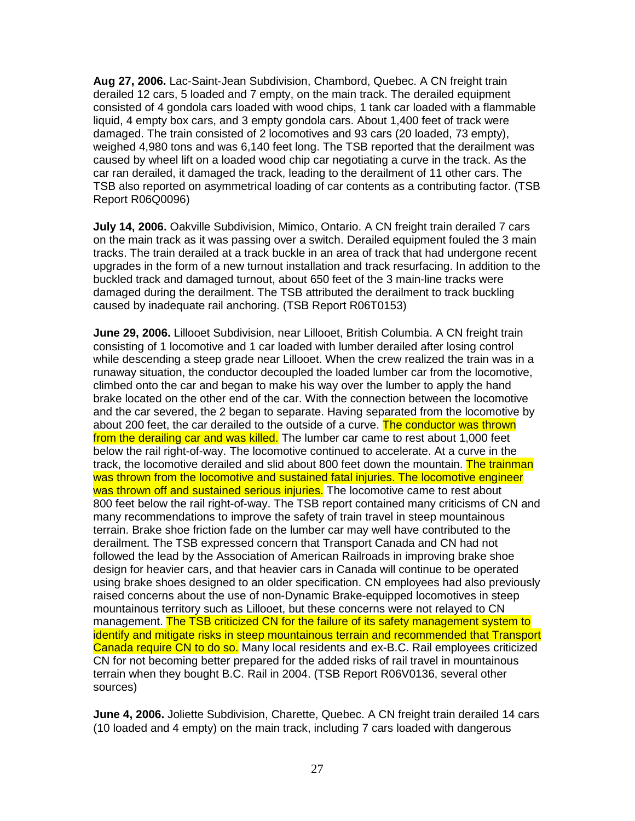**Aug 27, 2006.** Lac-Saint-Jean Subdivision, Chambord, Quebec. A CN freight train derailed 12 cars, 5 loaded and 7 empty, on the main track. The derailed equipment consisted of 4 gondola cars loaded with wood chips, 1 tank car loaded with a flammable liquid, 4 empty box cars, and 3 empty gondola cars. About 1,400 feet of track were damaged. The train consisted of 2 locomotives and 93 cars (20 loaded, 73 empty), weighed 4,980 tons and was 6,140 feet long. The TSB reported that the derailment was caused by wheel lift on a loaded wood chip car negotiating a curve in the track. As the car ran derailed, it damaged the track, leading to the derailment of 11 other cars. The TSB also reported on asymmetrical loading of car contents as a contributing factor. (TSB Report R06Q0096)

**July 14, 2006.** Oakville Subdivision, Mimico, Ontario. A CN freight train derailed 7 cars on the main track as it was passing over a switch. Derailed equipment fouled the 3 main tracks. The train derailed at a track buckle in an area of track that had undergone recent upgrades in the form of a new turnout installation and track resurfacing. In addition to the buckled track and damaged turnout, about 650 feet of the 3 main-line tracks were damaged during the derailment. The TSB attributed the derailment to track buckling caused by inadequate rail anchoring. (TSB Report R06T0153)

**June 29, 2006.** Lillooet Subdivision, near Lillooet, British Columbia. A CN freight train consisting of 1 locomotive and 1 car loaded with lumber derailed after losing control while descending a steep grade near Lillooet. When the crew realized the train was in a runaway situation, the conductor decoupled the loaded lumber car from the locomotive, climbed onto the car and began to make his way over the lumber to apply the hand brake located on the other end of the car. With the connection between the locomotive and the car severed, the 2 began to separate. Having separated from the locomotive by about 200 feet, the car derailed to the outside of a curve. The conductor was thrown from the derailing car and was killed. The lumber car came to rest about 1,000 feet below the rail right-of-way. The locomotive continued to accelerate. At a curve in the track, the locomotive derailed and slid about 800 feet down the mountain. The trainman was thrown from the locomotive and sustained fatal injuries. The locomotive engineer was thrown off and sustained serious injuries. The locomotive came to rest about 800 feet below the rail right-of-way. The TSB report contained many criticisms of CN and many recommendations to improve the safety of train travel in steep mountainous terrain. Brake shoe friction fade on the lumber car may well have contributed to the derailment. The TSB expressed concern that Transport Canada and CN had not followed the lead by the Association of American Railroads in improving brake shoe design for heavier cars, and that heavier cars in Canada will continue to be operated using brake shoes designed to an older specification. CN employees had also previously raised concerns about the use of non-Dynamic Brake-equipped locomotives in steep mountainous territory such as Lillooet, but these concerns were not relayed to CN management. The TSB criticized CN for the failure of its safety management system to identify and mitigate risks in steep mountainous terrain and recommended that Transport Canada require CN to do so. Many local residents and ex-B.C. Rail employees criticized CN for not becoming better prepared for the added risks of rail travel in mountainous terrain when they bought B.C. Rail in 2004. (TSB Report R06V0136, several other sources)

**June 4, 2006.** Joliette Subdivision, Charette, Quebec. A CN freight train derailed 14 cars (10 loaded and 4 empty) on the main track, including 7 cars loaded with dangerous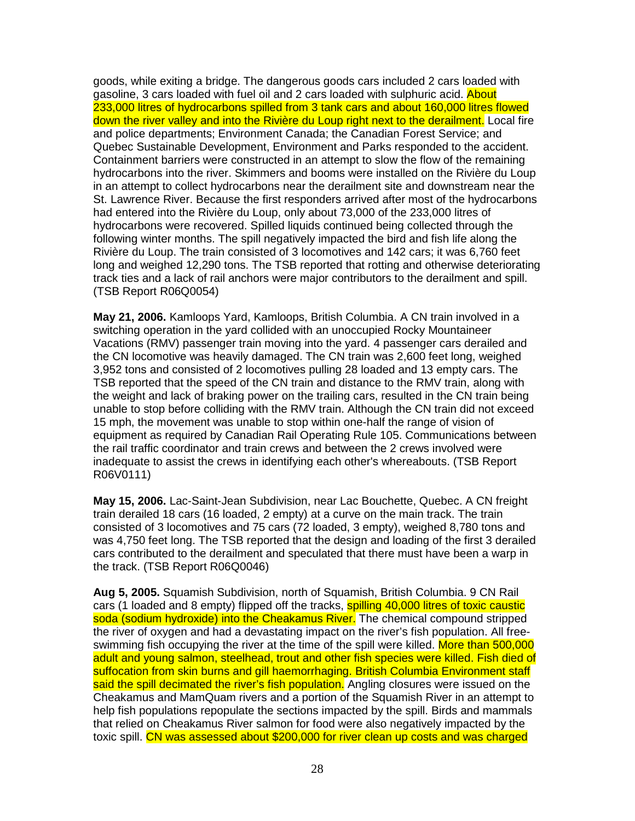goods, while exiting a bridge. The dangerous goods cars included 2 cars loaded with gasoline, 3 cars loaded with fuel oil and 2 cars loaded with sulphuric acid. About 233,000 litres of hydrocarbons spilled from 3 tank cars and about 160,000 litres flowed down the river valley and into the Rivière du Loup right next to the derailment. Local fire and police departments; Environment Canada; the Canadian Forest Service; and Quebec Sustainable Development, Environment and Parks responded to the accident. Containment barriers were constructed in an attempt to slow the flow of the remaining hydrocarbons into the river. Skimmers and booms were installed on the Rivière du Loup in an attempt to collect hydrocarbons near the derailment site and downstream near the St. Lawrence River. Because the first responders arrived after most of the hydrocarbons had entered into the Rivière du Loup, only about 73,000 of the 233,000 litres of hydrocarbons were recovered. Spilled liquids continued being collected through the following winter months. The spill negatively impacted the bird and fish life along the Rivière du Loup. The train consisted of 3 locomotives and 142 cars; it was 6,760 feet long and weighed 12,290 tons. The TSB reported that rotting and otherwise deteriorating track ties and a lack of rail anchors were major contributors to the derailment and spill. (TSB Report R06Q0054)

**May 21, 2006.** Kamloops Yard, Kamloops, British Columbia. A CN train involved in a switching operation in the yard collided with an unoccupied Rocky Mountaineer Vacations (RMV) passenger train moving into the yard. 4 passenger cars derailed and the CN locomotive was heavily damaged. The CN train was 2,600 feet long, weighed 3,952 tons and consisted of 2 locomotives pulling 28 loaded and 13 empty cars. The TSB reported that the speed of the CN train and distance to the RMV train, along with the weight and lack of braking power on the trailing cars, resulted in the CN train being unable to stop before colliding with the RMV train. Although the CN train did not exceed 15 mph, the movement was unable to stop within one-half the range of vision of equipment as required by Canadian Rail Operating Rule 105. Communications between the rail traffic coordinator and train crews and between the 2 crews involved were inadequate to assist the crews in identifying each other's whereabouts. (TSB Report R06V0111)

**May 15, 2006.** Lac-Saint-Jean Subdivision, near Lac Bouchette, Quebec. A CN freight train derailed 18 cars (16 loaded, 2 empty) at a curve on the main track. The train consisted of 3 locomotives and 75 cars (72 loaded, 3 empty), weighed 8,780 tons and was 4,750 feet long. The TSB reported that the design and loading of the first 3 derailed cars contributed to the derailment and speculated that there must have been a warp in the track. (TSB Report R06Q0046)

**Aug 5, 2005.** Squamish Subdivision, north of Squamish, British Columbia. 9 CN Rail cars (1 loaded and 8 empty) flipped off the tracks, **spilling 40,000 litres of toxic caustic** soda (sodium hydroxide) into the Cheakamus River. The chemical compound stripped the river of oxygen and had a devastating impact on the river's fish population. All freeswimming fish occupying the river at the time of the spill were killed. More than 500,000 adult and young salmon, steelhead, trout and other fish species were killed. Fish died of suffocation from skin burns and gill haemorrhaging. British Columbia Environment staff said the spill decimated the river's fish population. Angling closures were issued on the Cheakamus and MamQuam rivers and a portion of the Squamish River in an attempt to help fish populations repopulate the sections impacted by the spill. Birds and mammals that relied on Cheakamus River salmon for food were also negatively impacted by the toxic spill. CN was assessed about \$200,000 for river clean up costs and was charged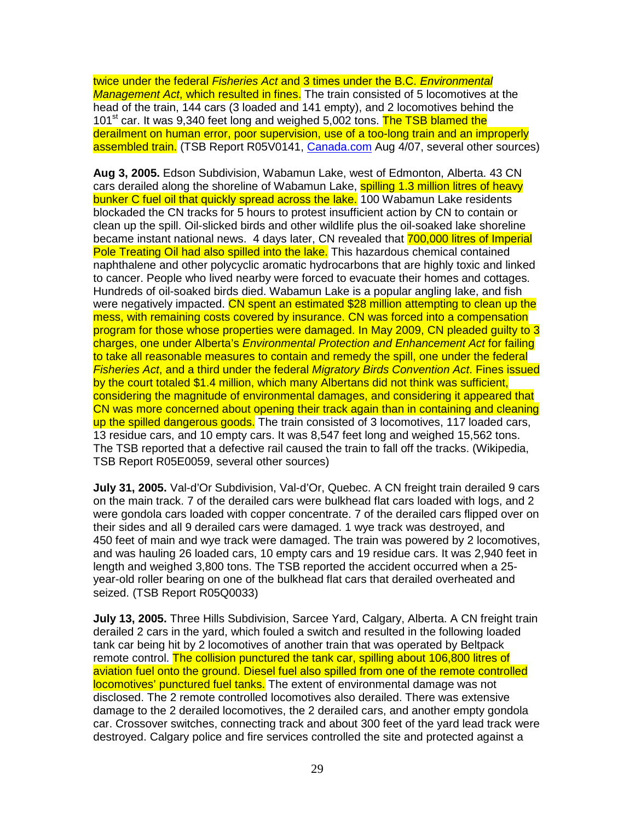twice under the federal Fisheries Act and 3 times under the B.C. Environmental Management Act, which resulted in fines. The train consisted of 5 locomotives at the head of the train, 144 cars (3 loaded and 141 empty), and 2 locomotives behind the 101<sup>st</sup> car. It was 9,340 feet long and weighed 5,002 tons. The TSB blamed the derailment on human error, poor supervision, use of a too-long train and an improperly assembled train. (TSB Report R05V0141, Canada.com Aug 4/07, several other sources)

**Aug 3, 2005.** Edson Subdivision, Wabamun Lake, west of Edmonton, Alberta. 43 CN cars derailed along the shoreline of Wabamun Lake, spilling 1.3 million litres of heavy bunker C fuel oil that quickly spread across the lake. 100 Wabamun Lake residents blockaded the CN tracks for 5 hours to protest insufficient action by CN to contain or clean up the spill. Oil-slicked birds and other wildlife plus the oil-soaked lake shoreline became instant national news. 4 days later, CN revealed that 700,000 litres of Imperial Pole Treating Oil had also spilled into the lake. This hazardous chemical contained naphthalene and other polycyclic aromatic hydrocarbons that are highly toxic and linked to cancer. People who lived nearby were forced to evacuate their homes and cottages. Hundreds of oil-soaked birds died. Wabamun Lake is a popular angling lake, and fish were negatively impacted. CN spent an estimated \$28 million attempting to clean up the mess, with remaining costs covered by insurance. CN was forced into a compensation program for those whose properties were damaged. In May 2009, CN pleaded guilty to 3 charges, one under Alberta's Environmental Protection and Enhancement Act for failing to take all reasonable measures to contain and remedy the spill, one under the federal Fisheries Act, and a third under the federal Migratory Birds Convention Act. Fines issued by the court totaled \$1.4 million, which many Albertans did not think was sufficient, considering the magnitude of environmental damages, and considering it appeared that CN was more concerned about opening their track again than in containing and cleaning up the spilled dangerous goods. The train consisted of 3 locomotives, 117 loaded cars, 13 residue cars, and 10 empty cars. It was 8,547 feet long and weighed 15,562 tons. The TSB reported that a defective rail caused the train to fall off the tracks. (Wikipedia, TSB Report R05E0059, several other sources)

**July 31, 2005.** Val-d'Or Subdivision, Val-d'Or, Quebec. A CN freight train derailed 9 cars on the main track. 7 of the derailed cars were bulkhead flat cars loaded with logs, and 2 were gondola cars loaded with copper concentrate. 7 of the derailed cars flipped over on their sides and all 9 derailed cars were damaged. 1 wye track was destroyed, and 450 feet of main and wye track were damaged. The train was powered by 2 locomotives, and was hauling 26 loaded cars, 10 empty cars and 19 residue cars. It was 2,940 feet in length and weighed 3,800 tons. The TSB reported the accident occurred when a 25 year-old roller bearing on one of the bulkhead flat cars that derailed overheated and seized. (TSB Report R05Q0033)

**July 13, 2005.** Three Hills Subdivision, Sarcee Yard, Calgary, Alberta. A CN freight train derailed 2 cars in the yard, which fouled a switch and resulted in the following loaded tank car being hit by 2 locomotives of another train that was operated by Beltpack remote control. The collision punctured the tank car, spilling about 106,800 litres of aviation fuel onto the ground. Diesel fuel also spilled from one of the remote controlled locomotives' punctured fuel tanks. The extent of environmental damage was not disclosed. The 2 remote controlled locomotives also derailed. There was extensive damage to the 2 derailed locomotives, the 2 derailed cars, and another empty gondola car. Crossover switches, connecting track and about 300 feet of the yard lead track were destroyed. Calgary police and fire services controlled the site and protected against a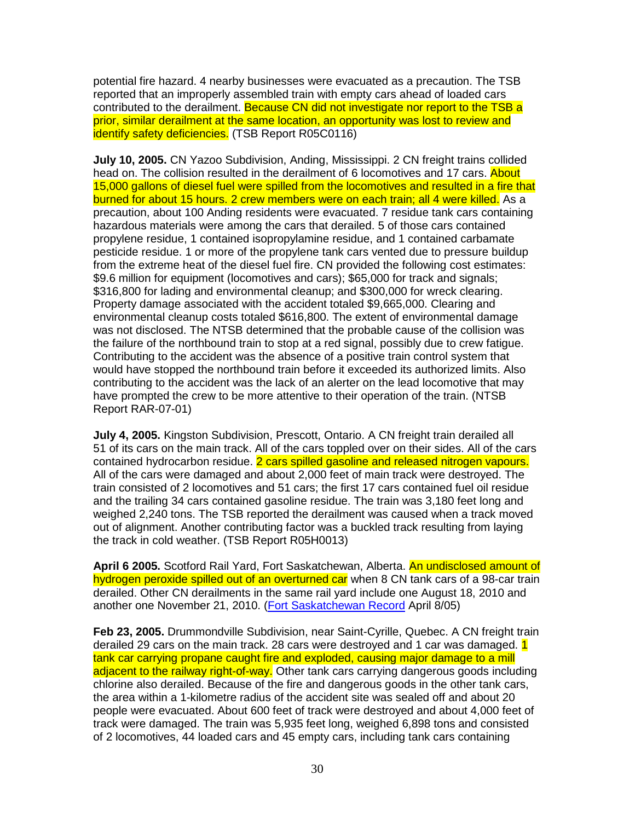potential fire hazard. 4 nearby businesses were evacuated as a precaution. The TSB reported that an improperly assembled train with empty cars ahead of loaded cars contributed to the derailment. Because CN did not investigate nor report to the TSB a prior, similar derailment at the same location, an opportunity was lost to review and identify safety deficiencies. (TSB Report R05C0116)

**July 10, 2005.** CN Yazoo Subdivision, Anding, Mississippi. 2 CN freight trains collided head on. The collision resulted in the derailment of 6 locomotives and 17 cars. About 15,000 gallons of diesel fuel were spilled from the locomotives and resulted in a fire that burned for about 15 hours. 2 crew members were on each train; all 4 were killed. As a precaution, about 100 Anding residents were evacuated. 7 residue tank cars containing hazardous materials were among the cars that derailed. 5 of those cars contained propylene residue, 1 contained isopropylamine residue, and 1 contained carbamate pesticide residue. 1 or more of the propylene tank cars vented due to pressure buildup from the extreme heat of the diesel fuel fire. CN provided the following cost estimates: \$9.6 million for equipment (locomotives and cars); \$65,000 for track and signals; \$316,800 for lading and environmental cleanup; and \$300,000 for wreck clearing. Property damage associated with the accident totaled \$9,665,000. Clearing and environmental cleanup costs totaled \$616,800. The extent of environmental damage was not disclosed. The NTSB determined that the probable cause of the collision was the failure of the northbound train to stop at a red signal, possibly due to crew fatigue. Contributing to the accident was the absence of a positive train control system that would have stopped the northbound train before it exceeded its authorized limits. Also contributing to the accident was the lack of an alerter on the lead locomotive that may have prompted the crew to be more attentive to their operation of the train. (NTSB Report RAR-07-01)

**July 4, 2005.** Kingston Subdivision, Prescott, Ontario. A CN freight train derailed all 51 of its cars on the main track. All of the cars toppled over on their sides. All of the cars contained hydrocarbon residue. 2 cars spilled gasoline and released nitrogen vapours. All of the cars were damaged and about 2,000 feet of main track were destroyed. The train consisted of 2 locomotives and 51 cars; the first 17 cars contained fuel oil residue and the trailing 34 cars contained gasoline residue. The train was 3,180 feet long and weighed 2,240 tons. The TSB reported the derailment was caused when a track moved out of alignment. Another contributing factor was a buckled track resulting from laying the track in cold weather. (TSB Report R05H0013)

**April 6 2005.** Scotford Rail Yard, Fort Saskatchewan, Alberta. An undisclosed amount of hydrogen peroxide spilled out of an overturned car when 8 CN tank cars of a 98-car train derailed. Other CN derailments in the same rail yard include one August 18, 2010 and another one November 21, 2010. (Fort Saskatchewan Record April 8/05)

**Feb 23, 2005.** Drummondville Subdivision, near Saint-Cyrille, Quebec. A CN freight train derailed 29 cars on the main track. 28 cars were destroyed and 1 car was damaged. 1 tank car carrying propane caught fire and exploded, causing major damage to a mill adjacent to the railway right-of-way. Other tank cars carrying dangerous goods including chlorine also derailed. Because of the fire and dangerous goods in the other tank cars, the area within a 1-kilometre radius of the accident site was sealed off and about 20 people were evacuated. About 600 feet of track were destroyed and about 4,000 feet of track were damaged. The train was 5,935 feet long, weighed 6,898 tons and consisted of 2 locomotives, 44 loaded cars and 45 empty cars, including tank cars containing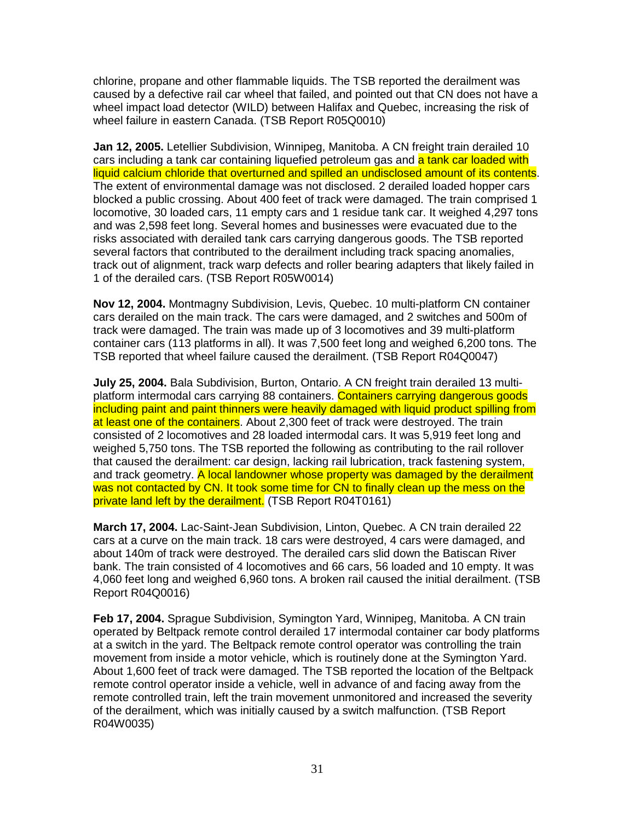chlorine, propane and other flammable liquids. The TSB reported the derailment was caused by a defective rail car wheel that failed, and pointed out that CN does not have a wheel impact load detector (WILD) between Halifax and Quebec, increasing the risk of wheel failure in eastern Canada. (TSB Report R05Q0010)

**Jan 12, 2005.** Letellier Subdivision, Winnipeg, Manitoba. A CN freight train derailed 10 cars including a tank car containing liquefied petroleum gas and a tank car loaded with liquid calcium chloride that overturned and spilled an undisclosed amount of its contents. The extent of environmental damage was not disclosed. 2 derailed loaded hopper cars blocked a public crossing. About 400 feet of track were damaged. The train comprised 1 locomotive, 30 loaded cars, 11 empty cars and 1 residue tank car. It weighed 4,297 tons and was 2,598 feet long. Several homes and businesses were evacuated due to the risks associated with derailed tank cars carrying dangerous goods. The TSB reported several factors that contributed to the derailment including track spacing anomalies, track out of alignment, track warp defects and roller bearing adapters that likely failed in 1 of the derailed cars. (TSB Report R05W0014)

**Nov 12, 2004.** Montmagny Subdivision, Levis, Quebec. 10 multi-platform CN container cars derailed on the main track. The cars were damaged, and 2 switches and 500m of track were damaged. The train was made up of 3 locomotives and 39 multi-platform container cars (113 platforms in all). It was 7,500 feet long and weighed 6,200 tons. The TSB reported that wheel failure caused the derailment. (TSB Report R04Q0047)

**July 25, 2004.** Bala Subdivision, Burton, Ontario. A CN freight train derailed 13 multiplatform intermodal cars carrying 88 containers. Containers carrying dangerous goods including paint and paint thinners were heavily damaged with liquid product spilling from at least one of the containers. About 2,300 feet of track were destroyed. The train consisted of 2 locomotives and 28 loaded intermodal cars. It was 5,919 feet long and weighed 5,750 tons. The TSB reported the following as contributing to the rail rollover that caused the derailment: car design, lacking rail lubrication, track fastening system, and track geometry. A local landowner whose property was damaged by the derailment was not contacted by CN. It took some time for CN to finally clean up the mess on the private land left by the derailment. (TSB Report R04T0161)

**March 17, 2004.** Lac-Saint-Jean Subdivision, Linton, Quebec. A CN train derailed 22 cars at a curve on the main track. 18 cars were destroyed, 4 cars were damaged, and about 140m of track were destroyed. The derailed cars slid down the Batiscan River bank. The train consisted of 4 locomotives and 66 cars, 56 loaded and 10 empty. It was 4,060 feet long and weighed 6,960 tons. A broken rail caused the initial derailment. (TSB Report R04Q0016)

**Feb 17, 2004.** Sprague Subdivision, Symington Yard, Winnipeg, Manitoba. A CN train operated by Beltpack remote control derailed 17 intermodal container car body platforms at a switch in the yard. The Beltpack remote control operator was controlling the train movement from inside a motor vehicle, which is routinely done at the Symington Yard. About 1,600 feet of track were damaged. The TSB reported the location of the Beltpack remote control operator inside a vehicle, well in advance of and facing away from the remote controlled train, left the train movement unmonitored and increased the severity of the derailment, which was initially caused by a switch malfunction. (TSB Report R04W0035)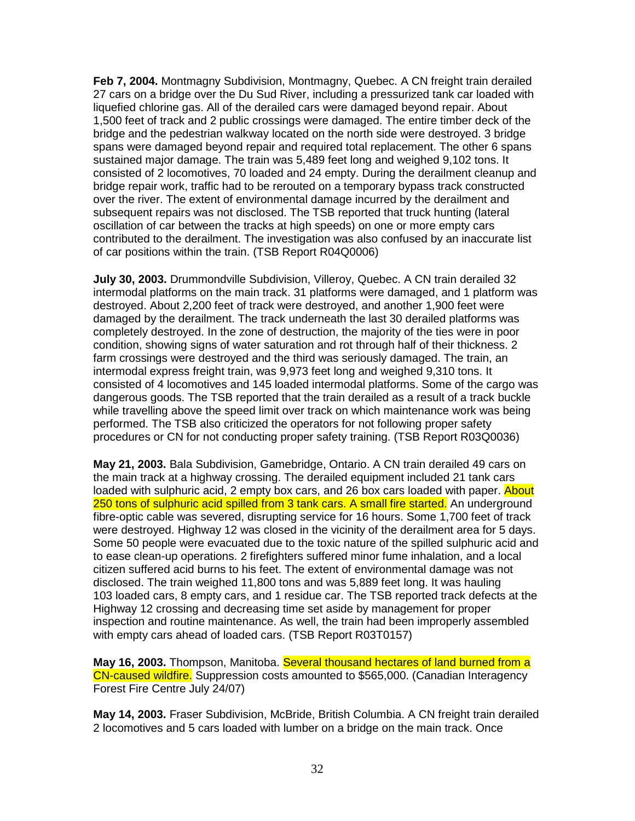**Feb 7, 2004.** Montmagny Subdivision, Montmagny, Quebec. A CN freight train derailed 27 cars on a bridge over the Du Sud River, including a pressurized tank car loaded with liquefied chlorine gas. All of the derailed cars were damaged beyond repair. About 1,500 feet of track and 2 public crossings were damaged. The entire timber deck of the bridge and the pedestrian walkway located on the north side were destroyed. 3 bridge spans were damaged beyond repair and required total replacement. The other 6 spans sustained major damage. The train was 5,489 feet long and weighed 9,102 tons. It consisted of 2 locomotives, 70 loaded and 24 empty. During the derailment cleanup and bridge repair work, traffic had to be rerouted on a temporary bypass track constructed over the river. The extent of environmental damage incurred by the derailment and subsequent repairs was not disclosed. The TSB reported that truck hunting (lateral oscillation of car between the tracks at high speeds) on one or more empty cars contributed to the derailment. The investigation was also confused by an inaccurate list of car positions within the train. (TSB Report R04Q0006)

**July 30, 2003.** Drummondville Subdivision, Villeroy, Quebec. A CN train derailed 32 intermodal platforms on the main track. 31 platforms were damaged, and 1 platform was destroyed. About 2,200 feet of track were destroyed, and another 1,900 feet were damaged by the derailment. The track underneath the last 30 derailed platforms was completely destroyed. In the zone of destruction, the majority of the ties were in poor condition, showing signs of water saturation and rot through half of their thickness. 2 farm crossings were destroyed and the third was seriously damaged. The train, an intermodal express freight train, was 9,973 feet long and weighed 9,310 tons. It consisted of 4 locomotives and 145 loaded intermodal platforms. Some of the cargo was dangerous goods. The TSB reported that the train derailed as a result of a track buckle while travelling above the speed limit over track on which maintenance work was being performed. The TSB also criticized the operators for not following proper safety procedures or CN for not conducting proper safety training. (TSB Report R03Q0036)

**May 21, 2003.** Bala Subdivision, Gamebridge, Ontario. A CN train derailed 49 cars on the main track at a highway crossing. The derailed equipment included 21 tank cars loaded with sulphuric acid, 2 empty box cars, and 26 box cars loaded with paper. About 250 tons of sulphuric acid spilled from 3 tank cars. A small fire started. An underground fibre-optic cable was severed, disrupting service for 16 hours. Some 1,700 feet of track were destroyed. Highway 12 was closed in the vicinity of the derailment area for 5 days. Some 50 people were evacuated due to the toxic nature of the spilled sulphuric acid and to ease clean-up operations. 2 firefighters suffered minor fume inhalation, and a local citizen suffered acid burns to his feet. The extent of environmental damage was not disclosed. The train weighed 11,800 tons and was 5,889 feet long. It was hauling 103 loaded cars, 8 empty cars, and 1 residue car. The TSB reported track defects at the Highway 12 crossing and decreasing time set aside by management for proper inspection and routine maintenance. As well, the train had been improperly assembled with empty cars ahead of loaded cars. (TSB Report R03T0157)

**May 16, 2003.** Thompson, Manitoba. Several thousand hectares of land burned from a CN-caused wildfire. Suppression costs amounted to \$565,000. (Canadian Interagency Forest Fire Centre July 24/07)

**May 14, 2003.** Fraser Subdivision, McBride, British Columbia. A CN freight train derailed 2 locomotives and 5 cars loaded with lumber on a bridge on the main track. Once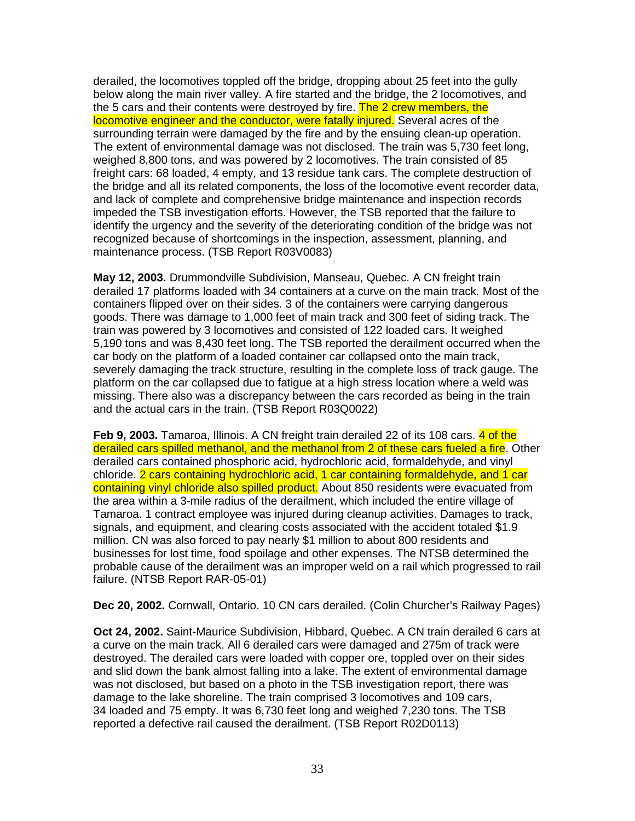derailed, the locomotives toppled off the bridge, dropping about 25 feet into the gully below along the main river valley. A fire started and the bridge, the 2 locomotives, and the 5 cars and their contents were destroyed by fire. The 2 crew members, the locomotive engineer and the conductor, were fatally injured. Several acres of the surrounding terrain were damaged by the fire and by the ensuing clean-up operation. The extent of environmental damage was not disclosed. The train was 5,730 feet long, weighed 8,800 tons, and was powered by 2 locomotives. The train consisted of 85 freight cars: 68 loaded, 4 empty, and 13 residue tank cars. The complete destruction of the bridge and all its related components, the loss of the locomotive event recorder data, and lack of complete and comprehensive bridge maintenance and inspection records impeded the TSB investigation efforts. However, the TSB reported that the failure to identify the urgency and the severity of the deteriorating condition of the bridge was not recognized because of shortcomings in the inspection, assessment, planning, and maintenance process. (TSB Report R03V0083)

**May 12, 2003.** Drummondville Subdivision, Manseau, Quebec. A CN freight train derailed 17 platforms loaded with 34 containers at a curve on the main track. Most of the containers flipped over on their sides. 3 of the containers were carrying dangerous goods. There was damage to 1,000 feet of main track and 300 feet of siding track. The train was powered by 3 locomotives and consisted of 122 loaded cars. It weighed 5,190 tons and was 8,430 feet long. The TSB reported the derailment occurred when the car body on the platform of a loaded container car collapsed onto the main track, severely damaging the track structure, resulting in the complete loss of track gauge. The platform on the car collapsed due to fatigue at a high stress location where a weld was missing. There also was a discrepancy between the cars recorded as being in the train and the actual cars in the train. (TSB Report R03Q0022)

**Feb 9, 2003.** Tamaroa, Illinois. A CN freight train derailed 22 of its 108 cars. 4 of the derailed cars spilled methanol, and the methanol from 2 of these cars fueled a fire. Other derailed cars contained phosphoric acid, hydrochloric acid, formaldehyde, and vinyl chloride. 2 cars containing hydrochloric acid, 1 car containing formaldehyde, and 1 car containing vinyl chloride also spilled product. About 850 residents were evacuated from the area within a 3-mile radius of the derailment, which included the entire village of Tamaroa. 1 contract employee was injured during cleanup activities. Damages to track, signals, and equipment, and clearing costs associated with the accident totaled \$1.9 million. CN was also forced to pay nearly \$1 million to about 800 residents and businesses for lost time, food spoilage and other expenses. The NTSB determined the probable cause of the derailment was an improper weld on a rail which progressed to rail failure. (NTSB Report RAR-05-01)

**Dec 20, 2002.** Cornwall, Ontario. 10 CN cars derailed. (Colin Churcher's Railway Pages)

**Oct 24, 2002.** Saint-Maurice Subdivision, Hibbard, Quebec. A CN train derailed 6 cars at a curve on the main track. All 6 derailed cars were damaged and 275m of track were destroyed. The derailed cars were loaded with copper ore, toppled over on their sides and slid down the bank almost falling into a lake. The extent of environmental damage was not disclosed, but based on a photo in the TSB investigation report, there was damage to the lake shoreline. The train comprised 3 locomotives and 109 cars, 34 loaded and 75 empty. It was 6,730 feet long and weighed 7,230 tons. The TSB reported a defective rail caused the derailment. (TSB Report R02D0113)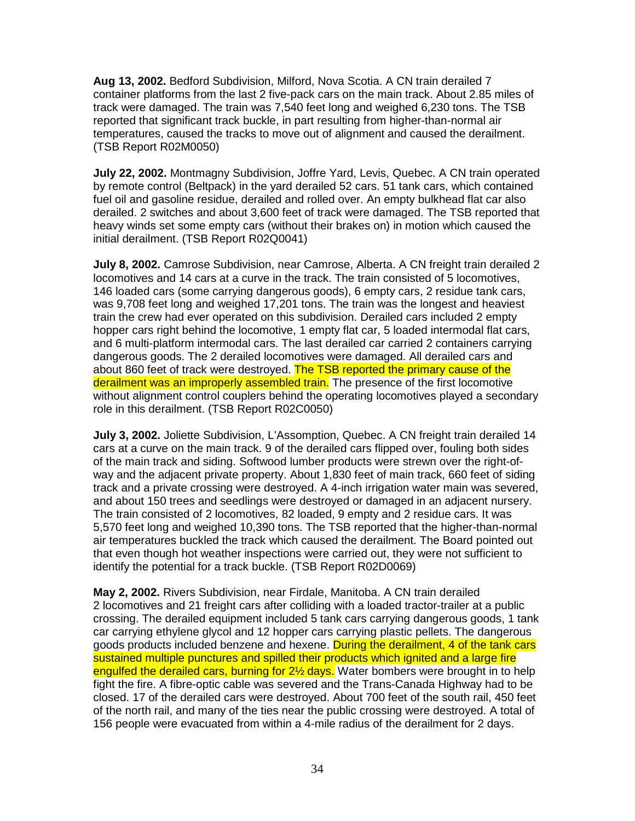**Aug 13, 2002.** Bedford Subdivision, Milford, Nova Scotia. A CN train derailed 7 container platforms from the last 2 five-pack cars on the main track. About 2.85 miles of track were damaged. The train was 7,540 feet long and weighed 6,230 tons. The TSB reported that significant track buckle, in part resulting from higher-than-normal air temperatures, caused the tracks to move out of alignment and caused the derailment. (TSB Report R02M0050)

**July 22, 2002.** Montmagny Subdivision, Joffre Yard, Levis, Quebec. A CN train operated by remote control (Beltpack) in the yard derailed 52 cars. 51 tank cars, which contained fuel oil and gasoline residue, derailed and rolled over. An empty bulkhead flat car also derailed. 2 switches and about 3,600 feet of track were damaged. The TSB reported that heavy winds set some empty cars (without their brakes on) in motion which caused the initial derailment. (TSB Report R02Q0041)

**July 8, 2002.** Camrose Subdivision, near Camrose, Alberta. A CN freight train derailed 2 locomotives and 14 cars at a curve in the track. The train consisted of 5 locomotives, 146 loaded cars (some carrying dangerous goods), 6 empty cars, 2 residue tank cars, was 9,708 feet long and weighed 17,201 tons. The train was the longest and heaviest train the crew had ever operated on this subdivision. Derailed cars included 2 empty hopper cars right behind the locomotive, 1 empty flat car, 5 loaded intermodal flat cars, and 6 multi-platform intermodal cars. The last derailed car carried 2 containers carrying dangerous goods. The 2 derailed locomotives were damaged. All derailed cars and about 860 feet of track were destroyed. The TSB reported the primary cause of the derailment was an improperly assembled train. The presence of the first locomotive without alignment control couplers behind the operating locomotives played a secondary role in this derailment. (TSB Report R02C0050)

**July 3, 2002.** Joliette Subdivision, L'Assomption, Quebec. A CN freight train derailed 14 cars at a curve on the main track. 9 of the derailed cars flipped over, fouling both sides of the main track and siding. Softwood lumber products were strewn over the right-ofway and the adjacent private property. About 1,830 feet of main track, 660 feet of siding track and a private crossing were destroyed. A 4-inch irrigation water main was severed, and about 150 trees and seedlings were destroyed or damaged in an adjacent nursery. The train consisted of 2 locomotives, 82 loaded, 9 empty and 2 residue cars. It was 5,570 feet long and weighed 10,390 tons. The TSB reported that the higher-than-normal air temperatures buckled the track which caused the derailment. The Board pointed out that even though hot weather inspections were carried out, they were not sufficient to identify the potential for a track buckle. (TSB Report R02D0069)

**May 2, 2002.** Rivers Subdivision, near Firdale, Manitoba. A CN train derailed 2 locomotives and 21 freight cars after colliding with a loaded tractor-trailer at a public crossing. The derailed equipment included 5 tank cars carrying dangerous goods, 1 tank car carrying ethylene glycol and 12 hopper cars carrying plastic pellets. The dangerous goods products included benzene and hexene. During the derailment, 4 of the tank cars sustained multiple punctures and spilled their products which ignited and a large fire engulfed the derailed cars, burning for 2<sup>1/2</sup> days. Water bombers were brought in to help fight the fire. A fibre-optic cable was severed and the Trans-Canada Highway had to be closed. 17 of the derailed cars were destroyed. About 700 feet of the south rail, 450 feet of the north rail, and many of the ties near the public crossing were destroyed. A total of 156 people were evacuated from within a 4-mile radius of the derailment for 2 days.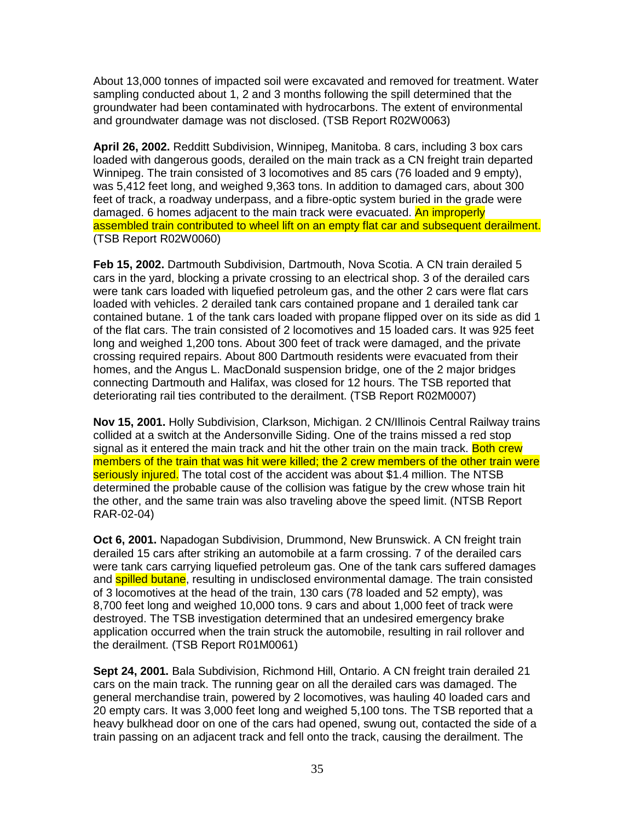About 13,000 tonnes of impacted soil were excavated and removed for treatment. Water sampling conducted about 1, 2 and 3 months following the spill determined that the groundwater had been contaminated with hydrocarbons. The extent of environmental and groundwater damage was not disclosed. (TSB Report R02W0063)

**April 26, 2002.** Redditt Subdivision, Winnipeg, Manitoba. 8 cars, including 3 box cars loaded with dangerous goods, derailed on the main track as a CN freight train departed Winnipeg. The train consisted of 3 locomotives and 85 cars (76 loaded and 9 empty), was 5,412 feet long, and weighed 9,363 tons. In addition to damaged cars, about 300 feet of track, a roadway underpass, and a fibre-optic system buried in the grade were damaged. 6 homes adjacent to the main track were evacuated. An improperly assembled train contributed to wheel lift on an empty flat car and subsequent derailment. (TSB Report R02W0060)

**Feb 15, 2002.** Dartmouth Subdivision, Dartmouth, Nova Scotia. A CN train derailed 5 cars in the yard, blocking a private crossing to an electrical shop. 3 of the derailed cars were tank cars loaded with liquefied petroleum gas, and the other 2 cars were flat cars loaded with vehicles. 2 derailed tank cars contained propane and 1 derailed tank car contained butane. 1 of the tank cars loaded with propane flipped over on its side as did 1 of the flat cars. The train consisted of 2 locomotives and 15 loaded cars. It was 925 feet long and weighed 1,200 tons. About 300 feet of track were damaged, and the private crossing required repairs. About 800 Dartmouth residents were evacuated from their homes, and the Angus L. MacDonald suspension bridge, one of the 2 major bridges connecting Dartmouth and Halifax, was closed for 12 hours. The TSB reported that deteriorating rail ties contributed to the derailment. (TSB Report R02M0007)

**Nov 15, 2001.** Holly Subdivision, Clarkson, Michigan. 2 CN/Illinois Central Railway trains collided at a switch at the Andersonville Siding. One of the trains missed a red stop signal as it entered the main track and hit the other train on the main track. Both crew members of the train that was hit were killed; the 2 crew members of the other train were seriously injured. The total cost of the accident was about \$1.4 million. The NTSB determined the probable cause of the collision was fatigue by the crew whose train hit the other, and the same train was also traveling above the speed limit. (NTSB Report RAR-02-04)

**Oct 6, 2001.** Napadogan Subdivision, Drummond, New Brunswick. A CN freight train derailed 15 cars after striking an automobile at a farm crossing. 7 of the derailed cars were tank cars carrying liquefied petroleum gas. One of the tank cars suffered damages and **spilled butane**, resulting in undisclosed environmental damage. The train consisted of 3 locomotives at the head of the train, 130 cars (78 loaded and 52 empty), was 8,700 feet long and weighed 10,000 tons. 9 cars and about 1,000 feet of track were destroyed. The TSB investigation determined that an undesired emergency brake application occurred when the train struck the automobile, resulting in rail rollover and the derailment. (TSB Report R01M0061)

**Sept 24, 2001.** Bala Subdivision, Richmond Hill, Ontario. A CN freight train derailed 21 cars on the main track. The running gear on all the derailed cars was damaged. The general merchandise train, powered by 2 locomotives, was hauling 40 loaded cars and 20 empty cars. It was 3,000 feet long and weighed 5,100 tons. The TSB reported that a heavy bulkhead door on one of the cars had opened, swung out, contacted the side of a train passing on an adjacent track and fell onto the track, causing the derailment. The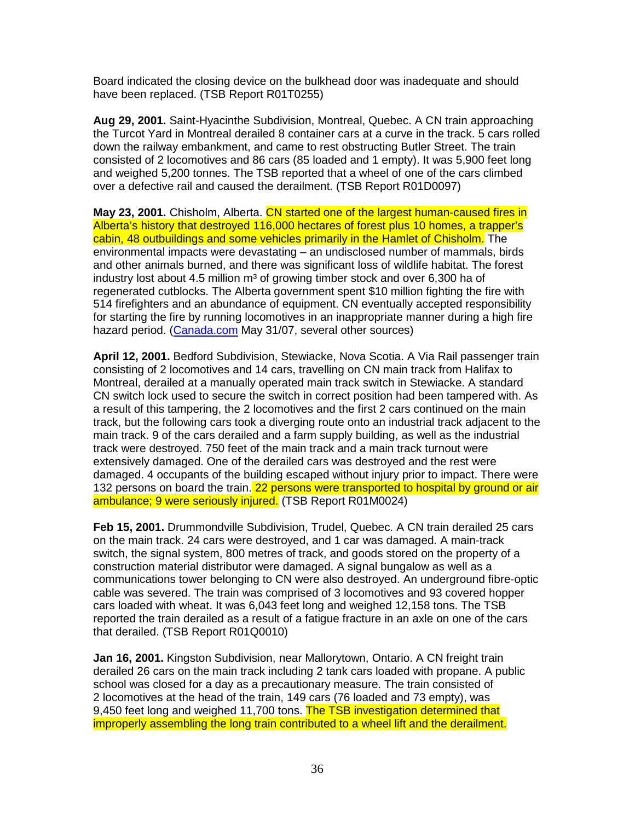Board indicated the closing device on the bulkhead door was inadequate and should have been replaced. (TSB Report R01T0255)

**Aug 29, 2001.** Saint-Hyacinthe Subdivision, Montreal, Quebec. A CN train approaching the Turcot Yard in Montreal derailed 8 container cars at a curve in the track. 5 cars rolled down the railway embankment, and came to rest obstructing Butler Street. The train consisted of 2 locomotives and 86 cars (85 loaded and 1 empty). It was 5,900 feet long and weighed 5,200 tonnes. The TSB reported that a wheel of one of the cars climbed over a defective rail and caused the derailment. (TSB Report R01D0097)

**May 23, 2001.** Chisholm, Alberta. CN started one of the largest human-caused fires in Alberta's history that destroyed 116,000 hectares of forest plus 10 homes, a trapper's cabin, 48 outbuildings and some vehicles primarily in the Hamlet of Chisholm. The environmental impacts were devastating – an undisclosed number of mammals, birds and other animals burned, and there was significant loss of wildlife habitat. The forest industry lost about 4.5 million  $m<sup>3</sup>$  of growing timber stock and over 6,300 ha of regenerated cutblocks. The Alberta government spent \$10 million fighting the fire with 514 firefighters and an abundance of equipment. CN eventually accepted responsibility for starting the fire by running locomotives in an inappropriate manner during a high fire hazard period. (Canada.com May 31/07, several other sources)

**April 12, 2001.** Bedford Subdivision, Stewiacke, Nova Scotia. A Via Rail passenger train consisting of 2 locomotives and 14 cars, travelling on CN main track from Halifax to Montreal, derailed at a manually operated main track switch in Stewiacke. A standard CN switch lock used to secure the switch in correct position had been tampered with. As a result of this tampering, the 2 locomotives and the first 2 cars continued on the main track, but the following cars took a diverging route onto an industrial track adjacent to the main track. 9 of the cars derailed and a farm supply building, as well as the industrial track were destroyed. 750 feet of the main track and a main track turnout were extensively damaged. One of the derailed cars was destroyed and the rest were damaged. 4 occupants of the building escaped without injury prior to impact. There were 132 persons on board the train. 22 persons were transported to hospital by ground or air ambulance; 9 were seriously injured. (TSB Report R01M0024)

**Feb 15, 2001.** Drummondville Subdivision, Trudel, Quebec. A CN train derailed 25 cars on the main track. 24 cars were destroyed, and 1 car was damaged. A main-track switch, the signal system, 800 metres of track, and goods stored on the property of a construction material distributor were damaged. A signal bungalow as well as a communications tower belonging to CN were also destroyed. An underground fibre-optic cable was severed. The train was comprised of 3 locomotives and 93 covered hopper cars loaded with wheat. It was 6,043 feet long and weighed 12,158 tons. The TSB reported the train derailed as a result of a fatigue fracture in an axle on one of the cars that derailed. (TSB Report R01Q0010)

**Jan 16, 2001.** Kingston Subdivision, near Mallorytown, Ontario. A CN freight train derailed 26 cars on the main track including 2 tank cars loaded with propane. A public school was closed for a day as a precautionary measure. The train consisted of 2 locomotives at the head of the train, 149 cars (76 loaded and 73 empty), was 9,450 feet long and weighed 11,700 tons. The TSB investigation determined that improperly assembling the long train contributed to a wheel lift and the derailment.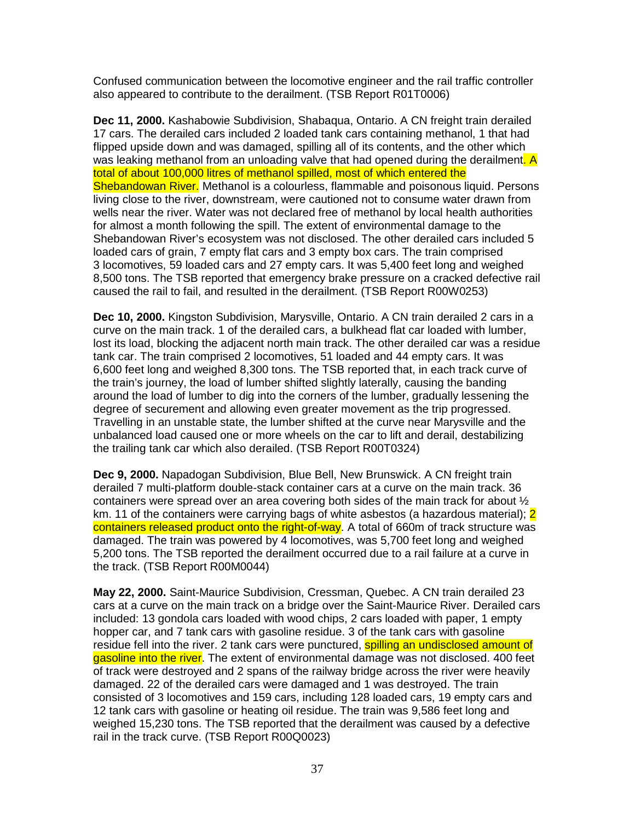Confused communication between the locomotive engineer and the rail traffic controller also appeared to contribute to the derailment. (TSB Report R01T0006)

**Dec 11, 2000.** Kashabowie Subdivision, Shabaqua, Ontario. A CN freight train derailed 17 cars. The derailed cars included 2 loaded tank cars containing methanol, 1 that had flipped upside down and was damaged, spilling all of its contents, and the other which was leaking methanol from an unloading valve that had opened during the derailment. A total of about 100,000 litres of methanol spilled, most of which entered the Shebandowan River. Methanol is a colourless, flammable and poisonous liquid. Persons living close to the river, downstream, were cautioned not to consume water drawn from wells near the river. Water was not declared free of methanol by local health authorities for almost a month following the spill. The extent of environmental damage to the Shebandowan River's ecosystem was not disclosed. The other derailed cars included 5 loaded cars of grain, 7 empty flat cars and 3 empty box cars. The train comprised 3 locomotives, 59 loaded cars and 27 empty cars. It was 5,400 feet long and weighed 8,500 tons. The TSB reported that emergency brake pressure on a cracked defective rail caused the rail to fail, and resulted in the derailment. (TSB Report R00W0253)

**Dec 10, 2000.** Kingston Subdivision, Marysville, Ontario. A CN train derailed 2 cars in a curve on the main track. 1 of the derailed cars, a bulkhead flat car loaded with lumber, lost its load, blocking the adjacent north main track. The other derailed car was a residue tank car. The train comprised 2 locomotives, 51 loaded and 44 empty cars. It was 6,600 feet long and weighed 8,300 tons. The TSB reported that, in each track curve of the train's journey, the load of lumber shifted slightly laterally, causing the banding around the load of lumber to dig into the corners of the lumber, gradually lessening the degree of securement and allowing even greater movement as the trip progressed. Travelling in an unstable state, the lumber shifted at the curve near Marysville and the unbalanced load caused one or more wheels on the car to lift and derail, destabilizing the trailing tank car which also derailed. (TSB Report R00T0324)

**Dec 9, 2000.** Napadogan Subdivision, Blue Bell, New Brunswick. A CN freight train derailed 7 multi-platform double-stack container cars at a curve on the main track. 36 containers were spread over an area covering both sides of the main track for about  $\frac{1}{2}$ km. 11 of the containers were carrying bags of white asbestos (a hazardous material); 2 containers released product onto the right-of-way. A total of 660m of track structure was damaged. The train was powered by 4 locomotives, was 5,700 feet long and weighed 5,200 tons. The TSB reported the derailment occurred due to a rail failure at a curve in the track. (TSB Report R00M0044)

**May 22, 2000.** Saint-Maurice Subdivision, Cressman, Quebec. A CN train derailed 23 cars at a curve on the main track on a bridge over the Saint-Maurice River. Derailed cars included: 13 gondola cars loaded with wood chips, 2 cars loaded with paper, 1 empty hopper car, and 7 tank cars with gasoline residue. 3 of the tank cars with gasoline residue fell into the river. 2 tank cars were punctured, **spilling an undisclosed amount of** gasoline into the river. The extent of environmental damage was not disclosed. 400 feet of track were destroyed and 2 spans of the railway bridge across the river were heavily damaged. 22 of the derailed cars were damaged and 1 was destroyed. The train consisted of 3 locomotives and 159 cars, including 128 loaded cars, 19 empty cars and 12 tank cars with gasoline or heating oil residue. The train was 9,586 feet long and weighed 15,230 tons. The TSB reported that the derailment was caused by a defective rail in the track curve. (TSB Report R00Q0023)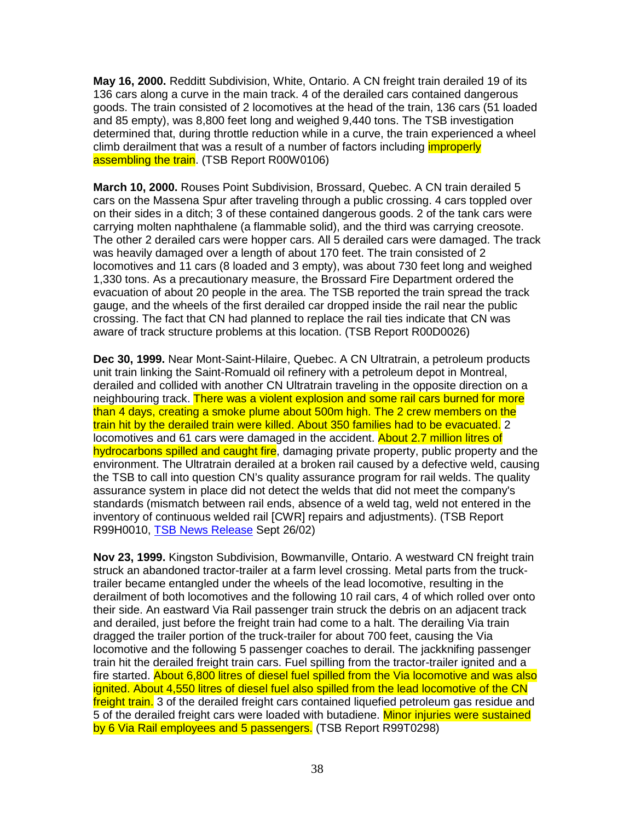**May 16, 2000.** Redditt Subdivision, White, Ontario. A CN freight train derailed 19 of its 136 cars along a curve in the main track. 4 of the derailed cars contained dangerous goods. The train consisted of 2 locomotives at the head of the train, 136 cars (51 loaded and 85 empty), was 8,800 feet long and weighed 9,440 tons. The TSB investigation determined that, during throttle reduction while in a curve, the train experienced a wheel climb derailment that was a result of a number of factors including *improperly* assembling the train. (TSB Report R00W0106)

**March 10, 2000.** Rouses Point Subdivision, Brossard, Quebec. A CN train derailed 5 cars on the Massena Spur after traveling through a public crossing. 4 cars toppled over on their sides in a ditch; 3 of these contained dangerous goods. 2 of the tank cars were carrying molten naphthalene (a flammable solid), and the third was carrying creosote. The other 2 derailed cars were hopper cars. All 5 derailed cars were damaged. The track was heavily damaged over a length of about 170 feet. The train consisted of 2 locomotives and 11 cars (8 loaded and 3 empty), was about 730 feet long and weighed 1,330 tons. As a precautionary measure, the Brossard Fire Department ordered the evacuation of about 20 people in the area. The TSB reported the train spread the track gauge, and the wheels of the first derailed car dropped inside the rail near the public crossing. The fact that CN had planned to replace the rail ties indicate that CN was aware of track structure problems at this location. (TSB Report R00D0026)

**Dec 30, 1999.** Near Mont-Saint-Hilaire, Quebec. A CN Ultratrain, a petroleum products unit train linking the Saint-Romuald oil refinery with a petroleum depot in Montreal, derailed and collided with another CN Ultratrain traveling in the opposite direction on a neighbouring track. There was a violent explosion and some rail cars burned for more than 4 days, creating a smoke plume about 500m high. The 2 crew members on the train hit by the derailed train were killed. About 350 families had to be evacuated. 2 locomotives and 61 cars were damaged in the accident. About 2.7 million litres of hydrocarbons spilled and caught fire, damaging private property, public property and the environment. The Ultratrain derailed at a broken rail caused by a defective weld, causing the TSB to call into question CN's quality assurance program for rail welds. The quality assurance system in place did not detect the welds that did not meet the company's standards (mismatch between rail ends, absence of a weld tag, weld not entered in the inventory of continuous welded rail [CWR] repairs and adjustments). (TSB Report R99H0010, TSB News Release Sept 26/02)

**Nov 23, 1999.** Kingston Subdivision, Bowmanville, Ontario. A westward CN freight train struck an abandoned tractor-trailer at a farm level crossing. Metal parts from the trucktrailer became entangled under the wheels of the lead locomotive, resulting in the derailment of both locomotives and the following 10 rail cars, 4 of which rolled over onto their side. An eastward Via Rail passenger train struck the debris on an adjacent track and derailed, just before the freight train had come to a halt. The derailing Via train dragged the trailer portion of the truck-trailer for about 700 feet, causing the Via locomotive and the following 5 passenger coaches to derail. The jackknifing passenger train hit the derailed freight train cars. Fuel spilling from the tractor-trailer ignited and a fire started. About 6,800 litres of diesel fuel spilled from the Via locomotive and was also ignited. About 4,550 litres of diesel fuel also spilled from the lead locomotive of the CN freight train. 3 of the derailed freight cars contained liquefied petroleum gas residue and 5 of the derailed freight cars were loaded with butadiene. Minor injuries were sustained by 6 Via Rail employees and 5 passengers. (TSB Report R99T0298)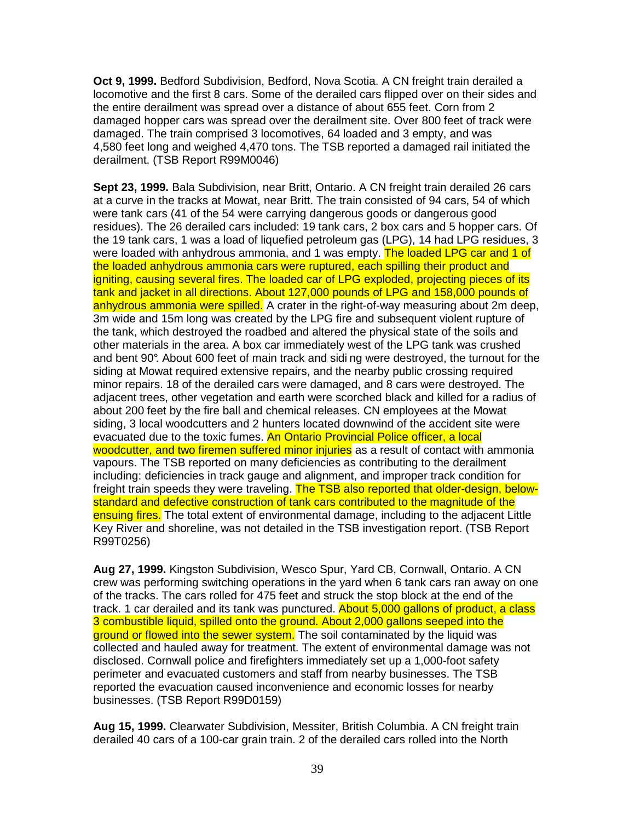**Oct 9, 1999.** Bedford Subdivision, Bedford, Nova Scotia. A CN freight train derailed a locomotive and the first 8 cars. Some of the derailed cars flipped over on their sides and the entire derailment was spread over a distance of about 655 feet. Corn from 2 damaged hopper cars was spread over the derailment site. Over 800 feet of track were damaged. The train comprised 3 locomotives, 64 loaded and 3 empty, and was 4,580 feet long and weighed 4,470 tons. The TSB reported a damaged rail initiated the derailment. (TSB Report R99M0046)

**Sept 23, 1999.** Bala Subdivision, near Britt, Ontario. A CN freight train derailed 26 cars at a curve in the tracks at Mowat, near Britt. The train consisted of 94 cars, 54 of which were tank cars (41 of the 54 were carrying dangerous goods or dangerous good residues). The 26 derailed cars included: 19 tank cars, 2 box cars and 5 hopper cars. Of the 19 tank cars, 1 was a load of liquefied petroleum gas (LPG), 14 had LPG residues, 3 were loaded with anhydrous ammonia, and 1 was empty. The loaded LPG car and 1 of the loaded anhydrous ammonia cars were ruptured, each spilling their product and igniting, causing several fires. The loaded car of LPG exploded, projecting pieces of its tank and jacket in all directions. About 127,000 pounds of LPG and 158,000 pounds of anhydrous ammonia were spilled. A crater in the right-of-way measuring about 2m deep, 3m wide and 15m long was created by the LPG fire and subsequent violent rupture of the tank, which destroyed the roadbed and altered the physical state of the soils and other materials in the area. A box car immediately west of the LPG tank was crushed and bent 90°. About 600 feet of main track and sidi ng were destroyed, the turnout for the siding at Mowat required extensive repairs, and the nearby public crossing required minor repairs. 18 of the derailed cars were damaged, and 8 cars were destroyed. The adjacent trees, other vegetation and earth were scorched black and killed for a radius of about 200 feet by the fire ball and chemical releases. CN employees at the Mowat siding, 3 local woodcutters and 2 hunters located downwind of the accident site were evacuated due to the toxic fumes. An Ontario Provincial Police officer, a local woodcutter, and two firemen suffered minor injuries as a result of contact with ammonia vapours. The TSB reported on many deficiencies as contributing to the derailment including: deficiencies in track gauge and alignment, and improper track condition for freight train speeds they were traveling. The TSB also reported that older-design, belowstandard and defective construction of tank cars contributed to the magnitude of the ensuing fires. The total extent of environmental damage, including to the adjacent Little Key River and shoreline, was not detailed in the TSB investigation report. (TSB Report R99T0256)

**Aug 27, 1999.** Kingston Subdivision, Wesco Spur, Yard CB, Cornwall, Ontario. A CN crew was performing switching operations in the yard when 6 tank cars ran away on one of the tracks. The cars rolled for 475 feet and struck the stop block at the end of the track. 1 car derailed and its tank was punctured. About 5,000 gallons of product, a class 3 combustible liquid, spilled onto the ground. About 2,000 gallons seeped into the ground or flowed into the sewer system. The soil contaminated by the liquid was collected and hauled away for treatment. The extent of environmental damage was not disclosed. Cornwall police and firefighters immediately set up a 1,000-foot safety perimeter and evacuated customers and staff from nearby businesses. The TSB reported the evacuation caused inconvenience and economic losses for nearby businesses. (TSB Report R99D0159)

**Aug 15, 1999.** Clearwater Subdivision, Messiter, British Columbia. A CN freight train derailed 40 cars of a 100-car grain train. 2 of the derailed cars rolled into the North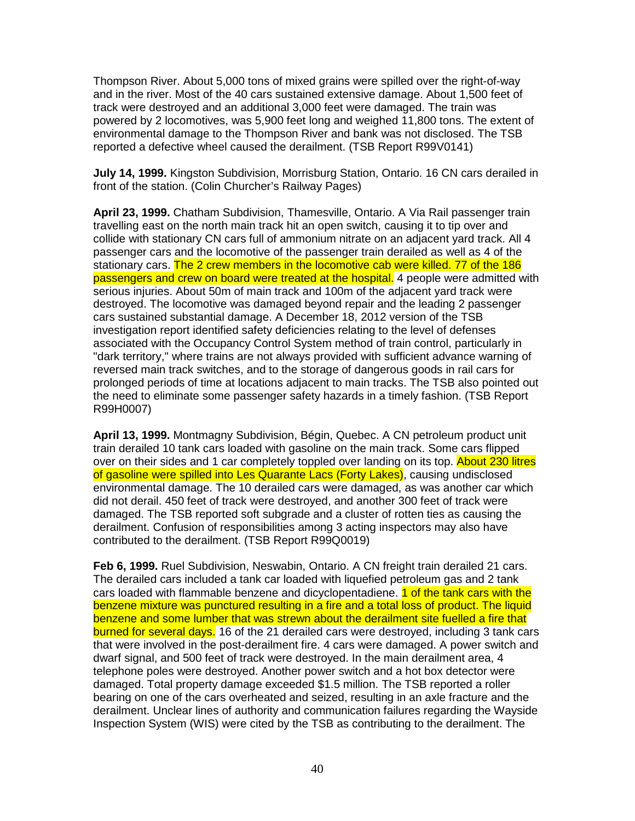Thompson River. About 5,000 tons of mixed grains were spilled over the right-of-way and in the river. Most of the 40 cars sustained extensive damage. About 1,500 feet of track were destroyed and an additional 3,000 feet were damaged. The train was powered by 2 locomotives, was 5,900 feet long and weighed 11,800 tons. The extent of environmental damage to the Thompson River and bank was not disclosed. The TSB reported a defective wheel caused the derailment. (TSB Report R99V0141)

**July 14, 1999.** Kingston Subdivision, Morrisburg Station, Ontario. 16 CN cars derailed in front of the station. (Colin Churcher's Railway Pages)

**April 23, 1999.** Chatham Subdivision, Thamesville, Ontario. A Via Rail passenger train travelling east on the north main track hit an open switch, causing it to tip over and collide with stationary CN cars full of ammonium nitrate on an adjacent yard track. All 4 passenger cars and the locomotive of the passenger train derailed as well as 4 of the stationary cars. The 2 crew members in the locomotive cab were killed. 77 of the 186 passengers and crew on board were treated at the hospital. 4 people were admitted with serious injuries. About 50m of main track and 100m of the adjacent yard track were destroyed. The locomotive was damaged beyond repair and the leading 2 passenger cars sustained substantial damage. A December 18, 2012 version of the TSB investigation report identified safety deficiencies relating to the level of defenses associated with the Occupancy Control System method of train control, particularly in "dark territory," where trains are not always provided with sufficient advance warning of reversed main track switches, and to the storage of dangerous goods in rail cars for prolonged periods of time at locations adjacent to main tracks. The TSB also pointed out the need to eliminate some passenger safety hazards in a timely fashion. (TSB Report R99H0007)

**April 13, 1999.** Montmagny Subdivision, Bégin, Quebec. A CN petroleum product unit train derailed 10 tank cars loaded with gasoline on the main track. Some cars flipped over on their sides and 1 car completely toppled over landing on its top. About 230 litres of gasoline were spilled into Les Quarante Lacs (Forty Lakes), causing undisclosed environmental damage. The 10 derailed cars were damaged, as was another car which did not derail. 450 feet of track were destroyed, and another 300 feet of track were damaged. The TSB reported soft subgrade and a cluster of rotten ties as causing the derailment. Confusion of responsibilities among 3 acting inspectors may also have contributed to the derailment. (TSB Report R99Q0019)

**Feb 6, 1999.** Ruel Subdivision, Neswabin, Ontario. A CN freight train derailed 21 cars. The derailed cars included a tank car loaded with liquefied petroleum gas and 2 tank cars loaded with flammable benzene and dicyclopentadiene. 1 of the tank cars with the benzene mixture was punctured resulting in a fire and a total loss of product. The liquid benzene and some lumber that was strewn about the derailment site fuelled a fire that burned for several days. 16 of the 21 derailed cars were destroyed, including 3 tank cars that were involved in the post-derailment fire. 4 cars were damaged. A power switch and dwarf signal, and 500 feet of track were destroyed. In the main derailment area, 4 telephone poles were destroyed. Another power switch and a hot box detector were damaged. Total property damage exceeded \$1.5 million. The TSB reported a roller bearing on one of the cars overheated and seized, resulting in an axle fracture and the derailment. Unclear lines of authority and communication failures regarding the Wayside Inspection System (WIS) were cited by the TSB as contributing to the derailment. The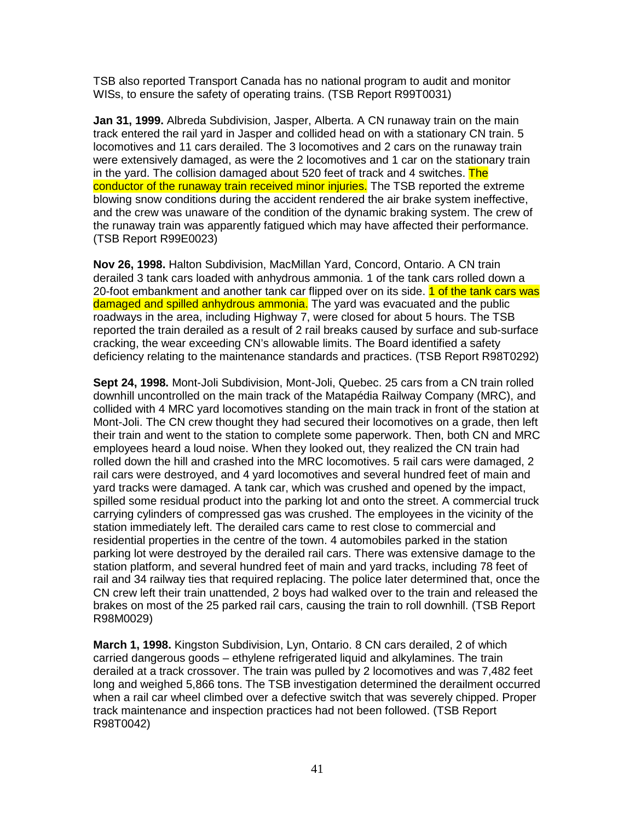TSB also reported Transport Canada has no national program to audit and monitor WISs, to ensure the safety of operating trains. (TSB Report R99T0031)

**Jan 31, 1999.** Albreda Subdivision, Jasper, Alberta. A CN runaway train on the main track entered the rail yard in Jasper and collided head on with a stationary CN train. 5 locomotives and 11 cars derailed. The 3 locomotives and 2 cars on the runaway train were extensively damaged, as were the 2 locomotives and 1 car on the stationary train in the yard. The collision damaged about 520 feet of track and 4 switches. The conductor of the runaway train received minor injuries. The TSB reported the extreme blowing snow conditions during the accident rendered the air brake system ineffective, and the crew was unaware of the condition of the dynamic braking system. The crew of the runaway train was apparently fatigued which may have affected their performance. (TSB Report R99E0023)

**Nov 26, 1998.** Halton Subdivision, MacMillan Yard, Concord, Ontario. A CN train derailed 3 tank cars loaded with anhydrous ammonia. 1 of the tank cars rolled down a 20-foot embankment and another tank car flipped over on its side. 1 of the tank cars was damaged and spilled anhydrous ammonia. The yard was evacuated and the public roadways in the area, including Highway 7, were closed for about 5 hours. The TSB reported the train derailed as a result of 2 rail breaks caused by surface and sub-surface cracking, the wear exceeding CN's allowable limits. The Board identified a safety deficiency relating to the maintenance standards and practices. (TSB Report R98T0292)

**Sept 24, 1998.** Mont-Joli Subdivision, Mont-Joli, Quebec. 25 cars from a CN train rolled downhill uncontrolled on the main track of the Matapédia Railway Company (MRC), and collided with 4 MRC yard locomotives standing on the main track in front of the station at Mont-Joli. The CN crew thought they had secured their locomotives on a grade, then left their train and went to the station to complete some paperwork. Then, both CN and MRC employees heard a loud noise. When they looked out, they realized the CN train had rolled down the hill and crashed into the MRC locomotives. 5 rail cars were damaged, 2 rail cars were destroyed, and 4 yard locomotives and several hundred feet of main and yard tracks were damaged. A tank car, which was crushed and opened by the impact, spilled some residual product into the parking lot and onto the street. A commercial truck carrying cylinders of compressed gas was crushed. The employees in the vicinity of the station immediately left. The derailed cars came to rest close to commercial and residential properties in the centre of the town. 4 automobiles parked in the station parking lot were destroyed by the derailed rail cars. There was extensive damage to the station platform, and several hundred feet of main and yard tracks, including 78 feet of rail and 34 railway ties that required replacing. The police later determined that, once the CN crew left their train unattended, 2 boys had walked over to the train and released the brakes on most of the 25 parked rail cars, causing the train to roll downhill. (TSB Report R98M0029)

**March 1, 1998.** Kingston Subdivision, Lyn, Ontario. 8 CN cars derailed, 2 of which carried dangerous goods – ethylene refrigerated liquid and alkylamines. The train derailed at a track crossover. The train was pulled by 2 locomotives and was 7,482 feet long and weighed 5,866 tons. The TSB investigation determined the derailment occurred when a rail car wheel climbed over a defective switch that was severely chipped. Proper track maintenance and inspection practices had not been followed. (TSB Report R98T0042)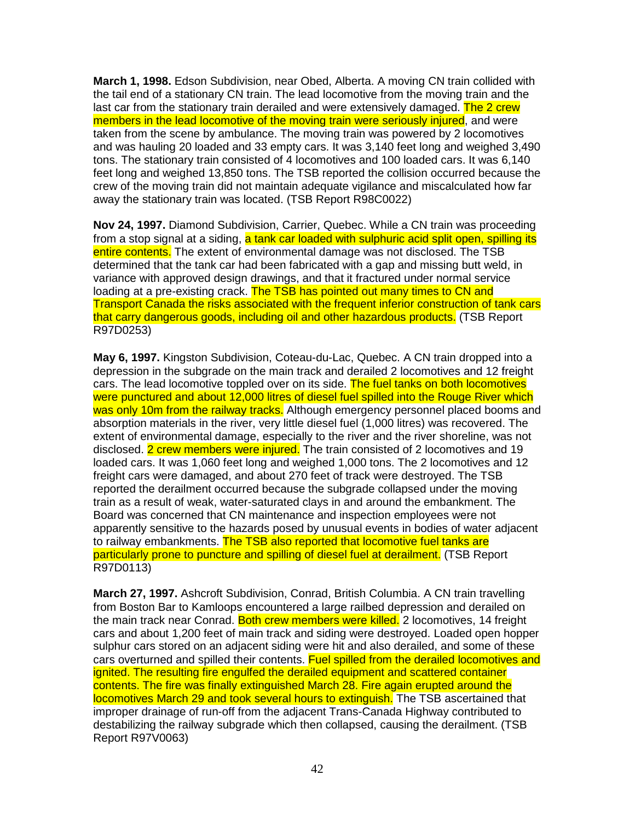**March 1, 1998.** Edson Subdivision, near Obed, Alberta. A moving CN train collided with the tail end of a stationary CN train. The lead locomotive from the moving train and the last car from the stationary train derailed and were extensively damaged. The 2 crew members in the lead locomotive of the moving train were seriously injured, and were taken from the scene by ambulance. The moving train was powered by 2 locomotives and was hauling 20 loaded and 33 empty cars. It was 3,140 feet long and weighed 3,490 tons. The stationary train consisted of 4 locomotives and 100 loaded cars. It was 6,140 feet long and weighed 13,850 tons. The TSB reported the collision occurred because the crew of the moving train did not maintain adequate vigilance and miscalculated how far away the stationary train was located. (TSB Report R98C0022)

**Nov 24, 1997.** Diamond Subdivision, Carrier, Quebec. While a CN train was proceeding from a stop signal at a siding, a tank car loaded with sulphuric acid split open, spilling its entire contents. The extent of environmental damage was not disclosed. The TSB determined that the tank car had been fabricated with a gap and missing butt weld, in variance with approved design drawings, and that it fractured under normal service loading at a pre-existing crack. The TSB has pointed out many times to CN and Transport Canada the risks associated with the frequent inferior construction of tank cars that carry dangerous goods, including oil and other hazardous products. (TSB Report R97D0253)

**May 6, 1997.** Kingston Subdivision, Coteau-du-Lac, Quebec. A CN train dropped into a depression in the subgrade on the main track and derailed 2 locomotives and 12 freight cars. The lead locomotive toppled over on its side. The fuel tanks on both locomotives were punctured and about 12,000 litres of diesel fuel spilled into the Rouge River which was only 10m from the railway tracks. Although emergency personnel placed booms and absorption materials in the river, very little diesel fuel (1,000 litres) was recovered. The extent of environmental damage, especially to the river and the river shoreline, was not disclosed. 2 crew members were injured. The train consisted of 2 locomotives and 19 loaded cars. It was 1,060 feet long and weighed 1,000 tons. The 2 locomotives and 12 freight cars were damaged, and about 270 feet of track were destroyed. The TSB reported the derailment occurred because the subgrade collapsed under the moving train as a result of weak, water-saturated clays in and around the embankment. The Board was concerned that CN maintenance and inspection employees were not apparently sensitive to the hazards posed by unusual events in bodies of water adjacent to railway embankments. The TSB also reported that locomotive fuel tanks are particularly prone to puncture and spilling of diesel fuel at derailment. (TSB Report R97D0113)

**March 27, 1997.** Ashcroft Subdivision, Conrad, British Columbia. A CN train travelling from Boston Bar to Kamloops encountered a large railbed depression and derailed on the main track near Conrad. Both crew members were killed. 2 locomotives, 14 freight cars and about 1,200 feet of main track and siding were destroyed. Loaded open hopper sulphur cars stored on an adjacent siding were hit and also derailed, and some of these cars overturned and spilled their contents. Fuel spilled from the derailed locomotives and ignited. The resulting fire engulfed the derailed equipment and scattered container contents. The fire was finally extinguished March 28. Fire again erupted around the locomotives March 29 and took several hours to extinguish. The TSB ascertained that improper drainage of run-off from the adjacent Trans-Canada Highway contributed to destabilizing the railway subgrade which then collapsed, causing the derailment. (TSB Report R97V0063)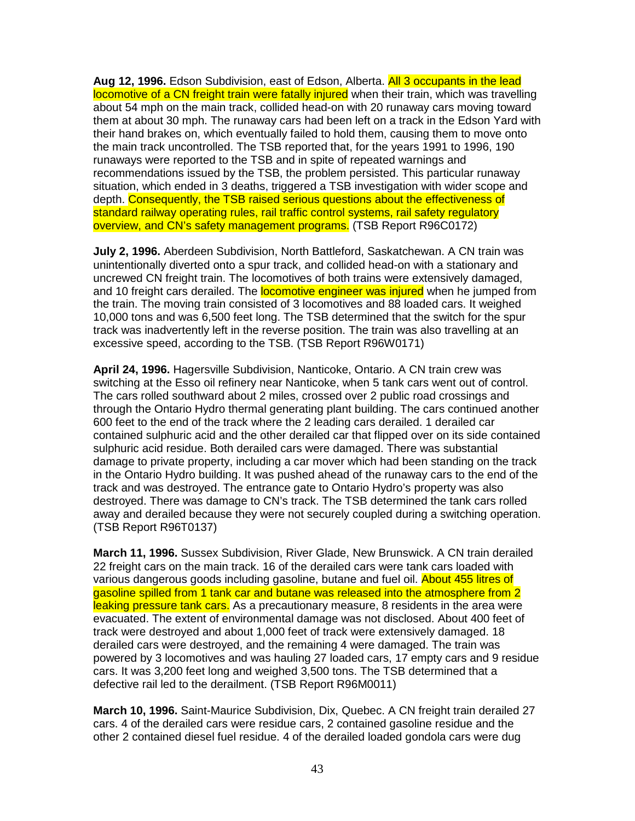**Aug 12, 1996.** Edson Subdivision, east of Edson, Alberta. All 3 occupants in the lead locomotive of a CN freight train were fatally injured when their train, which was travelling about 54 mph on the main track, collided head-on with 20 runaway cars moving toward them at about 30 mph. The runaway cars had been left on a track in the Edson Yard with their hand brakes on, which eventually failed to hold them, causing them to move onto the main track uncontrolled. The TSB reported that, for the years 1991 to 1996, 190 runaways were reported to the TSB and in spite of repeated warnings and recommendations issued by the TSB, the problem persisted. This particular runaway situation, which ended in 3 deaths, triggered a TSB investigation with wider scope and depth. Consequently, the TSB raised serious questions about the effectiveness of standard railway operating rules, rail traffic control systems, rail safety regulatory overview, and CN's safety management programs. (TSB Report R96C0172)

**July 2, 1996.** Aberdeen Subdivision, North Battleford, Saskatchewan. A CN train was unintentionally diverted onto a spur track, and collided head-on with a stationary and uncrewed CN freight train. The locomotives of both trains were extensively damaged, and 10 freight cars derailed. The **locomotive engineer was injured** when he jumped from the train. The moving train consisted of 3 locomotives and 88 loaded cars. It weighed 10,000 tons and was 6,500 feet long. The TSB determined that the switch for the spur track was inadvertently left in the reverse position. The train was also travelling at an excessive speed, according to the TSB. (TSB Report R96W0171)

**April 24, 1996.** Hagersville Subdivision, Nanticoke, Ontario. A CN train crew was switching at the Esso oil refinery near Nanticoke, when 5 tank cars went out of control. The cars rolled southward about 2 miles, crossed over 2 public road crossings and through the Ontario Hydro thermal generating plant building. The cars continued another 600 feet to the end of the track where the 2 leading cars derailed. 1 derailed car contained sulphuric acid and the other derailed car that flipped over on its side contained sulphuric acid residue. Both derailed cars were damaged. There was substantial damage to private property, including a car mover which had been standing on the track in the Ontario Hydro building. It was pushed ahead of the runaway cars to the end of the track and was destroyed. The entrance gate to Ontario Hydro's property was also destroyed. There was damage to CN's track. The TSB determined the tank cars rolled away and derailed because they were not securely coupled during a switching operation. (TSB Report R96T0137)

**March 11, 1996.** Sussex Subdivision, River Glade, New Brunswick. A CN train derailed 22 freight cars on the main track. 16 of the derailed cars were tank cars loaded with various dangerous goods including gasoline, butane and fuel oil. About 455 litres of gasoline spilled from 1 tank car and butane was released into the atmosphere from 2 leaking pressure tank cars. As a precautionary measure, 8 residents in the area were evacuated. The extent of environmental damage was not disclosed. About 400 feet of track were destroyed and about 1,000 feet of track were extensively damaged. 18 derailed cars were destroyed, and the remaining 4 were damaged. The train was powered by 3 locomotives and was hauling 27 loaded cars, 17 empty cars and 9 residue cars. It was 3,200 feet long and weighed 3,500 tons. The TSB determined that a defective rail led to the derailment. (TSB Report R96M0011)

**March 10, 1996.** Saint-Maurice Subdivision, Dix, Quebec. A CN freight train derailed 27 cars. 4 of the derailed cars were residue cars, 2 contained gasoline residue and the other 2 contained diesel fuel residue. 4 of the derailed loaded gondola cars were dug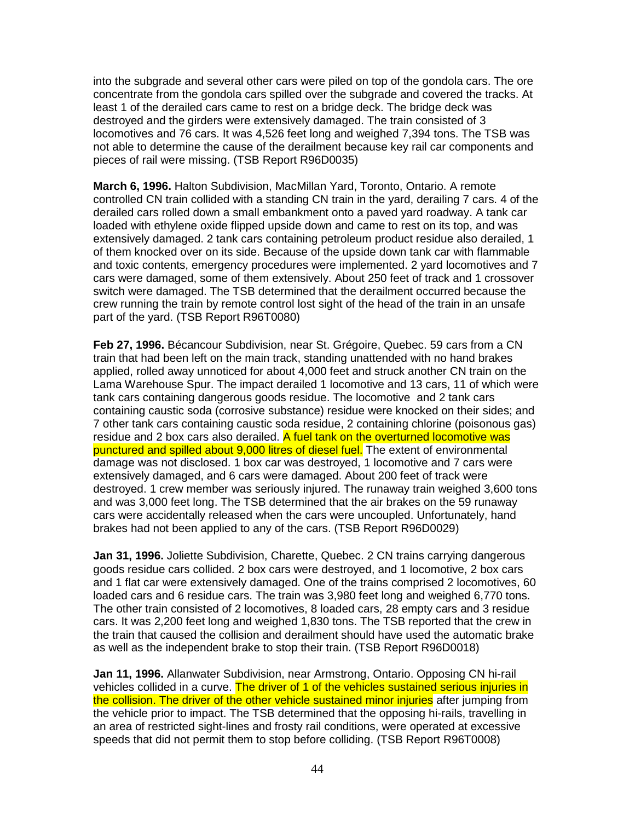into the subgrade and several other cars were piled on top of the gondola cars. The ore concentrate from the gondola cars spilled over the subgrade and covered the tracks. At least 1 of the derailed cars came to rest on a bridge deck. The bridge deck was destroyed and the girders were extensively damaged. The train consisted of 3 locomotives and 76 cars. It was 4,526 feet long and weighed 7,394 tons. The TSB was not able to determine the cause of the derailment because key rail car components and pieces of rail were missing. (TSB Report R96D0035)

**March 6, 1996.** Halton Subdivision, MacMillan Yard, Toronto, Ontario. A remote controlled CN train collided with a standing CN train in the yard, derailing 7 cars. 4 of the derailed cars rolled down a small embankment onto a paved yard roadway. A tank car loaded with ethylene oxide flipped upside down and came to rest on its top, and was extensively damaged. 2 tank cars containing petroleum product residue also derailed, 1 of them knocked over on its side. Because of the upside down tank car with flammable and toxic contents, emergency procedures were implemented. 2 yard locomotives and 7 cars were damaged, some of them extensively. About 250 feet of track and 1 crossover switch were damaged. The TSB determined that the derailment occurred because the crew running the train by remote control lost sight of the head of the train in an unsafe part of the yard. (TSB Report R96T0080)

**Feb 27, 1996.** Bécancour Subdivision, near St. Grégoire, Quebec. 59 cars from a CN train that had been left on the main track, standing unattended with no hand brakes applied, rolled away unnoticed for about 4,000 feet and struck another CN train on the Lama Warehouse Spur. The impact derailed 1 locomotive and 13 cars, 11 of which were tank cars containing dangerous goods residue. The locomotive and 2 tank cars containing caustic soda (corrosive substance) residue were knocked on their sides; and 7 other tank cars containing caustic soda residue, 2 containing chlorine (poisonous gas) residue and 2 box cars also derailed. A fuel tank on the overturned locomotive was punctured and spilled about 9,000 litres of diesel fuel. The extent of environmental damage was not disclosed. 1 box car was destroyed, 1 locomotive and 7 cars were extensively damaged, and 6 cars were damaged. About 200 feet of track were destroyed. 1 crew member was seriously injured. The runaway train weighed 3,600 tons and was 3,000 feet long. The TSB determined that the air brakes on the 59 runaway cars were accidentally released when the cars were uncoupled. Unfortunately, hand brakes had not been applied to any of the cars. (TSB Report R96D0029)

**Jan 31, 1996.** Joliette Subdivision, Charette, Quebec. 2 CN trains carrying dangerous goods residue cars collided. 2 box cars were destroyed, and 1 locomotive, 2 box cars and 1 flat car were extensively damaged. One of the trains comprised 2 locomotives, 60 loaded cars and 6 residue cars. The train was 3,980 feet long and weighed 6,770 tons. The other train consisted of 2 locomotives, 8 loaded cars, 28 empty cars and 3 residue cars. It was 2,200 feet long and weighed 1,830 tons. The TSB reported that the crew in the train that caused the collision and derailment should have used the automatic brake as well as the independent brake to stop their train. (TSB Report R96D0018)

**Jan 11, 1996.** Allanwater Subdivision, near Armstrong, Ontario. Opposing CN hi-rail vehicles collided in a curve. The driver of 1 of the vehicles sustained serious injuries in the collision. The driver of the other vehicle sustained minor injuries after jumping from the vehicle prior to impact. The TSB determined that the opposing hi-rails, travelling in an area of restricted sight-lines and frosty rail conditions, were operated at excessive speeds that did not permit them to stop before colliding. (TSB Report R96T0008)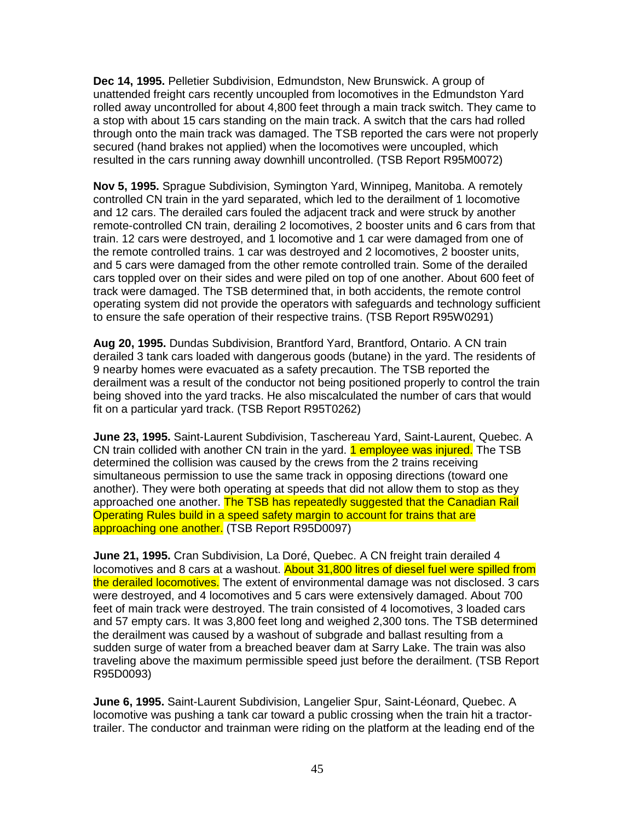**Dec 14, 1995.** Pelletier Subdivision, Edmundston, New Brunswick. A group of unattended freight cars recently uncoupled from locomotives in the Edmundston Yard rolled away uncontrolled for about 4,800 feet through a main track switch. They came to a stop with about 15 cars standing on the main track. A switch that the cars had rolled through onto the main track was damaged. The TSB reported the cars were not properly secured (hand brakes not applied) when the locomotives were uncoupled, which resulted in the cars running away downhill uncontrolled. (TSB Report R95M0072)

**Nov 5, 1995.** Sprague Subdivision, Symington Yard, Winnipeg, Manitoba. A remotely controlled CN train in the yard separated, which led to the derailment of 1 locomotive and 12 cars. The derailed cars fouled the adjacent track and were struck by another remote-controlled CN train, derailing 2 locomotives, 2 booster units and 6 cars from that train. 12 cars were destroyed, and 1 locomotive and 1 car were damaged from one of the remote controlled trains. 1 car was destroyed and 2 locomotives, 2 booster units, and 5 cars were damaged from the other remote controlled train. Some of the derailed cars toppled over on their sides and were piled on top of one another. About 600 feet of track were damaged. The TSB determined that, in both accidents, the remote control operating system did not provide the operators with safeguards and technology sufficient to ensure the safe operation of their respective trains. (TSB Report R95W0291)

**Aug 20, 1995.** Dundas Subdivision, Brantford Yard, Brantford, Ontario. A CN train derailed 3 tank cars loaded with dangerous goods (butane) in the yard. The residents of 9 nearby homes were evacuated as a safety precaution. The TSB reported the derailment was a result of the conductor not being positioned properly to control the train being shoved into the yard tracks. He also miscalculated the number of cars that would fit on a particular yard track. (TSB Report R95T0262)

**June 23, 1995.** Saint-Laurent Subdivision, Taschereau Yard, Saint-Laurent, Quebec. A CN train collided with another CN train in the yard. 1 employee was injured. The TSB determined the collision was caused by the crews from the 2 trains receiving simultaneous permission to use the same track in opposing directions (toward one another). They were both operating at speeds that did not allow them to stop as they approached one another. The TSB has repeatedly suggested that the Canadian Rail Operating Rules build in a speed safety margin to account for trains that are approaching one another. (TSB Report R95D0097)

**June 21, 1995.** Cran Subdivision, La Doré, Quebec. A CN freight train derailed 4 locomotives and 8 cars at a washout. About 31,800 litres of diesel fuel were spilled from the derailed locomotives. The extent of environmental damage was not disclosed. 3 cars were destroyed, and 4 locomotives and 5 cars were extensively damaged. About 700 feet of main track were destroyed. The train consisted of 4 locomotives, 3 loaded cars and 57 empty cars. It was 3,800 feet long and weighed 2,300 tons. The TSB determined the derailment was caused by a washout of subgrade and ballast resulting from a sudden surge of water from a breached beaver dam at Sarry Lake. The train was also traveling above the maximum permissible speed just before the derailment. (TSB Report R95D0093)

**June 6, 1995.** Saint-Laurent Subdivision, Langelier Spur, Saint-Léonard, Quebec. A locomotive was pushing a tank car toward a public crossing when the train hit a tractortrailer. The conductor and trainman were riding on the platform at the leading end of the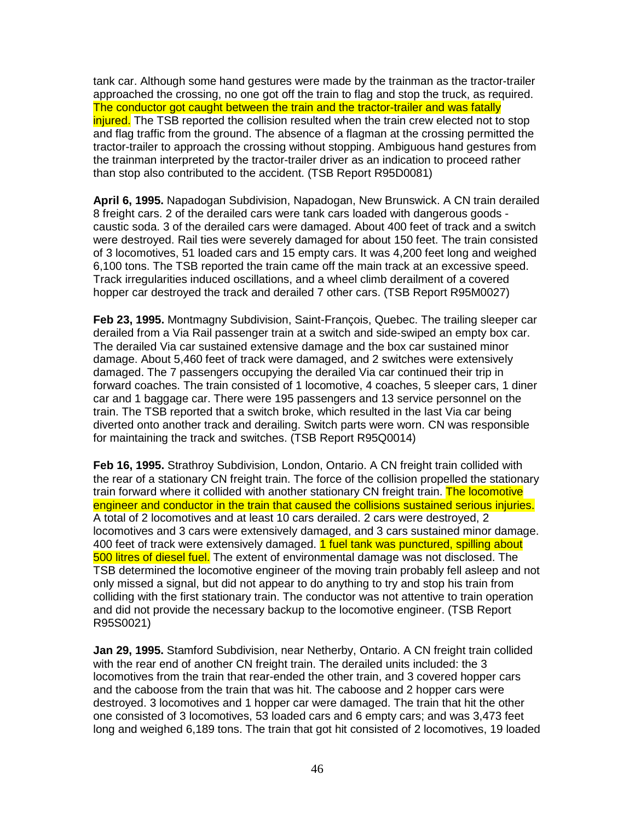tank car. Although some hand gestures were made by the trainman as the tractor-trailer approached the crossing, no one got off the train to flag and stop the truck, as required. The conductor got caught between the train and the tractor-trailer and was fatally injured. The TSB reported the collision resulted when the train crew elected not to stop and flag traffic from the ground. The absence of a flagman at the crossing permitted the tractor-trailer to approach the crossing without stopping. Ambiguous hand gestures from the trainman interpreted by the tractor-trailer driver as an indication to proceed rather than stop also contributed to the accident. (TSB Report R95D0081)

**April 6, 1995.** Napadogan Subdivision, Napadogan, New Brunswick. A CN train derailed 8 freight cars. 2 of the derailed cars were tank cars loaded with dangerous goods caustic soda. 3 of the derailed cars were damaged. About 400 feet of track and a switch were destroyed. Rail ties were severely damaged for about 150 feet. The train consisted of 3 locomotives, 51 loaded cars and 15 empty cars. It was 4,200 feet long and weighed 6,100 tons. The TSB reported the train came off the main track at an excessive speed. Track irregularities induced oscillations, and a wheel climb derailment of a covered hopper car destroyed the track and derailed 7 other cars. (TSB Report R95M0027)

**Feb 23, 1995.** Montmagny Subdivision, Saint-François, Quebec. The trailing sleeper car derailed from a Via Rail passenger train at a switch and side-swiped an empty box car. The derailed Via car sustained extensive damage and the box car sustained minor damage. About 5,460 feet of track were damaged, and 2 switches were extensively damaged. The 7 passengers occupying the derailed Via car continued their trip in forward coaches. The train consisted of 1 locomotive, 4 coaches, 5 sleeper cars, 1 diner car and 1 baggage car. There were 195 passengers and 13 service personnel on the train. The TSB reported that a switch broke, which resulted in the last Via car being diverted onto another track and derailing. Switch parts were worn. CN was responsible for maintaining the track and switches. (TSB Report R95Q0014)

**Feb 16, 1995.** Strathroy Subdivision, London, Ontario. A CN freight train collided with the rear of a stationary CN freight train. The force of the collision propelled the stationary train forward where it collided with another stationary CN freight train. The locomotive engineer and conductor in the train that caused the collisions sustained serious injuries. A total of 2 locomotives and at least 10 cars derailed. 2 cars were destroyed, 2 locomotives and 3 cars were extensively damaged, and 3 cars sustained minor damage. 400 feet of track were extensively damaged. 1 fuel tank was punctured, spilling about 500 litres of diesel fuel. The extent of environmental damage was not disclosed. The TSB determined the locomotive engineer of the moving train probably fell asleep and not only missed a signal, but did not appear to do anything to try and stop his train from colliding with the first stationary train. The conductor was not attentive to train operation and did not provide the necessary backup to the locomotive engineer. (TSB Report R95S0021)

**Jan 29, 1995.** Stamford Subdivision, near Netherby, Ontario. A CN freight train collided with the rear end of another CN freight train. The derailed units included: the 3 locomotives from the train that rear-ended the other train, and 3 covered hopper cars and the caboose from the train that was hit. The caboose and 2 hopper cars were destroyed. 3 locomotives and 1 hopper car were damaged. The train that hit the other one consisted of 3 locomotives, 53 loaded cars and 6 empty cars; and was 3,473 feet long and weighed 6,189 tons. The train that got hit consisted of 2 locomotives, 19 loaded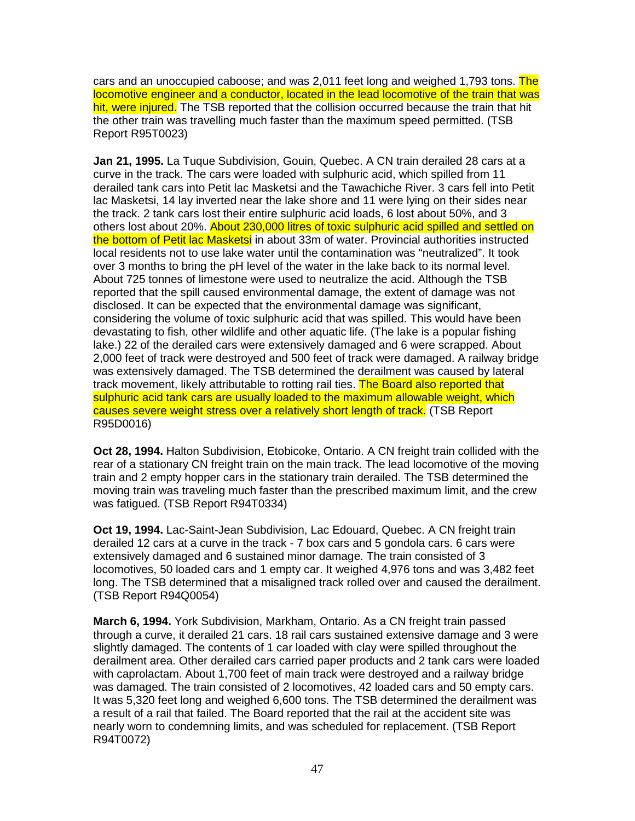cars and an unoccupied caboose; and was 2,011 feet long and weighed 1,793 tons. The locomotive engineer and a conductor, located in the lead locomotive of the train that was hit, were injured. The TSB reported that the collision occurred because the train that hit the other train was travelling much faster than the maximum speed permitted. (TSB Report R95T0023)

**Jan 21, 1995.** La Tuque Subdivision, Gouin, Quebec. A CN train derailed 28 cars at a curve in the track. The cars were loaded with sulphuric acid, which spilled from 11 derailed tank cars into Petit lac Masketsi and the Tawachiche River. 3 cars fell into Petit lac Masketsi, 14 lay inverted near the lake shore and 11 were lying on their sides near the track. 2 tank cars lost their entire sulphuric acid loads, 6 lost about 50%, and 3 others lost about 20%. About 230,000 litres of toxic sulphuric acid spilled and settled on the bottom of Petit lac Masketsi in about 33m of water. Provincial authorities instructed local residents not to use lake water until the contamination was "neutralized". It took over 3 months to bring the pH level of the water in the lake back to its normal level. About 725 tonnes of limestone were used to neutralize the acid. Although the TSB reported that the spill caused environmental damage, the extent of damage was not disclosed. It can be expected that the environmental damage was significant, considering the volume of toxic sulphuric acid that was spilled. This would have been devastating to fish, other wildlife and other aquatic life. (The lake is a popular fishing lake.) 22 of the derailed cars were extensively damaged and 6 were scrapped. About 2,000 feet of track were destroyed and 500 feet of track were damaged. A railway bridge was extensively damaged. The TSB determined the derailment was caused by lateral track movement, likely attributable to rotting rail ties. The Board also reported that sulphuric acid tank cars are usually loaded to the maximum allowable weight, which causes severe weight stress over a relatively short length of track. (TSB Report R95D0016)

**Oct 28, 1994.** Halton Subdivision, Etobicoke, Ontario. A CN freight train collided with the rear of a stationary CN freight train on the main track. The lead locomotive of the moving train and 2 empty hopper cars in the stationary train derailed. The TSB determined the moving train was traveling much faster than the prescribed maximum limit, and the crew was fatigued. (TSB Report R94T0334)

**Oct 19, 1994.** Lac-Saint-Jean Subdivision, Lac Edouard, Quebec. A CN freight train derailed 12 cars at a curve in the track - 7 box cars and 5 gondola cars. 6 cars were extensively damaged and 6 sustained minor damage. The train consisted of 3 locomotives, 50 loaded cars and 1 empty car. It weighed 4,976 tons and was 3,482 feet long. The TSB determined that a misaligned track rolled over and caused the derailment. (TSB Report R94Q0054)

**March 6, 1994.** York Subdivision, Markham, Ontario. As a CN freight train passed through a curve, it derailed 21 cars. 18 rail cars sustained extensive damage and 3 were slightly damaged. The contents of 1 car loaded with clay were spilled throughout the derailment area. Other derailed cars carried paper products and 2 tank cars were loaded with caprolactam. About 1,700 feet of main track were destroyed and a railway bridge was damaged. The train consisted of 2 locomotives, 42 loaded cars and 50 empty cars. It was 5,320 feet long and weighed 6,600 tons. The TSB determined the derailment was a result of a rail that failed. The Board reported that the rail at the accident site was nearly worn to condemning limits, and was scheduled for replacement. (TSB Report R94T0072)